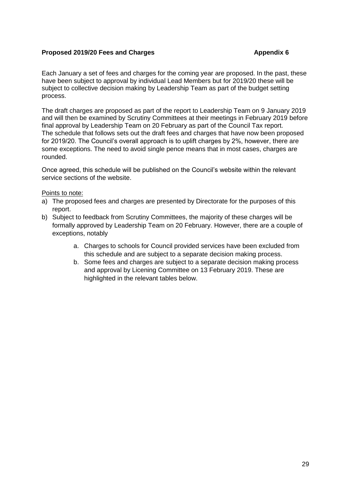#### **Proposed 2019/20 Fees and Charges <b>Appendix 6 Appendix 6**

Each January a set of fees and charges for the coming year are proposed. In the past, these have been subject to approval by individual Lead Members but for 2019/20 these will be subject to collective decision making by Leadership Team as part of the budget setting process.

The draft charges are proposed as part of the report to Leadership Team on 9 January 2019 and will then be examined by Scrutiny Committees at their meetings in February 2019 before final approval by Leadership Team on 20 February as part of the Council Tax report. The schedule that follows sets out the draft fees and charges that have now been proposed for 2019/20. The Council's overall approach is to uplift charges by 2%, however, there are some exceptions. The need to avoid single pence means that in most cases, charges are rounded.

Once agreed, this schedule will be published on the Council's website within the relevant service sections of the website.

#### Points to note:

- a) The proposed fees and charges are presented by Directorate for the purposes of this report.
- b) Subject to feedback from Scrutiny Committees, the majority of these charges will be formally approved by Leadership Team on 20 February. However, there are a couple of exceptions, notably
	- a. Charges to schools for Council provided services have been excluded from this schedule and are subject to a separate decision making process.
	- b. Some fees and charges are subject to a separate decision making process and approval by Licening Committee on 13 February 2019. These are highlighted in the relevant tables below.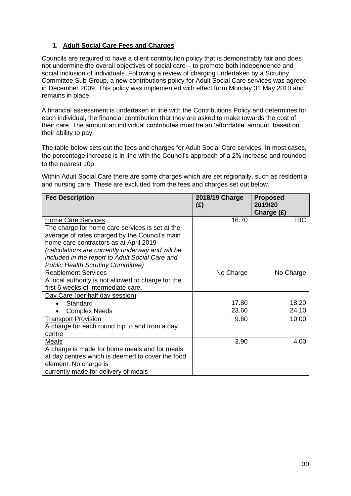#### **1. Adult Social Care Fees and Charges**

Councils are required to have a client contribution policy that is demonstrably fair and does not undermine the overall objectives of social care – to promote both independence and social inclusion of individuals. Following a review of charging undertaken by a Scrutiny Committee Sub-Group, a new contributions policy for Adult Social Care services was agreed in December 2009. This policy was implemented with effect from Monday 31 May 2010 and remains in place.

A financial assessment is undertaken in line with the Contributions Policy and determines for each individual, the financial contribution that they are asked to make towards the cost of their care. The amount an individual contributes must be an 'affordable' amount, based on their ability to pay.

The table below sets out the fees and charges for Adult Social Care services. In most cases, the percentage increase is in line with the Council's approach of a 2% increase and rounded to the nearest 10p.

Within Adult Social Care there are some charges which are set regionally, such as residential and nursing care. These are excluded from the fees and charges set out below.

| <b>Fee Description</b>                                                                                                                                                                                                                                                                                                      | 2018/19 Charge<br>(E) | <b>Proposed</b><br>2019/20<br>Charge $(E)$ |
|-----------------------------------------------------------------------------------------------------------------------------------------------------------------------------------------------------------------------------------------------------------------------------------------------------------------------------|-----------------------|--------------------------------------------|
| <b>Home Care Services</b><br>The charge for home care services is set at the<br>average of rates charged by the Council's main<br>home care contractors as at April 2019<br>(calculations are currently underway and will be<br>included in the report to Adult Social Care and<br><b>Public Health Scrutiny Committee)</b> | 16.70                 | <b>TBC</b>                                 |
| <b>Reablement Services</b><br>A local authority is not allowed to charge for the<br>first 6 weeks of intermediate care.                                                                                                                                                                                                     | No Charge             | No Charge                                  |
| Day Care (per half day session)                                                                                                                                                                                                                                                                                             |                       |                                            |
| Standard                                                                                                                                                                                                                                                                                                                    | 17.80                 | 18.20                                      |
| <b>Complex Needs</b>                                                                                                                                                                                                                                                                                                        | 23.60                 | 24.10                                      |
| <b>Transport Provision</b><br>A charge for each round trip to and from a day<br>centre                                                                                                                                                                                                                                      | 9.80                  | 10.00                                      |
| Meals<br>A charge is made for home meals and for meals<br>at day centres which is deemed to cover the food<br>element. No charge is<br>currently made for delivery of meals                                                                                                                                                 | 3.90                  | 4.00                                       |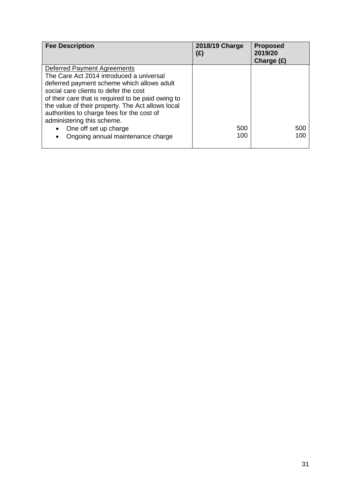| <b>Fee Description</b>                                                                                                                                                                                                                                                                                                                                                                                              | 2018/19 Charge<br>(£) | <b>Proposed</b><br>2019/20<br>Charge $(E)$ |
|---------------------------------------------------------------------------------------------------------------------------------------------------------------------------------------------------------------------------------------------------------------------------------------------------------------------------------------------------------------------------------------------------------------------|-----------------------|--------------------------------------------|
| Deferred Payment Agreements<br>The Care Act 2014 introduced a universal<br>deferred payment scheme which allows adult<br>social care clients to defer the cost<br>of their care that is required to be paid owing to<br>the value of their property. The Act allows local<br>authorities to charge fees for the cost of<br>administering this scheme.<br>One off set up charge<br>Ongoing annual maintenance charge | 500<br>100            | 500<br>100                                 |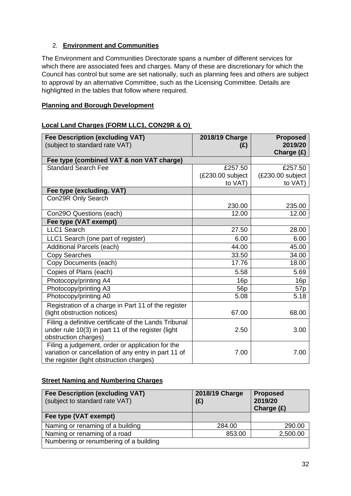#### 2. **Environment and Communities**

The Environment and Communities Directorate spans a number of different services for which there are associated fees and charges. Many of these are discretionary for which the Council has control but some are set nationally, such as planning fees and others are subject to approval by an alternative Committee, such as the Licensing Committee. Details are highlighted in the tables that follow where required.

#### **Planning and Borough Development**

#### **Local Land Charges (FORM LLC1, CON29R & O)**

| <b>Fee Description (excluding VAT)</b><br>(subject to standard rate VAT)                                                                             | 2018/19 Charge<br>(E) | <b>Proposed</b><br>2019/20<br>Charge (£) |
|------------------------------------------------------------------------------------------------------------------------------------------------------|-----------------------|------------------------------------------|
| Fee type (combined VAT & non VAT charge)                                                                                                             |                       |                                          |
| <b>Standard Search Fee</b>                                                                                                                           | £257.50               | £257.50                                  |
|                                                                                                                                                      | (£230.00 subject      | (£230.00 subject                         |
|                                                                                                                                                      | to VAT)               | to VAT)                                  |
| Fee type (excluding. VAT)                                                                                                                            |                       |                                          |
| Con29R Only Search                                                                                                                                   |                       |                                          |
|                                                                                                                                                      | 230.00                | 235.00                                   |
| Con29O Questions (each)                                                                                                                              | 12.00                 | 12.00                                    |
| Fee type (VAT exempt)                                                                                                                                |                       |                                          |
| LLC1 Search                                                                                                                                          | 27.50                 | 28.00                                    |
| LLC1 Search (one part of register)                                                                                                                   | 6.00                  | 6.00                                     |
| <b>Additional Parcels (each)</b>                                                                                                                     | 44.00                 | 45.00                                    |
| <b>Copy Searches</b>                                                                                                                                 | 33.50                 | 34.00                                    |
| Copy Documents (each)                                                                                                                                | 17.76                 | 18.00                                    |
| Copies of Plans (each)                                                                                                                               | 5.58                  | 5.69                                     |
| Photocopy/printing A4                                                                                                                                | 16p                   | 16p                                      |
| Photocopy/printing A3                                                                                                                                | 56 <sub>p</sub>       | 57p                                      |
| Photocopy/printing A0                                                                                                                                | 5.08                  | 5.18                                     |
| Registration of a charge in Part 11 of the register                                                                                                  |                       |                                          |
| (light obstruction notices)                                                                                                                          | 67.00                 | 68.00                                    |
| Filing a definitive certificate of the Lands Tribunal<br>under rule 10(3) in part 11 of the register (light<br>obstruction charges)                  | 2.50                  | 3.00                                     |
| Filing a judgement, order or application for the<br>variation or cancellation of any entry in part 11 of<br>the register (light obstruction charges) | 7.00                  | 7.00                                     |

#### **Street Naming and Numbering Charges**

| Fee Description (excluding VAT)<br>(subject to standard rate VAT) | 2018/19 Charge<br>(E) | <b>Proposed</b><br>2019/20<br>Charge $(E)$ |
|-------------------------------------------------------------------|-----------------------|--------------------------------------------|
| Fee type (VAT exempt)                                             |                       |                                            |
| Naming or renaming of a building                                  | 284.00                | 290.00                                     |
| Naming or renaming of a road                                      | 853.00                | 2,500.00                                   |
| Numbering or renumbering of a building                            |                       |                                            |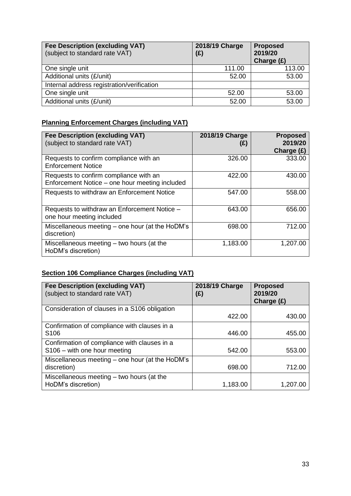| <b>Fee Description (excluding VAT)</b><br>(subject to standard rate VAT) | 2018/19 Charge<br>(E) | <b>Proposed</b><br>2019/20<br>Charge (£) |
|--------------------------------------------------------------------------|-----------------------|------------------------------------------|
| One single unit                                                          | 111.00                | 113.00                                   |
| Additional units (£/unit)                                                | 52.00                 | 53.00                                    |
| Internal address registration/verification                               |                       |                                          |
| One single unit                                                          | 52.00                 | 53.00                                    |
| Additional units (£/unit)                                                | 52.00                 | 53.00                                    |

## **Planning Enforcement Charges (including VAT)**

| <b>Fee Description (excluding VAT)</b><br>(subject to standard rate VAT)                 | 2018/19 Charge<br>(£) | <b>Proposed</b><br>2019/20<br>Charge $(E)$ |
|------------------------------------------------------------------------------------------|-----------------------|--------------------------------------------|
| Requests to confirm compliance with an<br><b>Enforcement Notice</b>                      | 326.00                | 333.00                                     |
| Requests to confirm compliance with an<br>Enforcement Notice - one hour meeting included | 422.00                | 430.00                                     |
| Requests to withdraw an Enforcement Notice                                               | 547.00                | 558.00                                     |
| Requests to withdraw an Enforcement Notice -<br>one hour meeting included                | 643.00                | 656.00                                     |
| Miscellaneous meeting – one hour (at the HoDM's<br>discretion)                           | 698.00                | 712.00                                     |
| Miscellaneous meeting – two hours (at the<br>HoDM's discretion)                          | 1,183.00              | 1,207.00                                   |

## **Section 106 Compliance Charges (including VAT)**

| <b>Fee Description (excluding VAT)</b><br>(subject to standard rate VAT)     | 2018/19 Charge<br>(E) | <b>Proposed</b><br>2019/20<br>Charge $(E)$ |
|------------------------------------------------------------------------------|-----------------------|--------------------------------------------|
| Consideration of clauses in a S106 obligation                                | 422.00                | 430.00                                     |
| Confirmation of compliance with clauses in a<br>S <sub>106</sub>             | 446.00                | 455.00                                     |
| Confirmation of compliance with clauses in a<br>S106 - with one hour meeting | 542.00                | 553.00                                     |
| Miscellaneous meeting – one hour (at the HoDM's<br>discretion)               | 698.00                | 712.00                                     |
| Miscellaneous meeting - two hours (at the<br>HoDM's discretion)              | 1,183.00              | 1,207.00                                   |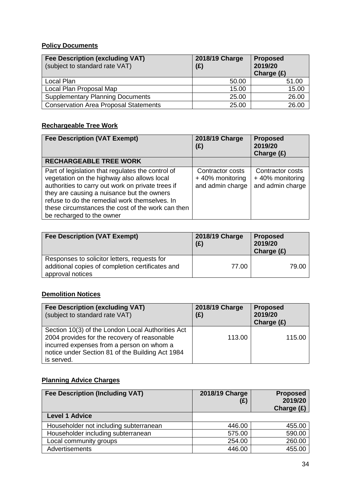## **Policy Documents**

| <b>Fee Description (excluding VAT)</b><br>(subject to standard rate VAT) | 2018/19 Charge<br>(E) | <b>Proposed</b><br>2019/20<br>Charge $(E)$ |
|--------------------------------------------------------------------------|-----------------------|--------------------------------------------|
| Local Plan                                                               | 50.00                 | 51.00                                      |
| Local Plan Proposal Map                                                  | 15.00                 | 15.00                                      |
| <b>Supplementary Planning Documents</b>                                  | 25.00                 | 26.00                                      |
| <b>Conservation Area Proposal Statements</b>                             | 25.00                 | 26.00                                      |

## **Rechargeable Tree Work**

| <b>Fee Description (VAT Exempt)</b>                                                                                                                                                                                                                                                                                                    | 2018/19 Charge<br>(E)                                          | <b>Proposed</b><br>2019/20<br>Charge $(E)$              |
|----------------------------------------------------------------------------------------------------------------------------------------------------------------------------------------------------------------------------------------------------------------------------------------------------------------------------------------|----------------------------------------------------------------|---------------------------------------------------------|
| <b>RECHARGEABLE TREE WORK</b>                                                                                                                                                                                                                                                                                                          |                                                                |                                                         |
| Part of legislation that regulates the control of<br>vegetation on the highway also allows local<br>authorities to carry out work on private trees if<br>they are causing a nuisance but the owners<br>refuse to do the remedial work themselves. In<br>these circumstances the cost of the work can then<br>be recharged to the owner | <b>Contractor costs</b><br>+40% monitoring<br>and admin charge | Contractor costs<br>+40% monitoring<br>and admin charge |

| <b>Fee Description (VAT Exempt)</b>                                                                                  | 2018/19 Charge<br>(E) | <b>Proposed</b><br>2019/20<br>Charge $(E)$ |
|----------------------------------------------------------------------------------------------------------------------|-----------------------|--------------------------------------------|
| Responses to solicitor letters, requests for<br>additional copies of completion certificates and<br>approval notices | 77.00                 | 79.00                                      |

## **Demolition Notices**

| <b>Fee Description (excluding VAT)</b><br>(subject to standard rate VAT)                                                                                                                                         | 2018/19 Charge<br>(E) | <b>Proposed</b><br>2019/20<br>Charge $(E)$ |
|------------------------------------------------------------------------------------------------------------------------------------------------------------------------------------------------------------------|-----------------------|--------------------------------------------|
| Section 10(3) of the London Local Authorities Act<br>2004 provides for the recovery of reasonable<br>incurred expenses from a person on whom a<br>notice under Section 81 of the Building Act 1984<br>is served. | 113.00                | 115.00                                     |

## **Planning Advice Charges**

| <b>Fee Description (Including VAT)</b> | 2018/19 Charge<br>(£) | <b>Proposed</b><br>2019/20<br>Charge $(E)$ |
|----------------------------------------|-----------------------|--------------------------------------------|
| <b>Level 1 Advice</b>                  |                       |                                            |
| Householder not including subterranean | 446.00                | 455.00                                     |
| Householder including subterranean     | 575.00                | 590.00                                     |
| Local community groups                 | 254.00                | 260.00                                     |
| Advertisements                         | 446.00                | 455.00                                     |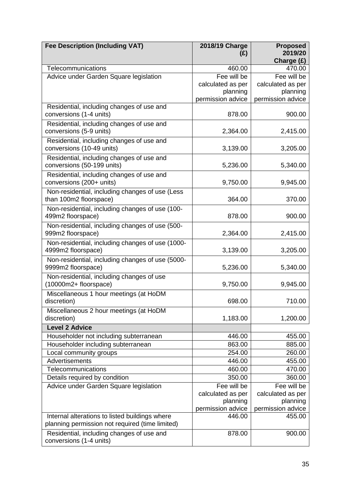| <b>Fee Description (Including VAT)</b>                                    | 2018/19 Charge<br>(E)                                             | <b>Proposed</b><br>2019/20<br>Charge (£)                          |
|---------------------------------------------------------------------------|-------------------------------------------------------------------|-------------------------------------------------------------------|
| Telecommunications                                                        | 460.00                                                            | 470.00                                                            |
| Advice under Garden Square legislation                                    | Fee will be<br>calculated as per<br>planning<br>permission advice | Fee will be<br>calculated as per<br>planning<br>permission advice |
| Residential, including changes of use and<br>conversions (1-4 units)      | 878.00                                                            | 900.00                                                            |
| Residential, including changes of use and<br>conversions (5-9 units)      | 2,364.00                                                          | 2,415.00                                                          |
| Residential, including changes of use and<br>conversions (10-49 units)    | 3,139.00                                                          | 3,205.00                                                          |
| Residential, including changes of use and<br>conversions (50-199 units)   | 5,236.00                                                          | 5,340.00                                                          |
| Residential, including changes of use and<br>conversions (200+ units)     | 9,750.00                                                          | 9,945.00                                                          |
| Non-residential, including changes of use (Less<br>than 100m2 floorspace) | 364.00                                                            | 370.00                                                            |
| Non-residential, including changes of use (100-<br>499m2 floorspace)      | 878.00                                                            | 900.00                                                            |
| Non-residential, including changes of use (500-<br>999m2 floorspace)      | 2,364.00                                                          | 2,415.00                                                          |
| Non-residential, including changes of use (1000-<br>4999m2 floorspace)    | 3,139.00                                                          | 3,205.00                                                          |
| Non-residential, including changes of use (5000-<br>9999m2 floorspace)    | 5,236.00                                                          | 5,340.00                                                          |
| Non-residential, including changes of use<br>(10000m2+ floorspace)        | 9,750.00                                                          | 9,945.00                                                          |
| Miscellaneous 1 hour meetings (at HoDM<br>discretion)                     | 698.00                                                            | 710.00                                                            |
| Miscellaneous 2 hour meetings (at HoDM<br>discretion)                     | 1,183.00                                                          | 1,200.00                                                          |
| <b>Level 2 Advice</b>                                                     |                                                                   |                                                                   |
| Householder not including subterranean                                    | 446.00                                                            | 455.00                                                            |
| Householder including subterranean                                        | 863.00                                                            | 885.00                                                            |
| Local community groups                                                    | 254.00                                                            | 260.00                                                            |
| Advertisements                                                            | 446.00                                                            | 455.00                                                            |
| Telecommunications                                                        | 460.00                                                            | 470.00                                                            |
| Details required by condition                                             | 350.00                                                            | 360.00                                                            |
| Advice under Garden Square legislation                                    | Fee will be                                                       | Fee will be                                                       |
|                                                                           | calculated as per<br>planning                                     | calculated as per<br>planning                                     |
|                                                                           | permission advice                                                 | permission advice                                                 |
| Internal alterations to listed buildings where                            | 446.00                                                            | 455.00                                                            |
| planning permission not required (time limited)                           |                                                                   |                                                                   |
| Residential, including changes of use and<br>conversions (1-4 units)      | 878.00                                                            | 900.00                                                            |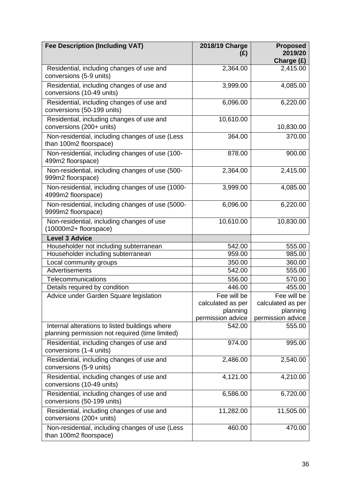| <b>Fee Description (Including VAT)</b>                                                            | 2018/19 Charge<br>(E) | <b>Proposed</b><br>2019/20<br>Charge (£) |
|---------------------------------------------------------------------------------------------------|-----------------------|------------------------------------------|
| Residential, including changes of use and<br>conversions (5-9 units)                              | 2,364.00              | 2,415.00                                 |
| Residential, including changes of use and<br>conversions (10-49 units)                            | 3,999.00              | 4,085.00                                 |
| Residential, including changes of use and<br>conversions (50-199 units)                           | 6,096.00              | 6,220.00                                 |
| Residential, including changes of use and<br>conversions (200+ units)                             | 10,610.00             | 10,830.00                                |
| Non-residential, including changes of use (Less<br>than 100m2 floorspace)                         | 364.00                | 370.00                                   |
| Non-residential, including changes of use (100-<br>499m2 floorspace)                              | 878.00                | 900.00                                   |
| Non-residential, including changes of use (500-<br>999m2 floorspace)                              | 2,364.00              | 2,415.00                                 |
| Non-residential, including changes of use (1000-<br>4999m2 floorspace)                            | 3,999.00              | 4,085.00                                 |
| Non-residential, including changes of use (5000-<br>9999m2 floorspace)                            | 6,096.00              | 6,220.00                                 |
| Non-residential, including changes of use<br>(10000m2+ floorspace)                                | 10,610.00             | 10,830.00                                |
| <b>Level 3 Advice</b>                                                                             |                       |                                          |
| Householder not including subterranean                                                            | 542.00                | 555.00                                   |
| Householder including subterranean                                                                | 959.00                | 985.00                                   |
| Local community groups                                                                            | 350.00                | 360.00                                   |
| Advertisements                                                                                    | 542.00                | 555.00                                   |
| Telecommunications                                                                                | 556.00                | 570.00                                   |
| Details required by condition                                                                     | 446.00                | 455.00                                   |
| Advice under Garden Square legislation                                                            | Fee will be           | Fee will be                              |
|                                                                                                   | calculated as per     | calculated as per                        |
|                                                                                                   | planning              | planning                                 |
|                                                                                                   | permission advice     | permission advice                        |
| Internal alterations to listed buildings where<br>planning permission not required (time limited) | 542.00                | 555.00                                   |
| Residential, including changes of use and<br>conversions (1-4 units)                              | 974.00                | 995.00                                   |
| Residential, including changes of use and<br>conversions (5-9 units)                              | 2,486.00              | 2,540.00                                 |
| Residential, including changes of use and<br>conversions (10-49 units)                            | 4,121.00              | 4,210.00                                 |
| Residential, including changes of use and<br>conversions (50-199 units)                           | 6,586.00              | 6,720.00                                 |
| Residential, including changes of use and<br>conversions (200+ units)                             | 11,282.00             | 11,505.00                                |
| Non-residential, including changes of use (Less<br>than 100m2 floorspace)                         | 460.00                | 470.00                                   |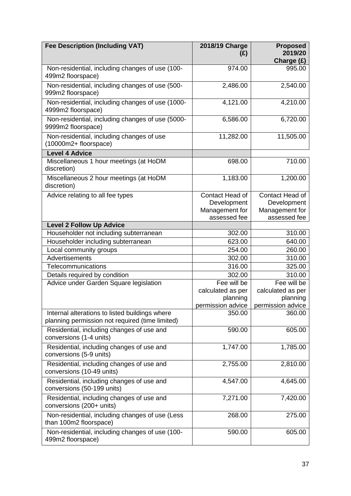| <b>Fee Description (Including VAT)</b>                                                            | 2018/19 Charge<br>(E) | <b>Proposed</b><br>2019/20<br>Charge (£) |
|---------------------------------------------------------------------------------------------------|-----------------------|------------------------------------------|
| Non-residential, including changes of use (100-<br>499m2 floorspace)                              | 974.00                | 995.00                                   |
| Non-residential, including changes of use (500-<br>999m2 floorspace)                              | 2,486.00              | 2,540.00                                 |
| Non-residential, including changes of use (1000-<br>4999m2 floorspace)                            | 4,121.00              | 4,210.00                                 |
| Non-residential, including changes of use (5000-<br>9999m2 floorspace)                            | 6,586.00              | 6,720.00                                 |
| Non-residential, including changes of use<br>(10000m2+ floorspace)                                | 11,282.00             | 11,505.00                                |
| <b>Level 4 Advice</b>                                                                             |                       |                                          |
| Miscellaneous 1 hour meetings (at HoDM<br>discretion)                                             | 698.00                | 710.00                                   |
| Miscellaneous 2 hour meetings (at HoDM<br>discretion)                                             | 1,183.00              | 1,200.00                                 |
| Advice relating to all fee types                                                                  | Contact Head of       | Contact Head of                          |
|                                                                                                   | Development           | Development                              |
|                                                                                                   | Management for        | Management for                           |
|                                                                                                   | assessed fee          | assessed fee                             |
| <b>Level 2 Follow Up Advice</b>                                                                   |                       |                                          |
| Householder not including subterranean                                                            | 302.00                | 310.00                                   |
| Householder including subterranean                                                                | 623.00                | 640.00                                   |
| Local community groups                                                                            | 254.00                | 260.00                                   |
| Advertisements                                                                                    | 302.00                | 310.00                                   |
| Telecommunications                                                                                | 316.00                | 325.00                                   |
| Details required by condition                                                                     | 302.00                | 310.00                                   |
| Advice under Garden Square legislation                                                            | Fee will be           | Fee will be                              |
|                                                                                                   | calculated as per     | calculated as per                        |
|                                                                                                   | planning              | planning                                 |
|                                                                                                   | permission advice     | permission advice                        |
| Internal alterations to listed buildings where<br>planning permission not required (time limited) | 350.00                | 360.00                                   |
| Residential, including changes of use and<br>conversions (1-4 units)                              | 590.00                | 605.00                                   |
| Residential, including changes of use and<br>conversions (5-9 units)                              | 1,747.00              | 1,785.00                                 |
| Residential, including changes of use and<br>conversions (10-49 units)                            | 2,755.00              | 2,810.00                                 |
| Residential, including changes of use and<br>conversions (50-199 units)                           | 4,547.00              | 4,645.00                                 |
| Residential, including changes of use and<br>conversions (200+ units)                             | 7,271.00              | 7,420.00                                 |
| Non-residential, including changes of use (Less<br>than 100m2 floorspace)                         | 268.00                | 275.00                                   |
| Non-residential, including changes of use (100-<br>499m2 floorspace)                              | 590.00                | 605.00                                   |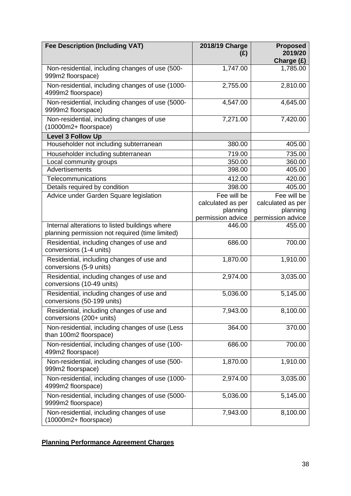| <b>Fee Description (Including VAT)</b>                                                            | 2018/19 Charge<br>(E) | <b>Proposed</b><br>2019/20<br>Charge (£) |
|---------------------------------------------------------------------------------------------------|-----------------------|------------------------------------------|
| Non-residential, including changes of use (500-<br>999m2 floorspace)                              | 1,747.00              | 1,785.00                                 |
| Non-residential, including changes of use (1000-<br>4999m2 floorspace)                            | 2,755.00              | 2,810.00                                 |
| Non-residential, including changes of use (5000-<br>9999m2 floorspace)                            | 4,547.00              | 4,645.00                                 |
| Non-residential, including changes of use<br>(10000m2+ floorspace)                                | 7,271.00              | 7,420.00                                 |
| <b>Level 3 Follow Up</b>                                                                          |                       |                                          |
| Householder not including subterranean                                                            | 380.00                | 405.00                                   |
| Householder including subterranean                                                                | 719.00                | 735.00                                   |
| Local community groups                                                                            | 350.00                | 360.00                                   |
| <b>Advertisements</b>                                                                             | 398.00                | 405.00                                   |
| Telecommunications                                                                                | 412.00                | 420.00                                   |
| Details required by condition                                                                     | 398.00                | 405.00                                   |
| Advice under Garden Square legislation                                                            | Fee will be           | Fee will be                              |
|                                                                                                   | calculated as per     | calculated as per                        |
|                                                                                                   | planning              | planning                                 |
|                                                                                                   | permission advice     | permission advice                        |
| Internal alterations to listed buildings where<br>planning permission not required (time limited) | 446.00                | 455.00                                   |
| Residential, including changes of use and<br>conversions (1-4 units)                              | 686.00                | 700.00                                   |
| Residential, including changes of use and<br>conversions (5-9 units)                              | 1,870.00              | 1,910.00                                 |
| Residential, including changes of use and<br>conversions (10-49 units)                            | 2,974.00              | 3,035.00                                 |
| Residential, including changes of use and<br>conversions (50-199 units)                           | 5,036.00              | 5,145.00                                 |
| Residential, including changes of use and<br>conversions (200+ units)                             | 7,943.00              | 8,100.00                                 |
| Non-residential, including changes of use (Less<br>than 100m2 floorspace)                         | 364.00                | 370.00                                   |
| Non-residential, including changes of use (100-<br>499m2 floorspace)                              | 686.00                | 700.00                                   |
| Non-residential, including changes of use (500-<br>999m2 floorspace)                              | 1,870.00              | 1,910.00                                 |
| Non-residential, including changes of use (1000-<br>4999m2 floorspace)                            | 2,974.00              | 3,035.00                                 |
| Non-residential, including changes of use (5000-<br>9999m2 floorspace)                            | 5,036.00              | 5,145.00                                 |
| Non-residential, including changes of use<br>(10000m2+ floorspace)                                | 7,943.00              | 8,100.00                                 |

# **Planning Performance Agreement Charges**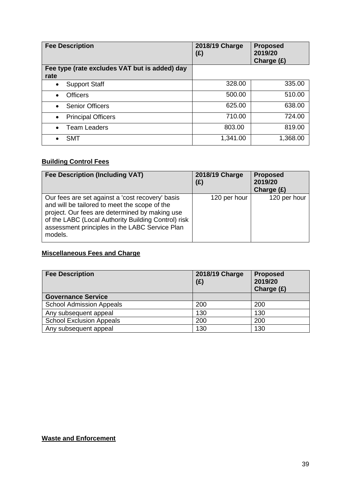| <b>Fee Description</b>                                | 2018/19 Charge<br>$(\hat{z})$ | <b>Proposed</b><br>2019/20<br>Charge (£) |
|-------------------------------------------------------|-------------------------------|------------------------------------------|
| Fee type (rate excludes VAT but is added) day<br>rate |                               |                                          |
| <b>Support Staff</b><br>$\bullet$                     | 328.00                        | 335.00                                   |
| <b>Officers</b><br>$\bullet$                          | 500.00                        | 510.00                                   |
| <b>Senior Officers</b><br>$\bullet$                   | 625.00                        | 638.00                                   |
| <b>Principal Officers</b><br>$\bullet$                | 710.00                        | 724.00                                   |
| <b>Team Leaders</b><br>$\bullet$                      | 803.00                        | 819.00                                   |
| <b>SMT</b>                                            | 1,341.00                      | 1,368.00                                 |

# **Building Control Fees**

| <b>Fee Description (Including VAT)</b>                                                                                                                                                                                                                                  | 2018/19 Charge<br>(E) | <b>Proposed</b><br>2019/20<br>Charge $(E)$ |
|-------------------------------------------------------------------------------------------------------------------------------------------------------------------------------------------------------------------------------------------------------------------------|-----------------------|--------------------------------------------|
| Our fees are set against a 'cost recovery' basis<br>and will be tailored to meet the scope of the<br>project. Our fees are determined by making use<br>of the LABC (Local Authority Building Control) risk<br>assessment principles in the LABC Service Plan<br>models. | 120 per hour          | 120 per hour                               |

## **Miscellaneous Fees and Charge**

| <b>Fee Description</b>          | 2018/19 Charge<br>(E) | <b>Proposed</b><br>2019/20<br>Charge $(E)$ |
|---------------------------------|-----------------------|--------------------------------------------|
| <b>Governance Service</b>       |                       |                                            |
| <b>School Admission Appeals</b> | 200                   | 200                                        |
| Any subsequent appeal           | 130                   | 130                                        |
| <b>School Exclusion Appeals</b> | 200                   | 200                                        |
| Any subsequent appeal           | 130                   | 130                                        |

## **Waste and Enforcement**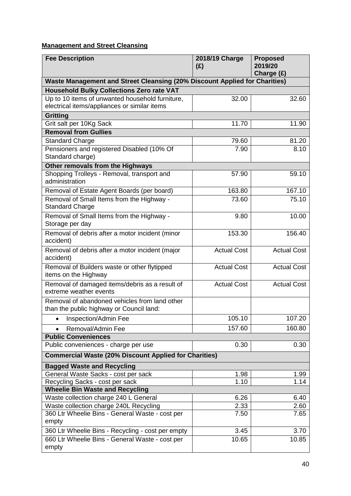# **Management and Street Cleansing**

| <b>Fee Description</b>                                                                          | 2018/19 Charge<br>(E) | <b>Proposed</b><br>2019/20<br>Charge (£) |
|-------------------------------------------------------------------------------------------------|-----------------------|------------------------------------------|
| Waste Management and Street Cleansing (20% Discount Applied for Charities)                      |                       |                                          |
| <b>Household Bulky Collections Zero rate VAT</b>                                                |                       |                                          |
| Up to 10 items of unwanted household furniture,<br>electrical items/appliances or similar items | 32.00                 | 32.60                                    |
| <b>Gritting</b>                                                                                 |                       |                                          |
| Grit salt per 10Kg Sack                                                                         | 11.70                 | 11.90                                    |
| <b>Removal from Gullies</b>                                                                     |                       |                                          |
| <b>Standard Charge</b>                                                                          | 79.60                 | 81.20                                    |
| Pensioners and registered Disabled (10% Of                                                      | 7.90                  | 8.10                                     |
| Standard charge)                                                                                |                       |                                          |
| Other removals from the Highways                                                                |                       |                                          |
| Shopping Trolleys - Removal, transport and<br>administration                                    | 57.90                 | 59.10                                    |
| Removal of Estate Agent Boards (per board)                                                      | 163.80                | 167.10                                   |
| Removal of Small Items from the Highway -<br><b>Standard Charge</b>                             | 73.60                 | 75.10                                    |
| Removal of Small Items from the Highway -<br>Storage per day                                    | 9.80                  | 10.00                                    |
| Removal of debris after a motor incident (minor<br>accident)                                    | 153.30                | 156.40                                   |
| Removal of debris after a motor incident (major<br>accident)                                    | <b>Actual Cost</b>    | <b>Actual Cost</b>                       |
| Removal of Builders waste or other flytipped<br>items on the Highway                            | <b>Actual Cost</b>    | <b>Actual Cost</b>                       |
| Removal of damaged items/debris as a result of<br>extreme weather events                        | <b>Actual Cost</b>    | <b>Actual Cost</b>                       |
| Removal of abandoned vehicles from land other<br>than the public highway or Council land:       |                       |                                          |
| Inspection/Admin Fee                                                                            | 105.10                | 107.20                                   |
| Removal/Admin Fee                                                                               | 157.60                | 160.80                                   |
| <b>Public Conveniences</b>                                                                      |                       |                                          |
| Public conveniences - charge per use                                                            | 0.30                  | 0.30                                     |
| <b>Commercial Waste (20% Discount Applied for Charities)</b>                                    |                       |                                          |
| <b>Bagged Waste and Recycling</b>                                                               |                       |                                          |
| General Waste Sacks - cost per sack                                                             | 1.98                  | 1.99                                     |
| Recycling Sacks - cost per sack                                                                 | 1.10                  | 1.14                                     |
| <b>Wheelie Bin Waste and Recycling</b>                                                          |                       |                                          |
| Waste collection charge 240 L General                                                           | 6.26                  | 6.40                                     |
| Waste collection charge 240L Recycling                                                          | 2.33                  | 2.60                                     |
| 360 Ltr Wheelie Bins - General Waste - cost per<br>empty                                        | 7.50                  | 7.65                                     |
| 360 Ltr Wheelie Bins - Recycling - cost per empty                                               | 3.45                  | 3.70                                     |
| 660 Ltr Wheelie Bins - General Waste - cost per<br>empty                                        | 10.65                 | 10.85                                    |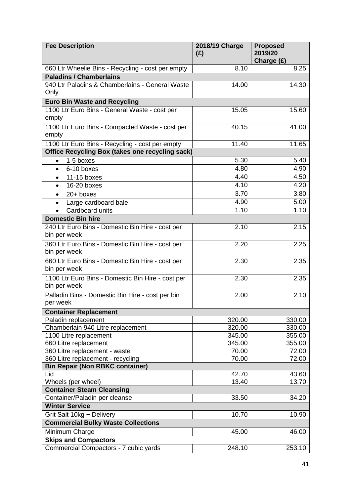| <b>Fee Description</b>                                            | 2018/19 Charge<br>(E) | <b>Proposed</b><br>2019/20<br>Charge (£) |
|-------------------------------------------------------------------|-----------------------|------------------------------------------|
| 660 Ltr Wheelie Bins - Recycling - cost per empty                 | 8.10                  | 8.25                                     |
| <b>Paladins / Chamberlains</b>                                    |                       |                                          |
| 940 Ltr Paladins & Chamberlains - General Waste<br>Only           | 14.00                 | 14.30                                    |
| <b>Euro Bin Waste and Recycling</b>                               |                       |                                          |
| 1100 Ltr Euro Bins - General Waste - cost per                     | 15.05                 | 15.60                                    |
| empty                                                             |                       |                                          |
| 1100 Ltr Euro Bins - Compacted Waste - cost per                   | 40.15                 | 41.00                                    |
| empty                                                             |                       |                                          |
| 1100 Ltr Euro Bins - Recycling - cost per empty                   | 11.40                 | 11.65                                    |
| <b>Office Recycling Box (takes one recycling sack)</b>            |                       |                                          |
| 1-5 boxes<br>$\bullet$                                            | 5.30                  | 5.40                                     |
| 6-10 boxes<br>$\bullet$                                           | 4.80                  | 4.90                                     |
| 11-15 boxes<br>$\bullet$                                          | 4.40                  | 4.50                                     |
| 16-20 boxes<br>$\bullet$                                          | 4.10                  | 4.20                                     |
| $20+$ boxes<br>$\bullet$                                          | 3.70                  | 3.80                                     |
| Large cardboard bale<br>$\bullet$                                 | 4.90                  | 5.00                                     |
| Cardboard units                                                   | 1.10                  | 1.10                                     |
| <b>Domestic Bin hire</b>                                          |                       |                                          |
| 240 Ltr Euro Bins - Domestic Bin Hire - cost per                  | 2.10                  | 2.15                                     |
| bin per week                                                      |                       |                                          |
| 360 Ltr Euro Bins - Domestic Bin Hire - cost per                  | 2.20                  | 2.25                                     |
| bin per week                                                      |                       |                                          |
| 660 Ltr Euro Bins - Domestic Bin Hire - cost per                  | 2.30                  | 2.35                                     |
| bin per week                                                      |                       |                                          |
| 1100 Ltr Euro Bins - Domestic Bin Hire - cost per<br>bin per week | 2.30                  | 2.35                                     |
|                                                                   |                       |                                          |
| Palladin Bins - Domestic Bin Hire - cost per bin<br>per week      | 2.00                  | 2.10                                     |
| <b>Container Replacement</b>                                      |                       |                                          |
| Paladin replacement                                               | 320.00                | 330.00                                   |
| Chamberlain 940 Litre replacement                                 | 320.00                | 330.00                                   |
| 1100 Litre replacement                                            | 345.00                | 355.00                                   |
| 660 Litre replacement                                             | 345.00                | 355.00                                   |
| 360 Litre replacement - waste                                     | 70.00                 | 72.00                                    |
| 360 Litre replacement - recycling                                 | 70.00                 | 72.00                                    |
| <b>Bin Repair (Non RBKC container)</b>                            |                       |                                          |
| Lid                                                               | 42.70                 | 43.60                                    |
| Wheels (per wheel)                                                | 13.40                 | 13.70                                    |
| <b>Container Steam Cleansing</b>                                  |                       |                                          |
| Container/Paladin per cleanse<br><b>Winter Service</b>            | 33.50                 | 34.20                                    |
|                                                                   |                       |                                          |
| Grit Salt 10kg + Delivery                                         | 10.70                 | 10.90                                    |
| <b>Commercial Bulky Waste Collections</b>                         |                       |                                          |
| Minimum Charge                                                    | 45.00                 | 46.00                                    |
| <b>Skips and Compactors</b>                                       |                       |                                          |
| Commercial Compactors - 7 cubic yards                             | 248.10                | 253.10                                   |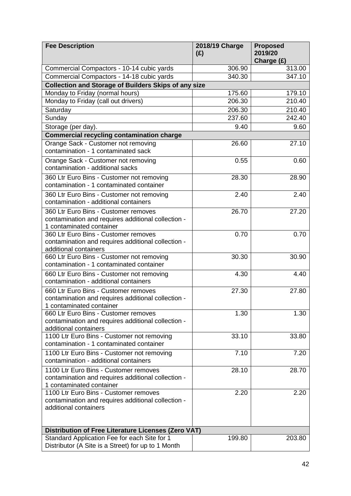| <b>Fee Description</b>                                                                                                  | 2018/19 Charge<br>(E) | <b>Proposed</b><br>2019/20<br>Charge (£) |
|-------------------------------------------------------------------------------------------------------------------------|-----------------------|------------------------------------------|
| Commercial Compactors - 10-14 cubic yards                                                                               | 306.90                | 313.00                                   |
| Commercial Compactors - 14-18 cubic yards                                                                               | 340.30                | 347.10                                   |
| <b>Collection and Storage of Builders Skips of any size</b>                                                             |                       |                                          |
| Monday to Friday (normal hours)                                                                                         | 175.60                | 179.10                                   |
| Monday to Friday (call out drivers)                                                                                     | 206.30                | 210.40                                   |
| Saturday                                                                                                                | 206.30                | 210.40                                   |
| Sunday                                                                                                                  | 237.60                | 242.40                                   |
| Storage (per day).                                                                                                      | 9.40                  | 9.60                                     |
| <b>Commercial recycling contamination charge</b>                                                                        |                       |                                          |
| Orange Sack - Customer not removing<br>contamination - 1 contaminated sack                                              | 26.60                 | 27.10                                    |
| Orange Sack - Customer not removing<br>contamination - additional sacks                                                 | 0.55                  | 0.60                                     |
| 360 Ltr Euro Bins - Customer not removing<br>contamination - 1 contaminated container                                   | 28.30                 | 28.90                                    |
| 360 Ltr Euro Bins - Customer not removing<br>contamination - additional containers                                      | 2.40                  | 2.40                                     |
| 360 Ltr Euro Bins - Customer removes<br>contamination and requires additional collection -<br>1 contaminated container  | 26.70                 | 27.20                                    |
| 360 Ltr Euro Bins - Customer removes<br>contamination and requires additional collection -<br>additional containers     | 0.70                  | 0.70                                     |
| 660 Ltr Euro Bins - Customer not removing<br>contamination - 1 contaminated container                                   | 30.30                 | 30.90                                    |
| 660 Ltr Euro Bins - Customer not removing<br>contamination - additional containers                                      | 4.30                  | 4.40                                     |
| 660 Ltr Euro Bins - Customer removes<br>contamination and requires additional collection -<br>1 contaminated container  | 27.30                 | 27.80                                    |
| 660 Ltr Euro Bins - Customer removes<br>contamination and requires additional collection -<br>additional containers     | 1.30                  | 1.30                                     |
| 1100 Ltr Euro Bins - Customer not removing<br>contamination - 1 contaminated container                                  | 33.10                 | 33.80                                    |
| 1100 Ltr Euro Bins - Customer not removing<br>contamination - additional containers                                     | 7.10                  | 7.20                                     |
| 1100 Ltr Euro Bins - Customer removes<br>contamination and requires additional collection -<br>1 contaminated container | 28.10                 | 28.70                                    |
| 1100 Ltr Euro Bins - Customer removes<br>contamination and requires additional collection -<br>additional containers    | 2.20                  | 2.20                                     |
| Distribution of Free Literature Licenses (Zero VAT)                                                                     |                       |                                          |
| Standard Application Fee for each Site for 1<br>Distributor (A Site is a Street) for up to 1 Month                      | 199.80                | 203.80                                   |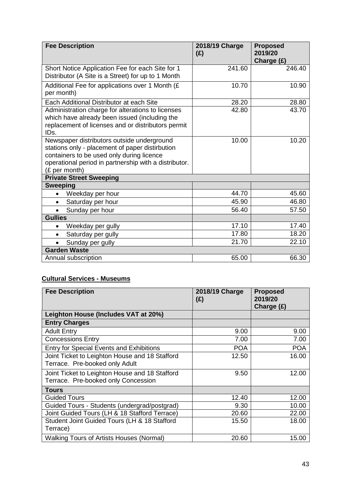| <b>Fee Description</b>                                                                                                                                                                                               | 2018/19 Charge<br>(E) | <b>Proposed</b><br>2019/20<br>Charge (£) |
|----------------------------------------------------------------------------------------------------------------------------------------------------------------------------------------------------------------------|-----------------------|------------------------------------------|
| Short Notice Application Fee for each Site for 1<br>Distributor (A Site is a Street) for up to 1 Month                                                                                                               | 241.60                | 246.40                                   |
| Additional Fee for applications over 1 Month (£<br>per month)                                                                                                                                                        | 10.70                 | 10.90                                    |
| Each Additional Distributor at each Site                                                                                                                                                                             | 28.20                 | 28.80                                    |
| Administration charge for alterations to licenses<br>which have already been issued (including the<br>replacement of licenses and or distributors permit<br>IDs.                                                     | 42.80                 | 43.70                                    |
| Newspaper distributors outside underground<br>stations only - placement of paper distirbution<br>containers to be used only during licence<br>operational period in partnership with a distributor.<br>(£ per month) | 10.00                 | 10.20                                    |
| <b>Private Street Sweeping</b>                                                                                                                                                                                       |                       |                                          |
| <b>Sweeping</b>                                                                                                                                                                                                      |                       |                                          |
| Weekday per hour                                                                                                                                                                                                     | 44.70                 | 45.60                                    |
| Saturday per hour<br>$\bullet$                                                                                                                                                                                       | 45.90                 | 46.80                                    |
| Sunday per hour                                                                                                                                                                                                      | 56.40                 | 57.50                                    |
| <b>Gullies</b>                                                                                                                                                                                                       |                       |                                          |
| Weekday per gully<br>$\bullet$                                                                                                                                                                                       | 17.10                 | 17.40                                    |
| Saturday per gully<br>$\bullet$                                                                                                                                                                                      | 17.80                 | 18.20                                    |
| Sunday per gully                                                                                                                                                                                                     | 21.70                 | 22.10                                    |
| <b>Garden Waste</b>                                                                                                                                                                                                  |                       |                                          |
| Annual subscription                                                                                                                                                                                                  | 65.00                 | 66.30                                    |

# **Cultural Services - Museums**

| <b>Fee Description</b>                                                                | 2018/19 Charge<br>(E) | <b>Proposed</b><br>2019/20<br>Charge (£) |
|---------------------------------------------------------------------------------------|-----------------------|------------------------------------------|
| Leighton House (Includes VAT at 20%)                                                  |                       |                                          |
| <b>Entry Charges</b>                                                                  |                       |                                          |
| <b>Adult Entry</b>                                                                    | 9.00                  | 9.00                                     |
| <b>Concessions Entry</b>                                                              | 7.00                  | 7.00                                     |
| <b>Entry for Special Events and Exhibitions</b>                                       | <b>POA</b>            | <b>POA</b>                               |
| Joint Ticket to Leighton House and 18 Stafford<br>Terrace. Pre-booked only Adult      | 12.50                 | 16.00                                    |
| Joint Ticket to Leighton House and 18 Stafford<br>Terrace. Pre-booked only Concession | 9.50                  | 12.00                                    |
| <b>Tours</b>                                                                          |                       |                                          |
| <b>Guided Tours</b>                                                                   | 12.40                 | 12.00                                    |
| Guided Tours - Students (undergrad/postgrad)                                          | 9.30                  | 10.00                                    |
| Joint Guided Tours (LH & 18 Stafford Terrace)                                         | 20.60                 | 22.00                                    |
| Student Joint Guided Tours (LH & 18 Stafford<br>Terrace)                              | 15.50                 | 18.00                                    |
| <b>Walking Tours of Artists Houses (Normal)</b>                                       | 20.60                 | 15.00                                    |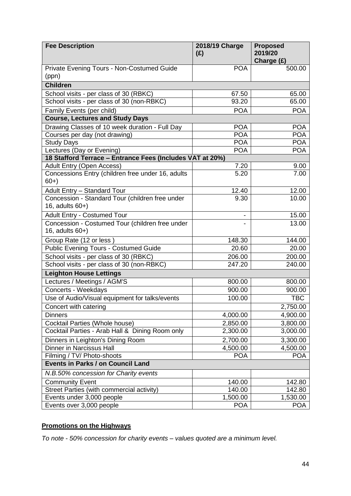| <b>Fee Description</b>                                                | 2018/19 Charge<br>(E) | <b>Proposed</b><br>2019/20 |
|-----------------------------------------------------------------------|-----------------------|----------------------------|
|                                                                       |                       | Charge (£)                 |
| Private Evening Tours - Non-Costumed Guide<br>(ppn)                   | <b>POA</b>            | 500.00                     |
| <b>Children</b>                                                       |                       |                            |
| School visits - per class of 30 (RBKC)                                | 67.50                 | 65.00                      |
| School visits - per class of 30 (non-RBKC)                            | 93.20                 | 65.00                      |
| Family Events (per child)                                             | <b>POA</b>            | <b>POA</b>                 |
| <b>Course, Lectures and Study Days</b>                                |                       |                            |
| Drawing Classes of 10 week duration - Full Day                        | <b>POA</b>            | <b>POA</b>                 |
| Courses per day (not drawing)                                         | <b>POA</b>            | <b>POA</b>                 |
| <b>Study Days</b>                                                     | <b>POA</b>            | <b>POA</b>                 |
| Lectures (Day or Evening)                                             | <b>POA</b>            | <b>POA</b>                 |
| 18 Stafford Terrace - Entrance Fees (Includes VAT at 20%)             |                       |                            |
| <b>Adult Entry (Open Access)</b>                                      | 7.20                  | 9.00                       |
| Concessions Entry (children free under 16, adults<br>$60+$            | 5.20                  | 7.00                       |
| <b>Adult Entry - Standard Tour</b>                                    | 12.40                 | 12.00                      |
| Concession - Standard Tour (children free under<br>16, adults 60+)    | 9.30                  | 10.00                      |
| <b>Adult Entry - Costumed Tour</b>                                    |                       | 15.00                      |
| Concession - Costumed Tour (children free under<br>16, adults $60+$ ) |                       | 13.00                      |
| Group Rate (12 or less)                                               | 148.30                | 144.00                     |
| <b>Public Evening Tours - Costumed Guide</b>                          | 20.60                 | 20.00                      |
| School visits - per class of 30 (RBKC)                                | 206.00                | 200.00                     |
| School visits - per class of 30 (non-RBKC)                            | 247.20                | 240.00                     |
| <b>Leighton House Lettings</b>                                        |                       |                            |
| Lectures / Meetings / AGM'S                                           | 800.00                | 800.00                     |
| Concerts - Weekdays                                                   | 900.00                | 900.00                     |
| Use of Audio/Visual equipment for talks/events                        | 100.00                | <b>TBC</b>                 |
| Concert with catering                                                 |                       | 2,750.00                   |
| <b>Dinners</b>                                                        | 4,000.00              | 4,900.00                   |
| Cocktail Parties (Whole house)                                        | 2,850.00              | 3,800.00                   |
| Cocktail Parties - Arab Hall & Dining Room only                       | 2,300.00              | 3,000.00                   |
| Dinners in Leighton's Dining Room                                     | 2,700.00              | 3,300.00                   |
| <b>Dinner in Narcissus Hall</b>                                       | 4,500.00              | 4,500.00                   |
| Filming / TV/ Photo-shoots                                            | <b>POA</b>            | <b>POA</b>                 |
| <b>Events in Parks / on Council Land</b>                              |                       |                            |
| N.B.50% concession for Charity events                                 |                       |                            |
| <b>Community Event</b>                                                | 140.00                | 142.80                     |
| Street Parties (with commercial activity)                             | 140.00                | 142.80                     |
| Events under 3,000 people                                             | 1,500.00              | 1,530.00                   |
| Events over 3,000 people                                              | <b>POA</b>            | <b>POA</b>                 |

# **Promotions on the Highways**

*To note - 50% concession for charity events – values quoted are a minimum level.*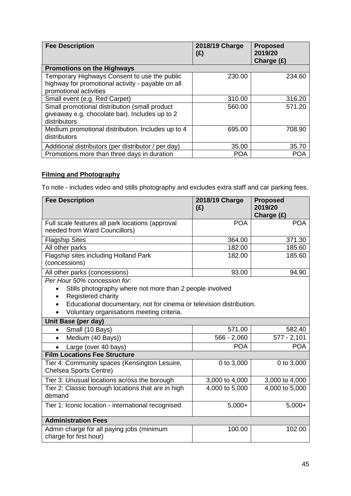| <b>Fee Description</b>                              | 2018/19 Charge<br>(£) | <b>Proposed</b><br>2019/20<br>Charge $(E)$ |
|-----------------------------------------------------|-----------------------|--------------------------------------------|
| <b>Promotions on the Highways</b>                   |                       |                                            |
| Temporary Highways Consent to use the public        | 230.00                | 234.60                                     |
| highway for promotional activity - payable on all   |                       |                                            |
| promotional activities                              |                       |                                            |
| Small event (e.g. Red Carpet)                       | 310.00                | 316.20                                     |
| Small promotional distribution (small product       | 560.00                | 571.20                                     |
| giveaway e.g. chocolate bar). Includes up to 2      |                       |                                            |
| distributors                                        |                       |                                            |
| Medium promotional distribution. Includes up to 4   | 695.00                | 708.90                                     |
| distributors                                        |                       |                                            |
| Additional distributors (per distributor / per day) | 35.00                 | 35.70                                      |
| Promotions more than three days in duration         | <b>POA</b>            | <b>POA</b>                                 |

# **Filming and Photography**

To note - includes video and stills photography and excludes extra staff and car parking fees.

| <b>Fee Description</b>                                                                                                                                                                                                                          | 2018/19 Charge<br>(E) | <b>Proposed</b><br>2019/20<br>Charge (£) |
|-------------------------------------------------------------------------------------------------------------------------------------------------------------------------------------------------------------------------------------------------|-----------------------|------------------------------------------|
| Full scale features all park locations (approval<br>needed from Ward Councillors)                                                                                                                                                               | <b>POA</b>            | <b>POA</b>                               |
| <b>Flagship Sites</b>                                                                                                                                                                                                                           | 364.00                | 371.30                                   |
| All other parks                                                                                                                                                                                                                                 | 182.00                | 185.60                                   |
| Flagship sites including Holland Park<br>(concessions)                                                                                                                                                                                          | 182.00                | 185.60                                   |
| All other parks (concessions)                                                                                                                                                                                                                   | 93.00                 | 94.90                                    |
| Per Hour 50% concession for:<br>Stills photography where not more than 2 people involved<br>$\bullet$<br>Registered charity<br>Educational documentary, not for cinema or television distribution.<br>Voluntary organisations meeting criteria. |                       |                                          |
| Unit Base (per day)                                                                                                                                                                                                                             |                       |                                          |
| Small (10 Bays)                                                                                                                                                                                                                                 | 571.00                | 582.40                                   |
| Medium (40 Bays))<br>$\bullet$                                                                                                                                                                                                                  | $566 - 2,060$         | $577 - 2,101$                            |
| Large (over 40 bays)                                                                                                                                                                                                                            | <b>POA</b>            | <b>POA</b>                               |
| <b>Film Locations Fee Structure</b>                                                                                                                                                                                                             |                       |                                          |
| Tier 4: Community spaces (Kensington Lesuire,<br>Chelsea Sports Centre)                                                                                                                                                                         | 0 to 3,000            | 0 to 3,000                               |
| Tier 3: Unusual locations across the borough                                                                                                                                                                                                    | 3,000 to 4,000        | 3,000 to 4,000                           |
| Tier 2: Classic borough locations that are in high<br>demand                                                                                                                                                                                    | 4,000 to 5,000        | 4,000 to 5,000                           |
| Tier 1: Iconic location - international recognised                                                                                                                                                                                              | $5,000+$              | $5,000+$                                 |
| <b>Administration Fees</b>                                                                                                                                                                                                                      |                       |                                          |
| Admin charge for all paying jobs (minimum<br>charge for first hour)                                                                                                                                                                             | 100.00                | 102.00                                   |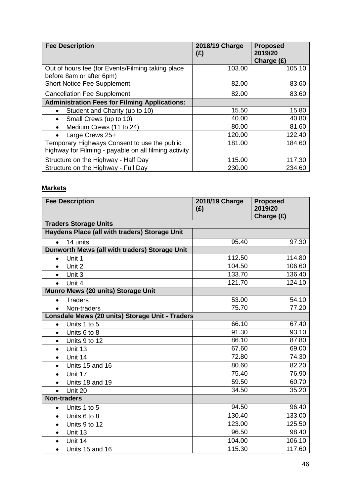| <b>Fee Description</b>                                                                                | 2018/19 Charge<br>(£) | <b>Proposed</b><br>2019/20<br>Charge (£) |
|-------------------------------------------------------------------------------------------------------|-----------------------|------------------------------------------|
| Out of hours fee (for Events/Filming taking place<br>before 8am or after 6pm)                         | 103.00                | 105.10                                   |
| Short Notice Fee Supplement                                                                           | 82.00                 | 83.60                                    |
| <b>Cancellation Fee Supplement</b>                                                                    | 82.00                 | 83.60                                    |
| <b>Administration Fees for Filming Applications:</b>                                                  |                       |                                          |
| Student and Charity (up to 10)<br>$\bullet$                                                           | 15.50                 | 15.80                                    |
| Small Crews (up to 10)<br>$\bullet$                                                                   | 40.00                 | 40.80                                    |
| Medium Crews (11 to 24)<br>$\bullet$                                                                  | 80.00                 | 81.60                                    |
| Large Crews 25+                                                                                       | 120.00                | 122.40                                   |
| Temporary Highways Consent to use the public<br>highway for Filming - payable on all filming activity | 181.00                | 184.60                                   |
| Structure on the Highway - Half Day                                                                   | 115.00                | 117.30                                   |
| Structure on the Highway - Full Day                                                                   | 230.00                | 234.60                                   |

## **Markets**

| <b>Fee Description</b>                          | 2018/19 Charge<br>(E) | <b>Proposed</b><br>2019/20<br>Charge (£) |
|-------------------------------------------------|-----------------------|------------------------------------------|
| <b>Traders Storage Units</b>                    |                       |                                          |
| Haydens Place (all with traders) Storage Unit   |                       |                                          |
| 14 units<br>$\bullet$                           | 95.40                 | 97.30                                    |
| Dunworth Mews (all with traders) Storage Unit   |                       |                                          |
| Unit 1<br>$\bullet$                             | 112.50                | 114.80                                   |
| Unit 2<br>$\bullet$                             | 104.50                | 106.60                                   |
| Unit 3<br>$\bullet$                             | 133.70                | 136.40                                   |
| Unit 4<br>$\bullet$                             | 121.70                | 124.10                                   |
| Munro Mews (20 units) Storage Unit              |                       |                                          |
| <b>Traders</b><br>$\bullet$                     | 53.00                 | 54.10                                    |
| Non-traders<br>$\bullet$                        | 75.70                 | 77.20                                    |
| Lonsdale Mews (20 units) Storage Unit - Traders |                       |                                          |
| Units 1 to 5<br>$\bullet$                       | 66.10                 | 67.40                                    |
| Units 6 to 8<br>$\bullet$                       | 91.30                 | 93.10                                    |
| Units 9 to 12<br>$\bullet$                      | 86.10                 | 87.80                                    |
| Unit 13<br>$\bullet$                            | 67.60                 | 69.00                                    |
| Unit 14<br>$\bullet$                            | 72.80                 | 74.30                                    |
| Units 15 and 16<br>$\bullet$                    | 80.60                 | 82.20                                    |
| Unit 17<br>$\bullet$                            | 75.40                 | 76.90                                    |
| Units 18 and 19<br>$\bullet$                    | 59.50                 | 60.70                                    |
| Unit 20<br>$\bullet$                            | 34.50                 | 35.20                                    |
| <b>Non-traders</b>                              |                       |                                          |
| Units 1 to 5<br>$\bullet$                       | 94.50                 | 96.40                                    |
| Units 6 to 8<br>$\bullet$                       | 130.40                | 133.00                                   |
| Units 9 to 12<br>$\bullet$                      | 123.00                | 125.50                                   |
| Unit 13<br>$\bullet$                            | 96.50                 | 98.40                                    |
| Unit 14<br>$\bullet$                            | 104.00                | 106.10                                   |
| Units 15 and 16<br>$\bullet$                    | 115.30                | 117.60                                   |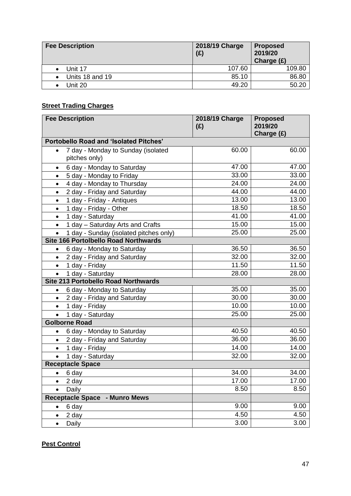| <b>Fee Description</b> | 2018/19 Charge<br>(E) | <b>Proposed</b><br>2019/20<br>Charge $(E)$ |
|------------------------|-----------------------|--------------------------------------------|
| Unit 17                | 107.60                | 109.80                                     |
| Units 18 and 19        | 85.10                 | 86.80                                      |
| Jnit 20.               | 49.20                 | 50.20                                      |

## **Street Trading Charges**

|           | <b>Fee Description</b>                        | 2018/19 Charge<br>(E) | <b>Proposed</b><br>2019/20<br>Charge (£) |
|-----------|-----------------------------------------------|-----------------------|------------------------------------------|
|           | <b>Portobello Road and 'Isolated Pitches'</b> |                       |                                          |
| $\bullet$ | 7 day - Monday to Sunday (isolated            | 60.00                 | 60.00                                    |
|           | pitches only)                                 |                       |                                          |
| $\bullet$ | 6 day - Monday to Saturday                    | 47.00                 | 47.00                                    |
| $\bullet$ | 5 day - Monday to Friday                      | 33.00                 | 33.00                                    |
| $\bullet$ | 4 day - Monday to Thursday                    | 24.00                 | 24.00                                    |
| $\bullet$ | 2 day - Friday and Saturday                   | 44.00                 | 44.00                                    |
| $\bullet$ | 1 day - Friday - Antiques                     | 13.00                 | 13.00                                    |
| $\bullet$ | 1 day - Friday - Other                        | 18.50                 | 18.50                                    |
| $\bullet$ | 1 day - Saturday                              | 41.00                 | 41.00                                    |
| $\bullet$ | 1 day - Saturday Arts and Crafts              | 15.00                 | 15.00                                    |
|           | 1 day - Sunday (isolated pitches only)        | 25.00                 | 25.00                                    |
|           | <b>Site 166 Portolbello Road Northwards</b>   |                       |                                          |
| $\bullet$ | 6 day - Monday to Saturday                    | 36.50                 | 36.50                                    |
| $\bullet$ | 2 day - Friday and Saturday                   | 32.00                 | 32.00                                    |
| $\bullet$ | 1 day - Friday                                | $\overline{1}$ 1.50   | 11.50                                    |
|           | 1 day - Saturday                              | 28.00                 | 28.00                                    |
|           | Site 213 Portobello Road Northwards           |                       |                                          |
| $\bullet$ | 6 day - Monday to Saturday                    | 35.00                 | 35.00                                    |
| $\bullet$ | 2 day - Friday and Saturday                   | 30.00                 | 30.00                                    |
| $\bullet$ | 1 day - Friday                                | 10.00                 | 10.00                                    |
| $\bullet$ | 1 day - Saturday                              | 25.00                 | 25.00                                    |
|           | <b>Golborne Road</b>                          |                       |                                          |
| ٠         | 6 day - Monday to Saturday                    | 40.50                 | 40.50                                    |
| $\bullet$ | 2 day - Friday and Saturday                   | 36.00                 | 36.00                                    |
| $\bullet$ | 1 day - Friday                                | 14.00                 | 14.00                                    |
|           | 1 day - Saturday                              | 32.00                 | 32.00                                    |
|           | <b>Receptacle Space</b>                       |                       |                                          |
| $\bullet$ | 6 day                                         | 34.00                 | 34.00                                    |
|           | 2 day                                         | 17.00                 | 17.00                                    |
|           | Daily                                         | 8.50                  | 8.50                                     |
|           | <b>Receptacle Space</b><br>- Munro Mews       |                       |                                          |
| $\bullet$ | 6 day                                         | 9.00                  | 9.00                                     |
| $\bullet$ | 2 day                                         | 4.50                  | 4.50                                     |
| $\bullet$ | Daily                                         | 3.00                  | 3.00                                     |

## **Pest Control**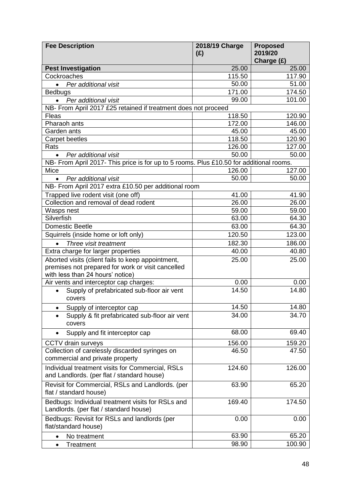| <b>Fee Description</b>                                                                         | 2018/19 Charge<br>(E) | <b>Proposed</b><br>2019/20 |
|------------------------------------------------------------------------------------------------|-----------------------|----------------------------|
|                                                                                                |                       | Charge (£)                 |
| <b>Pest Investigation</b>                                                                      | 25.00                 | 25.00                      |
| Cockroaches                                                                                    | 115.50                | 117.90                     |
| Per additional visit<br>$\bullet$                                                              | 50.00                 | 51.00                      |
| <b>Bedbugs</b>                                                                                 | 171.00                | 174.50                     |
| Per additional visit                                                                           | 99.00                 | 101.00                     |
| NB- From April 2017 £25 retained if treatment does not proceed                                 |                       |                            |
| <b>Fleas</b>                                                                                   | 118.50                | 120.90                     |
| Pharaoh ants                                                                                   | 172.00                | 146.00                     |
| Garden ants                                                                                    | 45.00                 | 45.00                      |
| <b>Carpet beetles</b>                                                                          | 118.50                | 120.90                     |
| Rats                                                                                           | 126.00                | 127.00                     |
| Per additional visit<br>$\bullet$                                                              | 50.00                 | 50.00                      |
| NB- From April 2017- This price is for up to 5 rooms. Plus £10.50 for additional rooms.        |                       |                            |
| Mice                                                                                           | 126.00                | 127.00                     |
| Per additional visit<br>$\bullet$                                                              | 50.00                 | 50.00                      |
| NB- From April 2017 extra £10.50 per additional room                                           |                       |                            |
| Trapped live rodent visit (one off)                                                            | 41.00                 | 41.90                      |
| Collection and removal of dead rodent                                                          | 26.00                 | 26.00                      |
| Wasps nest                                                                                     | 59.00                 | 59.00                      |
| Silverfish                                                                                     | 63.00                 | 64.30                      |
| <b>Domestic Beetle</b>                                                                         | 63.00                 | 64.30                      |
| Squirrels (inside home or loft only)                                                           | 120.50                | 123.00                     |
| Three visit treatment                                                                          | 182.30                | 186.00                     |
| Extra charge for larger properties                                                             | 40.00                 | 40.80                      |
| Aborted visits (client fails to keep appointment,                                              | 25.00                 | 25.00                      |
| premises not prepared for work or visit cancelled                                              |                       |                            |
| with less than 24 hours' notice)                                                               |                       |                            |
| Air vents and interceptor cap charges:                                                         | 0.00                  | 0.00                       |
| Supply of prefabricated sub-floor air vent                                                     | 14.50                 | 14.80                      |
| covers                                                                                         |                       |                            |
| Supply of interceptor cap<br>٠                                                                 | 14.50                 | 14.80                      |
| Supply & fit prefabricated sub-floor air vent                                                  | 34.00                 | 34.70                      |
| covers                                                                                         |                       |                            |
| Supply and fit interceptor cap<br>$\bullet$                                                    | 68.00                 | 69.40                      |
| <b>CCTV</b> drain surveys                                                                      | 156.00                | 159.20                     |
| Collection of carelessly discarded syringes on                                                 | 46.50                 | 47.50                      |
| commercial and private property                                                                |                       |                            |
| Individual treatment visits for Commercial, RSLs<br>and Landlords. (per flat / standard house) | 124.60                | 126.00                     |
|                                                                                                |                       |                            |
| Revisit for Commercial, RSLs and Landlords. (per<br>flat / standard house)                     | 63.90                 | 65.20                      |
| Bedbugs: Individual treatment visits for RSLs and<br>Landlords. (per flat / standard house)    | 169.40                | 174.50                     |
| Bedbugs: Revisit for RSLs and landlords (per                                                   | 0.00                  | 0.00                       |
| flat/standard house)                                                                           |                       |                            |
| No treatment<br>$\bullet$                                                                      | 63.90                 | 65.20                      |
| Treatment<br>$\bullet$                                                                         | 98.90                 | 100.90                     |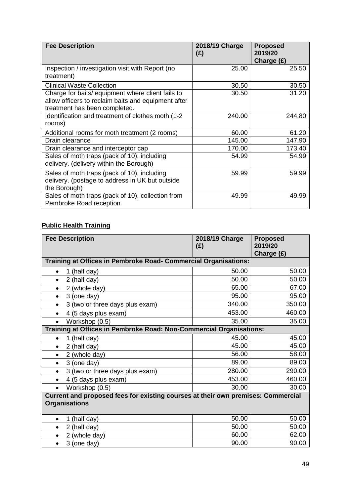| <b>Fee Description</b>                                                                                                                    | 2018/19 Charge<br>(E) | <b>Proposed</b><br>2019/20<br>Charge $(E)$ |
|-------------------------------------------------------------------------------------------------------------------------------------------|-----------------------|--------------------------------------------|
| Inspection / investigation visit with Report (no<br>treatment)                                                                            | 25.00                 | 25.50                                      |
| <b>Clinical Waste Collection</b>                                                                                                          | 30.50                 | 30.50                                      |
| Charge for baits/ equipment where client fails to<br>allow officers to reclaim baits and equipment after<br>treatment has been completed. | 30.50                 | 31.20                                      |
| Identification and treatment of clothes moth (1-2)<br>rooms)                                                                              | 240.00                | 244.80                                     |
| Additional rooms for moth treatment (2 rooms)                                                                                             | 60.00                 | 61.20                                      |
| Drain clearance                                                                                                                           | 145.00                | 147.90                                     |
| Drain clearance and interceptor cap                                                                                                       | 170.00                | 173.40                                     |
| Sales of moth traps (pack of 10), including<br>delivery. (delivery within the Borough)                                                    | 54.99                 | 54.99                                      |
| Sales of moth traps (pack of 10), including<br>delivery. (postage to address in UK but outside<br>the Borough)                            | 59.99                 | 59.99                                      |
| Sales of moth traps (pack of 10), collection from<br>Pembroke Road reception.                                                             | 49.99                 | 49.99                                      |

## **Public Health Training**

| <b>Fee Description</b>                                                                                   | 2018/19 Charge<br>(E) | <b>Proposed</b><br>2019/20<br>Charge (£) |
|----------------------------------------------------------------------------------------------------------|-----------------------|------------------------------------------|
| Training at Offices in Pembroke Road- Commercial Organisations:                                          |                       |                                          |
| 1 (half day)<br>$\bullet$                                                                                | 50.00                 | 50.00                                    |
| 2 (half day)<br>$\bullet$                                                                                | 50.00                 | 50.00                                    |
| 2 (whole day)<br>$\bullet$                                                                               | 65.00                 | 67.00                                    |
| 3 (one day)<br>$\bullet$                                                                                 | 95.00                 | 95.00                                    |
| 3 (two or three days plus exam)<br>$\bullet$                                                             | 340.00                | 350.00                                   |
| 4 (5 days plus exam)<br>$\bullet$                                                                        | 453.00                | 460.00                                   |
| Workshop (0.5)<br>$\bullet$                                                                              | 35.00                 | 35.00                                    |
| Training at Offices in Pembroke Road: Non-Commercial Organisations:                                      |                       |                                          |
| 1 (half day)<br>$\bullet$                                                                                | 45.00                 | 45.00                                    |
| 2 (half day)<br>$\bullet$                                                                                | 45.00                 | 45.00                                    |
| 2 (whole day)<br>٠                                                                                       | 56.00                 | 58.00                                    |
| 3 (one day)<br>$\bullet$                                                                                 | 89.00                 | 89.00                                    |
| 3 (two or three days plus exam)<br>$\bullet$                                                             | 280.00                | 290.00                                   |
| 4 (5 days plus exam)<br>$\bullet$                                                                        | 453.00                | 460.00                                   |
| Workshop (0.5)                                                                                           | 30.00                 | 30.00                                    |
| Current and proposed fees for existing courses at their own premises: Commercial<br><b>Organisations</b> |                       |                                          |
| (half day)<br>1<br>$\bullet$                                                                             | 50.00                 | 50.00                                    |
| 2 (half day)<br>$\bullet$                                                                                | 50.00                 | 50.00                                    |
| 2 (whole day)<br>$\bullet$                                                                               | 60.00                 | 62.00                                    |
| 3 (one day)<br>$\bullet$                                                                                 | 90.00                 | 90.00                                    |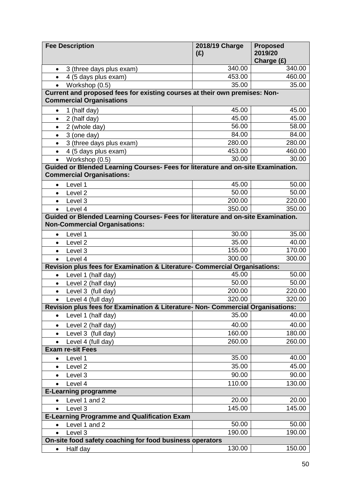| <b>Fee Description</b>                                                                                        | 2018/19 Charge | <b>Proposed</b>       |
|---------------------------------------------------------------------------------------------------------------|----------------|-----------------------|
|                                                                                                               | (E)            | 2019/20<br>Charge (£) |
| 3 (three days plus exam)<br>$\bullet$                                                                         | 340.00         | 340.00                |
| 4 (5 days plus exam)                                                                                          | 453.00         | 460.00                |
| Workshop (0.5)<br>$\bullet$                                                                                   | 35.00          | 35.00                 |
| Current and proposed fees for existing courses at their own premises: Non-<br><b>Commercial Organisations</b> |                |                       |
| 1 (half day)<br>$\bullet$                                                                                     | 45.00          | 45.00                 |
| 2 (half day)<br>$\bullet$                                                                                     | 45.00          | 45.00                 |
| 2 (whole day)<br>$\bullet$                                                                                    | 56.00          | 58.00                 |
| 3 (one day)<br>$\bullet$                                                                                      | 84.00          | 84.00                 |
| 3 (three days plus exam)<br>$\bullet$                                                                         | 280.00         | 280.00                |
| 4 (5 days plus exam)<br>$\bullet$                                                                             | 453.00         | 460.00                |
| Workshop (0.5)<br>$\bullet$                                                                                   | 30.00          | 30.00                 |
| Guided or Blended Learning Courses- Fees for literature and on-site Examination.                              |                |                       |
| <b>Commercial Organisations:</b>                                                                              |                |                       |
| Level 1<br>$\bullet$                                                                                          | 45.00          | 50.00                 |
| Level <sub>2</sub><br>$\bullet$                                                                               | 50.00          | 50.00                 |
| Level 3<br>$\bullet$                                                                                          | 200.00         | 220.00                |
| Level 4<br>$\bullet$                                                                                          | 350.00         | 350.00                |
| Guided or Blended Learning Courses- Fees for literature and on-site Examination.                              |                |                       |
| <b>Non-Commercial Organisations:</b>                                                                          |                |                       |
| Level 1<br>$\bullet$                                                                                          | 30.00          | 35.00                 |
| Level <sub>2</sub><br>$\bullet$                                                                               | 35.00          | 40.00                 |
| Level 3<br>$\bullet$                                                                                          | 155.00         | 170.00                |
| Level 4<br>$\bullet$                                                                                          | 300.00         | 300.00                |
| Revision plus fees for Examination & Literature- Commercial Organisations:                                    |                |                       |
| Level 1 (half day)<br>$\bullet$                                                                               | 45.00<br>50.00 | 50.00<br>50.00        |
| Level 2 (half day)<br>$\bullet$<br>Level 3 (full day)                                                         | 200.00         | 220.00                |
| $\bullet$<br>Level 4 (full day)<br>$\bullet$                                                                  | 320.00         | 320.00                |
| Revision plus fees for Examination & Literature- Non- Commercial Organisations:                               |                |                       |
| Level 1 (half day)<br>$\bullet$                                                                               | 35.00          | 40.00                 |
|                                                                                                               | 40.00          | 40.00                 |
| Level 2 (half day)<br>$\bullet$<br>Level 3 (full day)                                                         | 160.00         | 180.00                |
| $\bullet$<br>Level 4 (full day)                                                                               | 260.00         | 260.00                |
| <b>Exam re-sit Fees</b>                                                                                       |                |                       |
| Level 1<br>$\bullet$                                                                                          | 35.00          | 40.00                 |
| Level <sub>2</sub><br>$\bullet$                                                                               | 35.00          | 45.00                 |
| Level 3<br>$\bullet$                                                                                          | 90.00          | 90.00                 |
| Level 4<br>$\bullet$                                                                                          | 110.00         | 130.00                |
| <b>E-Learning programme</b>                                                                                   |                |                       |
| Level 1 and 2<br>$\bullet$                                                                                    | 20.00          | 20.00                 |
| Level 3<br>$\bullet$                                                                                          | 145.00         | 145.00                |
| <b>E-Learning Programme and Qualification Exam</b>                                                            |                |                       |
| Level 1 and 2<br>$\bullet$                                                                                    | 50.00          | 50.00                 |
| Level 3                                                                                                       | 190.00         | 190.00                |
| On-site food safety coaching for food business operators                                                      |                |                       |
| Half day<br>$\bullet$                                                                                         | 130.00         | 150.00                |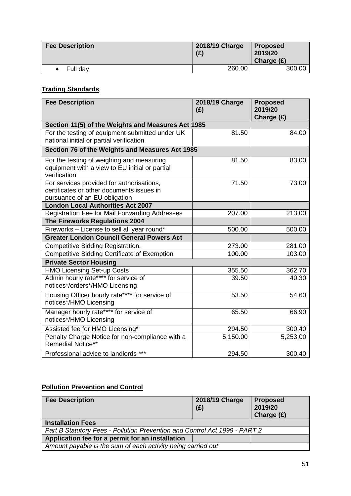| <b>Fee Description</b> | 2018/19 Charge<br>(E) | <b>Proposed</b><br>2019/20<br>Charge $(E)$ |
|------------------------|-----------------------|--------------------------------------------|
| Full dav               | 260.00                | 300.00                                     |

# **Trading Standards**

| <b>Fee Description</b>                                                                                                  | 2018/19 Charge<br>(E) | <b>Proposed</b><br>2019/20<br>Charge (£) |
|-------------------------------------------------------------------------------------------------------------------------|-----------------------|------------------------------------------|
| Section 11(5) of the Weights and Measures Act 1985                                                                      |                       |                                          |
| For the testing of equipment submitted under UK<br>national initial or partial verification                             | 81.50                 | 84.00                                    |
| Section 76 of the Weights and Measures Act 1985                                                                         |                       |                                          |
| For the testing of weighing and measuring<br>equipment with a view to EU initial or partial<br>verification             | 81.50                 | 83.00                                    |
| For services provided for authorisations,<br>certificates or other documents issues in<br>pursuance of an EU obligation | 71.50                 | 73.00                                    |
| <b>London Local Authorities Act 2007</b>                                                                                |                       |                                          |
| <b>Registration Fee for Mail Forwarding Addresses</b>                                                                   | 207.00                | 213.00                                   |
| The Fireworks Regulations 2004                                                                                          |                       |                                          |
| Fireworks - License to sell all year round*                                                                             | 500.00                | 500.00                                   |
| <b>Greater London Council General Powers Act</b>                                                                        |                       |                                          |
| Competitive Bidding Registration.                                                                                       | 273.00                | 281.00                                   |
| <b>Competitive Bidding Certificate of Exemption</b>                                                                     | 100.00                | 103.00                                   |
| <b>Private Sector Housing</b>                                                                                           |                       |                                          |
| <b>HMO Licensing Set-up Costs</b>                                                                                       | 355.50                | 362.70                                   |
| Admin hourly rate**** for service of<br>notices*/orders*/HMO Licensing                                                  | 39.50                 | 40.30                                    |
| Housing Officer hourly rate**** for service of<br>notices*/HMO Licensing                                                | 53.50                 | 54.60                                    |
| Manager hourly rate**** for service of<br>notices*/HMO Licensing                                                        | 65.50                 | 66.90                                    |
| Assisted fee for HMO Licensing*                                                                                         | 294.50                | 300.40                                   |
| Penalty Charge Notice for non-compliance with a<br><b>Remedial Notice**</b>                                             | 5,150.00              | 5,253.00                                 |
| Professional advice to landlords ***                                                                                    | 294.50                | 300.40                                   |

# **Pollution Prevention and Control**

| <b>Fee Description</b>                                                     | 2018/19 Charge<br>(E) | <b>Proposed</b><br>2019/20<br>Charge $(E)$ |  |
|----------------------------------------------------------------------------|-----------------------|--------------------------------------------|--|
| <b>Installation Fees</b>                                                   |                       |                                            |  |
| Part B Statutory Fees - Pollution Prevention and Control Act 1999 - PART 2 |                       |                                            |  |
| Application fee for a permit for an installation                           |                       |                                            |  |
| Amount payable is the sum of each activity being carried out               |                       |                                            |  |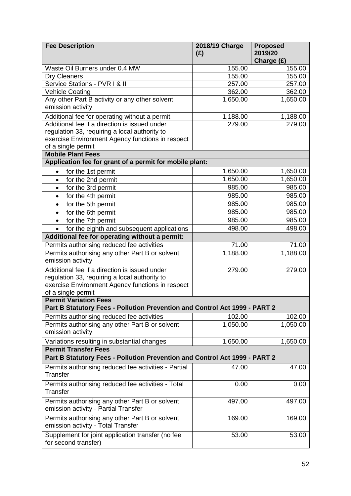| <b>Fee Description</b>                                                                         | 2018/19 Charge<br>(E) | <b>Proposed</b><br>2019/20<br>Charge (£) |
|------------------------------------------------------------------------------------------------|-----------------------|------------------------------------------|
| Waste Oil Burners under 0.4 MW                                                                 | 155.00                | 155.00                                   |
| <b>Dry Cleaners</b>                                                                            | 155.00                | 155.00                                   |
| Service Stations - PVR I & II                                                                  | 257.00                | 257.00                                   |
| Vehicle Coating                                                                                | 362.00                | 362.00                                   |
| Any other Part B activity or any other solvent<br>emission activity                            | 1,650.00              | 1,650.00                                 |
|                                                                                                |                       |                                          |
| Additional fee for operating without a permit<br>Additional fee if a direction is issued under | 1,188.00<br>279.00    | 1,188.00<br>279.00                       |
| regulation 33, requiring a local authority to                                                  |                       |                                          |
| exercise Environment Agency functions in respect                                               |                       |                                          |
| of a single permit                                                                             |                       |                                          |
| <b>Mobile Plant Fees</b>                                                                       |                       |                                          |
| Application fee for grant of a permit for mobile plant:                                        |                       |                                          |
| for the 1st permit<br>$\bullet$                                                                | 1,650.00              | 1,650.00                                 |
| for the 2nd permit<br>$\bullet$                                                                | 1,650.00              | 1,650.00                                 |
| for the 3rd permit<br>$\bullet$                                                                | 985.00                | 985.00                                   |
| for the 4th permit<br>$\bullet$                                                                | 985.00                | 985.00                                   |
| for the 5th permit<br>$\bullet$                                                                | 985.00                | 985.00                                   |
| for the 6th permit<br>$\bullet$                                                                | 985.00                | 985.00                                   |
| for the 7th permit<br>$\bullet$                                                                | 985.00                | 985.00                                   |
| for the eighth and subsequent applications                                                     | 498.00                | 498.00                                   |
| Additional fee for operating without a permit:                                                 |                       |                                          |
| Permits authorising reduced fee activities                                                     | 71.00                 | 71.00                                    |
| Permits authorising any other Part B or solvent<br>emission activity                           | 1,188.00              | 1,188.00                                 |
| Additional fee if a direction is issued under                                                  | 279.00                | 279.00                                   |
| regulation 33, requiring a local authority to                                                  |                       |                                          |
| exercise Environment Agency functions in respect                                               |                       |                                          |
| of a single permit                                                                             |                       |                                          |
| <b>Permit Variation Fees</b>                                                                   |                       |                                          |
| Part B Statutory Fees - Pollution Prevention and Control Act 1999 - PART 2                     |                       |                                          |
| Permits authorising reduced fee activities                                                     | 102.00                | 102.00                                   |
| Permits authorising any other Part B or solvent<br>emission activity                           | 1,050.00              | 1,050.00                                 |
| Variations resulting in substantial changes                                                    | 1,650.00              | 1,650.00                                 |
| <b>Permit Transfer Fees</b>                                                                    |                       |                                          |
| Part B Statutory Fees - Pollution Prevention and Control Act 1999 - PART 2                     |                       |                                          |
| Permits authorising reduced fee activities - Partial<br>Transfer                               | 47.00                 | 47.00                                    |
| Permits authorising reduced fee activities - Total<br>Transfer                                 | 0.00                  | 0.00                                     |
| Permits authorising any other Part B or solvent<br>emission activity - Partial Transfer        | 497.00                | 497.00                                   |
| Permits authorising any other Part B or solvent<br>emission activity - Total Transfer          | 169.00                | 169.00                                   |
| Supplement for joint application transfer (no fee<br>for second transfer)                      | 53.00                 | 53.00                                    |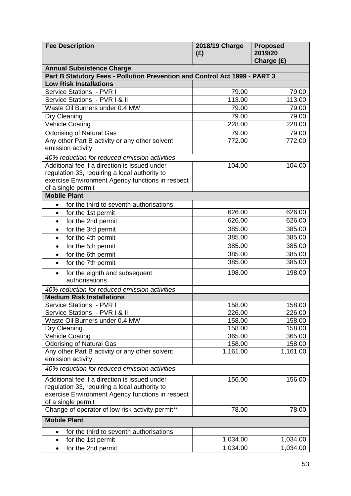| <b>Fee Description</b>                                                     | 2018/19 Charge<br>(E) | <b>Proposed</b><br>2019/20<br>Charge (£) |  |
|----------------------------------------------------------------------------|-----------------------|------------------------------------------|--|
| <b>Annual Subsistence Charge</b>                                           |                       |                                          |  |
| Part B Statutory Fees - Pollution Prevention and Control Act 1999 - PART 3 |                       |                                          |  |
| <b>Low Risk Installations</b>                                              |                       |                                          |  |
| Service Stations - PVR I                                                   | 79.00                 | 79.00                                    |  |
| Service Stations - PVR I & II                                              | 113.00                | 113.00                                   |  |
| Waste Oil Burners under 0.4 MW                                             | 79.00                 | 79.00                                    |  |
| Dry Cleaning                                                               | 79.00                 | 79.00                                    |  |
| <b>Vehicle Coating</b>                                                     | 228.00                | 228.00                                   |  |
| <b>Odorising of Natural Gas</b>                                            | 79.00                 | 79.00                                    |  |
| Any other Part B activity or any other solvent                             | 772.00                | 772.00                                   |  |
| emission activity                                                          |                       |                                          |  |
| 40% reduction for reduced emission activities                              |                       |                                          |  |
| Additional fee if a direction is issued under                              | 104.00                | 104.00                                   |  |
| regulation 33, requiring a local authority to                              |                       |                                          |  |
| exercise Environment Agency functions in respect                           |                       |                                          |  |
| of a single permit                                                         |                       |                                          |  |
| <b>Mobile Plant</b>                                                        |                       |                                          |  |
| for the third to seventh authorisations<br>$\bullet$                       |                       |                                          |  |
| for the 1st permit<br>$\bullet$                                            | 626.00                | 626.00                                   |  |
| for the 2nd permit<br>$\bullet$                                            | 626.00                | 626.00                                   |  |
| for the 3rd permit<br>$\bullet$                                            | 385.00                | 385.00                                   |  |
| for the 4th permit<br>$\bullet$                                            | 385.00                | 385.00                                   |  |
| for the 5th permit<br>$\bullet$                                            | 385.00                | 385.00                                   |  |
| for the 6th permit<br>$\bullet$                                            | 385.00                | 385.00                                   |  |
| for the 7th permit<br>$\bullet$                                            | 385.00                | 385.00                                   |  |
| for the eighth and subsequent<br>$\bullet$<br>authorisations               | 198.00                | 198.00                                   |  |
| 40% reduction for reduced emission activities                              |                       |                                          |  |
| <b>Medium Risk Installations</b>                                           |                       |                                          |  |
| Service Stations - PVR I                                                   | 158.00                | 158.00                                   |  |
| Service Stations - PVR I & II                                              | 226.00                | 226.00                                   |  |
| Waste Oil Burners under 0.4 MW                                             | 158.00                | 158.00                                   |  |
| Dry Cleaning                                                               | 158.00                | 158.00                                   |  |
| <b>Vehicle Coating</b>                                                     | 365.00                | 365.00                                   |  |
| <b>Odorising of Natural Gas</b>                                            | 158.00                | 158.00                                   |  |
| Any other Part B activity or any other solvent                             | 1,161.00              | 1,161.00                                 |  |
| emission activity                                                          |                       |                                          |  |
| 40% reduction for reduced emission activities                              |                       |                                          |  |
| Additional fee if a direction is issued under                              | 156.00                | 156.00                                   |  |
| regulation 33, requiring a local authority to                              |                       |                                          |  |
| exercise Environment Agency functions in respect                           |                       |                                          |  |
| of a single permit                                                         |                       |                                          |  |
| Change of operator of low risk activity permit**                           | 78.00                 | 78.00                                    |  |
| <b>Mobile Plant</b>                                                        |                       |                                          |  |
| for the third to seventh authorisations<br>$\bullet$                       |                       |                                          |  |
| for the 1st permit<br>$\bullet$                                            | 1,034.00              | 1,034.00                                 |  |
| for the 2nd permit<br>$\bullet$                                            | 1,034.00              | 1,034.00                                 |  |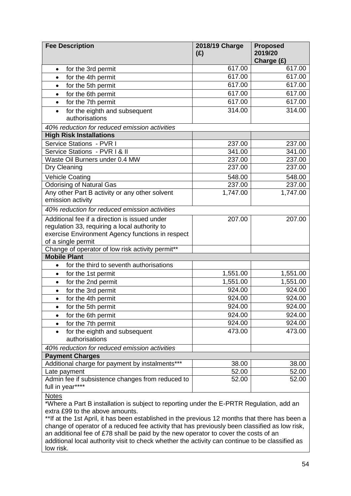| <b>Fee Description</b>                                                                                                                                                   | 2018/19 Charge<br>(E) | <b>Proposed</b><br>2019/20<br>Charge (£) |
|--------------------------------------------------------------------------------------------------------------------------------------------------------------------------|-----------------------|------------------------------------------|
| for the 3rd permit<br>$\bullet$                                                                                                                                          | 617.00                | 617.00                                   |
| for the 4th permit<br>$\bullet$                                                                                                                                          | 617.00                | 617.00                                   |
| for the 5th permit<br>$\bullet$                                                                                                                                          | 617.00                | 617.00                                   |
| for the 6th permit<br>$\bullet$                                                                                                                                          | 617.00                | 617.00                                   |
| for the 7th permit<br>$\bullet$                                                                                                                                          | 617.00                | 617.00                                   |
| for the eighth and subsequent<br>$\bullet$<br>authorisations                                                                                                             | 314.00                | 314.00                                   |
| 40% reduction for reduced emission activities                                                                                                                            |                       |                                          |
| <b>High Risk Installations</b>                                                                                                                                           |                       |                                          |
| Service Stations - PVR I                                                                                                                                                 | 237.00                | 237.00                                   |
| Service Stations - PVR I & II                                                                                                                                            | 341.00                | 341.00                                   |
| Waste Oil Burners under 0.4 MW                                                                                                                                           | 237.00                | 237.00                                   |
| Dry Cleaning                                                                                                                                                             | 237.00                | 237.00                                   |
| <b>Vehicle Coating</b>                                                                                                                                                   | 548.00                | 548.00                                   |
| <b>Odorising of Natural Gas</b>                                                                                                                                          | 237.00                | 237.00                                   |
| Any other Part B activity or any other solvent<br>emission activity                                                                                                      | 1,747.00              | 1,747.00                                 |
| 40% reduction for reduced emission activities                                                                                                                            |                       |                                          |
| Additional fee if a direction is issued under<br>regulation 33, requiring a local authority to<br>exercise Environment Agency functions in respect<br>of a single permit | 207.00                | 207.00                                   |
| Change of operator of low risk activity permit**                                                                                                                         |                       |                                          |
| <b>Mobile Plant</b>                                                                                                                                                      |                       |                                          |
| for the third to seventh authorisations<br>$\bullet$                                                                                                                     |                       |                                          |
| for the 1st permit<br>$\bullet$                                                                                                                                          | 1,551.00              | 1,551.00                                 |
| for the 2nd permit<br>$\bullet$                                                                                                                                          | 1,551.00              | 1,551.00                                 |
| for the 3rd permit<br>$\bullet$                                                                                                                                          | 924.00                | 924.00                                   |
| for the 4th permit                                                                                                                                                       | 924.00                | 924.00                                   |
| for the 5th permit<br>$\bullet$                                                                                                                                          | 924.00                | 924.00                                   |
| for the 6th permit<br>$\bullet$                                                                                                                                          | 924.00                | 924.00                                   |
| for the 7th permit<br>$\bullet$                                                                                                                                          | 924.00                | 924.00                                   |
| for the eighth and subsequent<br>$\bullet$<br>authorisations                                                                                                             | 473.00                | 473.00                                   |
| 40% reduction for reduced emission activities                                                                                                                            |                       |                                          |
| <b>Payment Charges</b>                                                                                                                                                   |                       |                                          |
| Additional charge for payment by instalments***                                                                                                                          | 38.00                 | 38.00                                    |
| Late payment                                                                                                                                                             | 52.00                 | 52.00                                    |
| Admin fee if subsistence changes from reduced to<br>full in year****                                                                                                     | 52.00                 | 52.00                                    |

**Notes** 

\*Where a Part B installation is subject to reporting under the E-PRTR Regulation, add an extra £99 to the above amounts.

\*\*If at the 1st April, it has been established in the previous 12 months that there has been a change of operator of a reduced fee activity that has previously been classified as low risk, an additional fee of £78 shall be paid by the new operator to cover the costs of an additional local authority visit to check whether the activity can continue to be classified as low risk.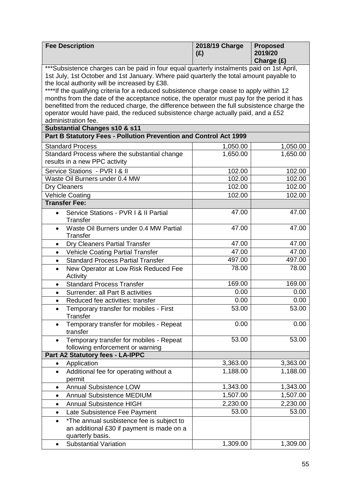| <b>Fee Description</b>                                                                                                                                                               | 2018/19 Charge<br>(E) | <b>Proposed</b><br>2019/20<br>Charge (£) |
|--------------------------------------------------------------------------------------------------------------------------------------------------------------------------------------|-----------------------|------------------------------------------|
| ***Subsistence charges can be paid in four equal quarterly instalments paid on 1st April,<br>1st July, 1st October and 1st January. Where paid quarterly the total amount payable to |                       |                                          |
| the local authority will be increased by £38.<br>****If the qualifying criteria for a reduced subsistence charge cease to apply within 12                                            |                       |                                          |
| months from the date of the acceptance notice, the operator must pay for the period it has                                                                                           |                       |                                          |
| benefitted from the reduced charge, the difference between the full subsistence charge the<br>operator would have paid, the reduced subsistence charge actually paid, and a £52      |                       |                                          |
| administration fee.                                                                                                                                                                  |                       |                                          |
| Substantial Changes s10 & s11                                                                                                                                                        |                       |                                          |
| Part B Statutory Fees - Pollution Prevention and Control Act 1999                                                                                                                    |                       |                                          |
| <b>Standard Process</b>                                                                                                                                                              | 1,050.00              | 1,050.00                                 |
| Standard Process where the substantial change                                                                                                                                        | 1,650.00              | $\overline{1,650.00}$                    |
| results in a new PPC activity                                                                                                                                                        |                       |                                          |
| Service Stations - PVR I & II                                                                                                                                                        | 102.00                | 102.00                                   |
| Waste Oil Burners under 0.4 MW                                                                                                                                                       | 102.00                | 102.00                                   |
| Dry Cleaners                                                                                                                                                                         | 102.00                | 102.00                                   |
| <b>Vehicle Coating</b>                                                                                                                                                               | 102.00                | 102.00                                   |
| <b>Transfer Fee:</b>                                                                                                                                                                 |                       |                                          |
| Service Stations - PVR I & II Partial<br>Transfer                                                                                                                                    | 47.00                 | 47.00                                    |
| Waste Oil Burners under 0.4 MW Partial<br>Transfer                                                                                                                                   | 47.00                 | 47.00                                    |
| Dry Cleaners Partial Transfer<br>٠                                                                                                                                                   | 47.00                 | 47.00                                    |
| <b>Vehicle Coating Partial Transfer</b><br>$\bullet$                                                                                                                                 | 47.00                 | 47.00                                    |
| <b>Standard Process Partial Transfer</b><br>$\bullet$                                                                                                                                | 497.00                | 497.00                                   |
| New Operator at Low Risk Reduced Fee<br>Activity                                                                                                                                     | 78.00                 | 78.00                                    |
| <b>Standard Process Transfer</b><br>$\bullet$                                                                                                                                        | 169.00                | 169.00                                   |
| Surrender: all Part B activities<br>$\bullet$                                                                                                                                        | 0.00                  | 0.00                                     |
| Reduced fee activities: transfer<br>$\bullet$                                                                                                                                        | 0.00                  | 0.00                                     |
| Temporary transfer for mobiles - First<br>$\bullet$<br>Transfer                                                                                                                      | 53.00                 | 53.00                                    |
| Temporary transfer for mobiles - Repeat<br>transfer                                                                                                                                  | 0.00                  | 0.00                                     |
| Temporary transfer for mobiles - Repeat<br>$\bullet$<br>following enforcement or warning                                                                                             | 53.00                 | 53.00                                    |
| Part A2 Statutory fees - LA-IPPC                                                                                                                                                     |                       |                                          |
| Application                                                                                                                                                                          | 3,363.00              | 3,363.00                                 |
| Additional fee for operating without a<br>$\bullet$<br>permit                                                                                                                        | 1,188.00              | 1,188.00                                 |
| <b>Annual Subsistence LOW</b><br>$\bullet$                                                                                                                                           | 1,343.00              | 1,343.00                                 |
| <b>Annual Subsistence MEDIUM</b><br>$\bullet$                                                                                                                                        | 1,507.00              | 1,507.00                                 |
| <b>Annual Subsistence HIGH</b><br>٠                                                                                                                                                  | 2,230.00              | 2,230.00                                 |
| Late Subsistence Fee Payment<br>$\bullet$                                                                                                                                            | 53.00                 | 53.00                                    |
| *The annual susbistence fee is subject to<br>an additional £30 if payment is made on a<br>quarterly basis.                                                                           |                       |                                          |
| <b>Substantial Variation</b><br>$\bullet$                                                                                                                                            | 1,309.00              | 1,309.00                                 |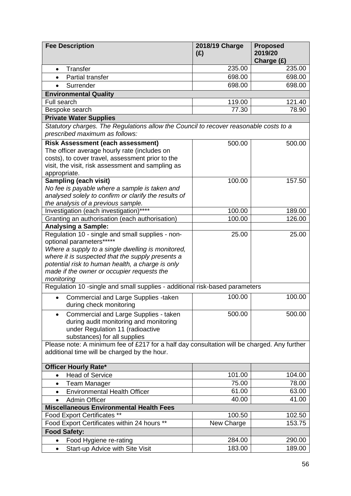| <b>Fee Description</b>                                                                                                                                                                                                                                                                                 | 2018/19 Charge<br>(E) | <b>Proposed</b><br>2019/20<br>Charge (£) |
|--------------------------------------------------------------------------------------------------------------------------------------------------------------------------------------------------------------------------------------------------------------------------------------------------------|-----------------------|------------------------------------------|
| Transfer<br>$\bullet$                                                                                                                                                                                                                                                                                  | 235.00                | 235.00                                   |
| Partial transfer<br>$\bullet$                                                                                                                                                                                                                                                                          | 698.00                | 698.00                                   |
| Surrender                                                                                                                                                                                                                                                                                              | 698.00                | 698.00                                   |
| <b>Environmental Quality</b>                                                                                                                                                                                                                                                                           |                       |                                          |
| Full search                                                                                                                                                                                                                                                                                            | 119.00                | 121.40                                   |
| Bespoke search                                                                                                                                                                                                                                                                                         | 77.30                 | 78.90                                    |
| <b>Private Water Supplies</b>                                                                                                                                                                                                                                                                          |                       |                                          |
| Statutory charges. The Regulations allow the Council to recover reasonable costs to a<br>prescribed maximum as follows:                                                                                                                                                                                |                       |                                          |
| <b>Risk Assessment (each assessment)</b><br>The officer average hourly rate (includes on<br>costs), to cover travel, assessment prior to the<br>visit, the visit, risk assessment and sampling as<br>appropriate.                                                                                      | 500.00                | 500.00                                   |
| <b>Sampling (each visit)</b><br>No fee is payable where a sample is taken and<br>analysed solely to confirm or clarify the results of<br>the analysis of a previous sample.                                                                                                                            | 100.00                | 157.50                                   |
| Investigation (each investigation)****                                                                                                                                                                                                                                                                 | 100.00                | 189.00                                   |
| Granting an authorisation (each authorisation)                                                                                                                                                                                                                                                         | 100.00                | 126.00                                   |
| <b>Analysing a Sample:</b>                                                                                                                                                                                                                                                                             |                       |                                          |
| Regulation 10 - single and small supplies - non-<br>optional parameters******<br>Where a supply to a single dwelling is monitored,<br>where it is suspected that the supply presents a<br>potential risk to human health, a charge is only<br>made if the owner or occupier requests the<br>monitoring | 25.00                 | 25.00                                    |
| Regulation 10 -single and small supplies - additional risk-based parameters                                                                                                                                                                                                                            |                       |                                          |
| Commercial and Large Supplies -taken<br>during check monitoring                                                                                                                                                                                                                                        | 100.00                | 100.00                                   |
| Commercial and Large Supplies - taken<br>$\bullet$<br>during audit monitoring and monitoring<br>under Regulation 11 (radioactive<br>substances) for all supplies                                                                                                                                       | 500.00                | 500.00                                   |
| Please note: A minimum fee of £217 for a half day consultation will be charged. Any further<br>additional time will be charged by the hour.                                                                                                                                                            |                       |                                          |
| <b>Officer Hourly Rate*</b>                                                                                                                                                                                                                                                                            |                       |                                          |
| <b>Head of Service</b><br>$\bullet$                                                                                                                                                                                                                                                                    | 101.00                | 104.00                                   |
| Team Manager<br>$\bullet$                                                                                                                                                                                                                                                                              | 75.00                 | 78.00                                    |
| <b>Environmental Health Officer</b><br>$\bullet$                                                                                                                                                                                                                                                       | 61.00                 | 63.00                                    |
| <b>Admin Officer</b><br>$\bullet$                                                                                                                                                                                                                                                                      | 40.00                 | 41.00                                    |
| <b>Miscellaneous Environmental Health Fees</b>                                                                                                                                                                                                                                                         |                       |                                          |
| Food Export Certificates **                                                                                                                                                                                                                                                                            | 100.50                | 102.50                                   |
| Food Export Certificates within 24 hours **                                                                                                                                                                                                                                                            | New Charge            | 153.75                                   |
| <b>Food Safety:</b>                                                                                                                                                                                                                                                                                    |                       |                                          |
| Food Hygiene re-rating<br>$\bullet$                                                                                                                                                                                                                                                                    | 284.00                | 290.00                                   |
| Start-up Advice with Site Visit<br>$\bullet$                                                                                                                                                                                                                                                           | 183.00                | 189.00                                   |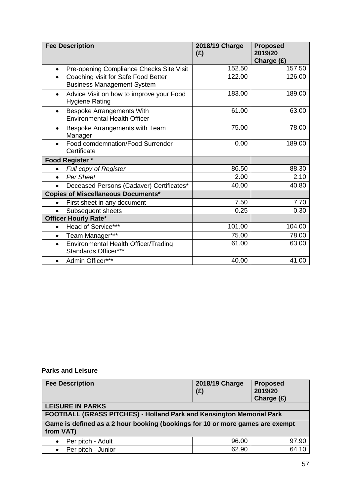|           | <b>Fee Description</b>                                                   | 2018/19 Charge<br>(E) | <b>Proposed</b><br>2019/20<br>Charge (£) |
|-----------|--------------------------------------------------------------------------|-----------------------|------------------------------------------|
| $\bullet$ | Pre-opening Compliance Checks Site Visit                                 | 152.50                | 157.50                                   |
| $\bullet$ | Coaching visit for Safe Food Better<br><b>Business Management System</b> | 122.00                | 126.00                                   |
| $\bullet$ | Advice Visit on how to improve your Food<br><b>Hygiene Rating</b>        | 183.00                | 189.00                                   |
| $\bullet$ | <b>Bespoke Arrangements With</b><br><b>Environmental Health Officer</b>  | 61.00                 | 63.00                                    |
| $\bullet$ | Bespoke Arrangements with Team<br>Manager                                | 75.00                 | 78.00                                    |
| $\bullet$ | Food comdemnation/Food Surrender<br>Certificate                          | 0.00                  | 189.00                                   |
|           | Food Register *                                                          |                       |                                          |
|           | Full copy of Register                                                    | 86.50                 | 88.30                                    |
| $\bullet$ | Per Sheet                                                                | 2.00                  | 2.10                                     |
| $\bullet$ | Deceased Persons (Cadaver) Certificates*                                 | 40.00                 | 40.80                                    |
|           | <b>Copies of Miscellaneous Documents*</b>                                |                       |                                          |
| $\bullet$ | First sheet in any document                                              | 7.50                  | 7.70                                     |
|           | Subsequent sheets                                                        | 0.25                  | 0.30                                     |
|           | <b>Officer Hourly Rate*</b>                                              |                       |                                          |
| $\bullet$ | Head of Service***                                                       | 101.00                | 104.00                                   |
| $\bullet$ | Team Manager***                                                          | 75.00                 | 78.00                                    |
| $\bullet$ | Environmental Health Officer/Trading<br>Standards Officer***             | 61.00                 | 63.00                                    |
| $\bullet$ | Admin Officer***                                                         | 40.00                 | 41.00                                    |

#### **Parks and Leisure**

| <b>Fee Description</b>                                                                     | 2018/19 Charge<br>(E) | <b>Proposed</b><br>2019/20<br>Charge $(E)$ |  |
|--------------------------------------------------------------------------------------------|-----------------------|--------------------------------------------|--|
| <b>LEISURE IN PARKS</b>                                                                    |                       |                                            |  |
| FOOTBALL (GRASS PITCHES) - Holland Park and Kensington Memorial Park                       |                       |                                            |  |
| Game is defined as a 2 hour booking (bookings for 10 or more games are exempt<br>from VAT) |                       |                                            |  |
| Per pitch - Adult                                                                          | 96.00                 | 97.90                                      |  |
| • Per pitch - Junior                                                                       | 62.90                 | 64.10                                      |  |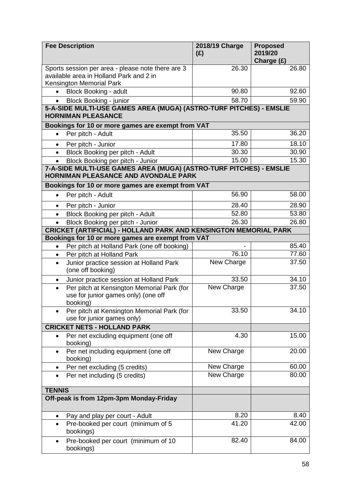| <b>Fee Description</b>                                                                                                   | 2018/19 Charge<br>(E) | <b>Proposed</b><br>2019/20<br>Charge (£) |
|--------------------------------------------------------------------------------------------------------------------------|-----------------------|------------------------------------------|
| Sports session per area - please note there are 3<br>available area in Holland Park and 2 in<br>Kensington Memorial Park | 26.30                 | 26.80                                    |
| <b>Block Booking - adult</b><br>$\bullet$                                                                                | 90.80                 | 92.60                                    |
| <b>Block Booking - junior</b>                                                                                            | 58.70                 | 59.90                                    |
| 5-A-SIDE MULTI-USE GAMES AREA (MUGA) (ASTRO-TURF PITCHES) - EMSLIE<br><b>HORNIMAN PLEASANCE</b>                          |                       |                                          |
| Bookings for 10 or more games are exempt from VAT                                                                        |                       |                                          |
| Per pitch - Adult<br>$\bullet$                                                                                           | 35.50                 | 36.20                                    |
| Per pitch - Junior<br>$\bullet$                                                                                          | 17.80                 | 18.10                                    |
| Block Booking per pitch - Adult                                                                                          | 30.30                 | 30.90                                    |
| Block Booking per pitch - Junior<br>$\bullet$                                                                            | 15.00                 | 15.30                                    |
| 7-A-SIDE MULTI-USE GAMES AREA (MUGA) (ASTRO-TURF PITCHES) - EMSLIE<br><b>HORNIMAN PLEASANCE AND AVONDALE PARK</b>        |                       |                                          |
| Bookings for 10 or more games are exempt from VAT                                                                        |                       |                                          |
| Per pitch - Adult<br>$\bullet$                                                                                           | 56.90                 | 58.00                                    |
| Per pitch - Junior<br>$\bullet$                                                                                          | 28.40                 | 28.90                                    |
| Block Booking per pitch - Adult                                                                                          | 52.80                 | 53.80                                    |
| Block Booking per pitch - Junior                                                                                         | 26.30                 | 26.80                                    |
| <b>CRICKET (ARTIFICIAL) - HOLLAND PARK AND KENSINGTON MEMORIAL PARK</b>                                                  |                       |                                          |
| Bookings for 10 or more games are exempt from VAT                                                                        |                       |                                          |
| Per pitch at Holland Park (one off booking)<br>$\bullet$                                                                 |                       | 85.40                                    |
| Per pitch at Holland Park<br>$\bullet$                                                                                   | 76.10                 | 77.60<br>37.50                           |
| Junior practice session at Holland Park<br>$\bullet$<br>(one off booking)                                                | New Charge            |                                          |
| Junior practice session at Holland Park                                                                                  | 33.50                 | 34.10                                    |
| Per pitch at Kensington Memorial Park (for<br>$\bullet$<br>use for junior games only) (one off<br>booking)               | New Charge            | 37.50                                    |
| Per pitch at Kensington Memorial Park (for<br>use for junior games only)                                                 | 33.50                 | 34.10                                    |
| <b>CRICKET NETS - HOLLAND PARK</b>                                                                                       |                       |                                          |
| Per net excluding equipment (one off<br>$\bullet$<br>booking)                                                            | 4.30                  | 15.00                                    |
| Per net including equipment (one off<br>booking)                                                                         | New Charge            | 20.00                                    |
| Per net excluding (5 credits)<br>٠                                                                                       | New Charge            | 60.00                                    |
| Per net including (5 credits)<br>$\bullet$                                                                               | <b>New Charge</b>     | 80.00                                    |
| <b>TENNIS</b>                                                                                                            |                       |                                          |
| Off-peak is from 12pm-3pm Monday-Friday                                                                                  |                       |                                          |
| Pay and play per court - Adult<br>$\bullet$                                                                              | 8.20                  | 8.40                                     |
| Pre-booked per court (minimum of 5<br>bookings)                                                                          | 41.20                 | 42.00                                    |
| Pre-booked per court (minimum of 10<br>$\bullet$<br>bookings)                                                            | 82.40                 | 84.00                                    |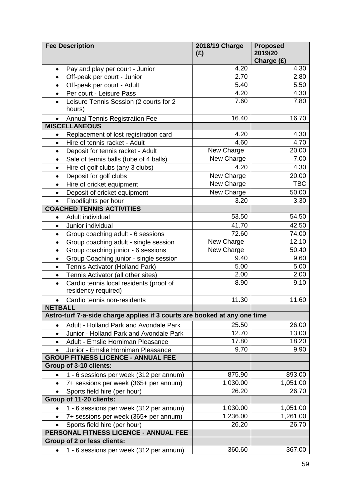|                                       | <b>Fee Description</b>                                                    | 2018/19 Charge<br>(E)    | <b>Proposed</b><br>2019/20<br>Charge (£) |
|---------------------------------------|---------------------------------------------------------------------------|--------------------------|------------------------------------------|
| $\bullet$                             | Pay and play per court - Junior                                           | 4.20                     | 4.30                                     |
| $\bullet$                             | Off-peak per court - Junior                                               | 2.70                     | 2.80                                     |
| $\bullet$                             | Off-peak per court - Adult                                                | 5.40                     | 5.50                                     |
| $\bullet$                             | Per court - Leisure Pass                                                  | 4.20                     | 4.30                                     |
| $\bullet$                             | Leisure Tennis Session (2 courts for 2                                    | 7.60                     | 7.80                                     |
|                                       | hours)                                                                    |                          |                                          |
| $\bullet$                             | <b>Annual Tennis Registration Fee</b>                                     | 16.40                    | 16.70                                    |
|                                       | <b>MISCELLANEOUS</b>                                                      |                          |                                          |
| $\bullet$                             | Replacement of lost registration card                                     | 4.20                     | 4.30                                     |
| $\bullet$                             | Hire of tennis racket - Adult                                             | 4.60                     | 4.70                                     |
| $\bullet$                             | Deposit for tennis racket - Adult                                         | New Charge               | 20.00                                    |
| $\bullet$                             | Sale of tennis balls (tube of 4 balls)                                    | New Charge               | 7.00                                     |
| $\bullet$                             | Hire of golf clubs (any 3 clubs)                                          | 4.20                     | 4.30                                     |
| $\bullet$                             | Deposit for golf clubs                                                    | New Charge               | 20.00                                    |
| $\bullet$                             | Hire of cricket equipment                                                 | New Charge               | <b>TBC</b>                               |
| $\bullet$                             | Deposit of cricket equipment                                              | New Charge               | 50.00                                    |
| $\bullet$                             | Floodlights per hour                                                      | 3.20                     | 3.30                                     |
|                                       | <b>COACHED TENNIS ACTIVITIES</b>                                          | 53.50                    | 54.50                                    |
| $\bullet$                             | Adult individual                                                          |                          |                                          |
| $\bullet$                             | Junior individual                                                         | 41.70<br>72.60           | 42.50                                    |
| $\bullet$                             | Group coaching adult - 6 sessions                                         |                          | 74.00<br>12.10                           |
| $\bullet$                             | Group coaching adult - single session                                     | New Charge<br>New Charge | 50.40                                    |
| $\bullet$                             | Group coaching junior - 6 sessions                                        | 9.40                     | 9.60                                     |
| $\bullet$                             | Group Coaching junior - single session                                    | 5.00                     | 5.00                                     |
| $\bullet$                             | Tennis Activator (Holland Park)<br>Tennis Activator (all other sites)     | 2.00                     | 2.00                                     |
| $\bullet$<br>$\bullet$                | Cardio tennis local residents (proof of                                   | 8.90                     | 9.10                                     |
|                                       | residency required)                                                       |                          |                                          |
| $\bullet$                             | Cardio tennis non-residents                                               | 11.30                    | 11.60                                    |
| <b>NETBALL</b>                        |                                                                           |                          |                                          |
|                                       | Astro-turf 7-a-side charge applies if 3 courts are booked at any one time |                          |                                          |
| $\bullet$                             | Adult - Holland Park and Avondale Park                                    | 25.50                    | 26.00                                    |
| $\bullet$                             | Junior - Holland Park and Avondale Park                                   | $\overline{1}$ 2.70      | 13.00                                    |
| $\bullet$                             | Adult - Emslie Horniman Pleasance                                         | 17.80                    | 18.20                                    |
| $\bullet$                             | Junior - Emslie Horniman Pleasance                                        | 9.70                     | 9.90                                     |
|                                       | <b>GROUP FITNESS LICENCE - ANNUAL FEE</b>                                 |                          |                                          |
|                                       | Group of 3-10 clients:                                                    |                          |                                          |
| $\bullet$                             | 1 - 6 sessions per week (312 per annum)                                   | 875.90                   | 893.00                                   |
| $\bullet$                             | 7+ sessions per week (365+ per annum)                                     | 1,030.00                 | 1,051.00                                 |
|                                       | Sports field hire (per hour)                                              | 26.20                    | 26.70                                    |
|                                       | Group of 11-20 clients:                                                   |                          |                                          |
| $\bullet$                             | 1 - 6 sessions per week (312 per annum)                                   | 1,030.00                 | 1,051.00                                 |
| $\bullet$                             | 7+ sessions per week (365+ per annum)                                     | 1,236.00                 | 1,261.00                                 |
|                                       | Sports field hire (per hour)                                              | 26.20                    | 26.70                                    |
| PERSONAL FITNESS LICENCE - ANNUAL FEE |                                                                           |                          |                                          |
|                                       | Group of 2 or less clients:                                               |                          |                                          |
|                                       | 1 - 6 sessions per week (312 per annum)                                   | 360.60                   | 367.00                                   |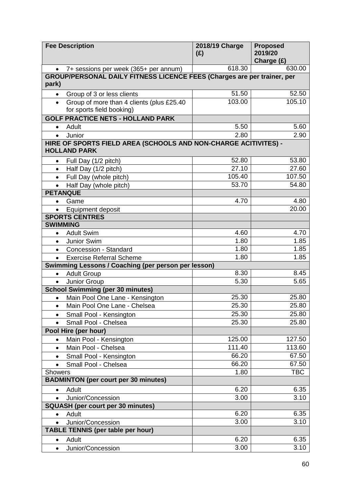|                                                                                  | <b>Fee Description</b>                                                                 | 2018/19 Charge<br>(E) | <b>Proposed</b><br>2019/20<br>Charge (£) |
|----------------------------------------------------------------------------------|----------------------------------------------------------------------------------------|-----------------------|------------------------------------------|
|                                                                                  | 7+ sessions per week (365+ per annum)                                                  | 618.30                | 630.00                                   |
| GROUP/PERSONAL DAILY FITNESS LICENCE FEES (Charges are per trainer, per<br>park) |                                                                                        |                       |                                          |
|                                                                                  | Group of 3 or less clients                                                             | 51.50                 | 52.50                                    |
|                                                                                  | Group of more than 4 clients (plus £25.40                                              | 103.00                | 105.10                                   |
|                                                                                  | for sports field booking)                                                              |                       |                                          |
|                                                                                  | <b>GOLF PRACTICE NETS - HOLLAND PARK</b>                                               |                       |                                          |
| $\bullet$                                                                        | Adult                                                                                  | 5.50                  | 5.60                                     |
| $\bullet$                                                                        | Junior                                                                                 | 2.80                  | 2.90                                     |
|                                                                                  | HIRE OF SPORTS FIELD AREA (SCHOOLS AND NON-CHARGE ACITIVITES) -<br><b>HOLLAND PARK</b> |                       |                                          |
| $\bullet$                                                                        | Full Day (1/2 pitch)                                                                   | 52.80                 | 53.80                                    |
|                                                                                  | Half Day (1/2 pitch)                                                                   | 27.10                 | 27.60                                    |
| $\bullet$                                                                        | Full Day (whole pitch)                                                                 | 105.40                | 107.50                                   |
| $\bullet$                                                                        | Half Day (whole pitch)                                                                 | 53.70                 | 54.80                                    |
|                                                                                  | <b>PETANQUE</b>                                                                        |                       |                                          |
| $\bullet$                                                                        | Game                                                                                   | 4.70                  | 4.80                                     |
|                                                                                  | Equipment deposit                                                                      |                       | 20.00                                    |
|                                                                                  | <b>SPORTS CENTRES</b>                                                                  |                       |                                          |
|                                                                                  | <b>SWIMMING</b>                                                                        |                       |                                          |
| $\bullet$                                                                        | <b>Adult Swim</b>                                                                      | 4.60                  | 4.70                                     |
| $\bullet$                                                                        | Junior Swim                                                                            | 1.80                  | 1.85                                     |
|                                                                                  | Concession - Standard                                                                  | 1.80                  | 1.85                                     |
|                                                                                  | <b>Exercise Referral Scheme</b>                                                        | 1.80                  | 1.85                                     |
|                                                                                  | Swimming Lessons / Coaching (per person per lesson)                                    | 8.30                  |                                          |
| $\bullet$                                                                        | <b>Adult Group</b>                                                                     | 5.30                  | 8.45<br>5.65                             |
| $\bullet$                                                                        | Junior Group<br><b>School Swimming (per 30 minutes)</b>                                |                       |                                          |
| $\bullet$                                                                        | Main Pool One Lane - Kensington                                                        | 25.30                 | 25.80                                    |
|                                                                                  | Main Pool One Lane - Chelsea                                                           | 25.30                 | 25.80                                    |
| $\bullet$                                                                        | Small Pool - Kensington                                                                | 25.30                 | 25.80                                    |
|                                                                                  | Small Pool - Chelsea                                                                   | 25.30                 | 25.80                                    |
|                                                                                  | Pool Hire (per hour)                                                                   |                       |                                          |
| $\bullet$                                                                        | Main Pool - Kensington                                                                 | 125.00                | 127.50                                   |
| $\bullet$                                                                        | Main Pool - Chelsea                                                                    | 111.40                | 113.60                                   |
|                                                                                  | Small Pool - Kensington                                                                | 66.20                 | 67.50                                    |
|                                                                                  | Small Pool - Chelsea                                                                   | 66.20                 | 67.50                                    |
| Showers                                                                          |                                                                                        | 1.80                  | <b>TBC</b>                               |
|                                                                                  | <b>BADMINTON (per court per 30 minutes)</b>                                            |                       |                                          |
| $\bullet$                                                                        | Adult                                                                                  | 6.20                  | 6.35                                     |
| $\bullet$                                                                        | Junior/Concession                                                                      | 3.00                  | 3.10                                     |
|                                                                                  | <b>SQUASH (per court per 30 minutes)</b>                                               |                       |                                          |
| $\bullet$                                                                        | Adult                                                                                  | 6.20                  | 6.35                                     |
| $\bullet$                                                                        | Junior/Concession                                                                      | 3.00                  | 3.10                                     |
|                                                                                  | <b>TABLE TENNIS (per table per hour)</b>                                               |                       |                                          |
| $\bullet$                                                                        | Adult                                                                                  | 6.20                  | 6.35                                     |
| $\bullet$                                                                        | Junior/Concession                                                                      | 3.00                  | 3.10                                     |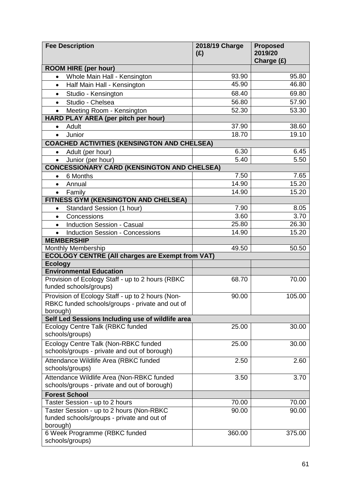| <b>Fee Description</b>                                                     | 2018/19 Charge<br>(E) | <b>Proposed</b><br>2019/20<br>Charge (£) |
|----------------------------------------------------------------------------|-----------------------|------------------------------------------|
| <b>ROOM HIRE (per hour)</b>                                                |                       |                                          |
| Whole Main Hall - Kensington<br>$\bullet$                                  | 93.90                 | 95.80                                    |
| Half Main Hall - Kensington<br>$\bullet$                                   | 45.90                 | 46.80                                    |
| Studio - Kensington<br>$\bullet$                                           | 68.40                 | 69.80                                    |
| Studio - Chelsea<br>$\bullet$                                              | 56.80                 | 57.90                                    |
| Meeting Room - Kensington<br>$\bullet$                                     | 52.30                 | 53.30                                    |
| HARD PLAY AREA (per pitch per hour)                                        |                       |                                          |
| Adult<br>$\bullet$                                                         | 37.90                 | 38.60                                    |
| Junior<br>$\bullet$                                                        | 18.70                 | 19.10                                    |
| <b>COACHED ACTIVITIES (KENSINGTON AND CHELSEA)</b>                         |                       |                                          |
| Adult (per hour)<br>$\bullet$                                              | 6.30                  | 6.45                                     |
| Junior (per hour)<br>$\bullet$                                             | 5.40                  | 5.50                                     |
| <b>CONCESSIONARY CARD (KENSINGTON AND CHELSEA)</b>                         |                       |                                          |
| 6 Months<br>$\bullet$                                                      | 7.50                  | 7.65                                     |
| Annual<br>$\bullet$                                                        | 14.90                 | 15.20                                    |
| Family<br>$\bullet$                                                        | 14.90                 | 15.20                                    |
| FITNESS GYM (KENSINGTON AND CHELSEA)                                       |                       |                                          |
| Standard Session (1 hour)                                                  | 7.90                  | 8.05                                     |
| Concessions<br>$\bullet$                                                   | 3.60                  | 3.70                                     |
| <b>Induction Session - Casual</b><br>$\bullet$                             | 25.80                 | 26.30                                    |
| <b>Induction Session - Concessions</b>                                     | 14.90                 | 15.20                                    |
| <b>MEMBERSHIP</b>                                                          |                       |                                          |
| Monthly Membership                                                         | 49.50                 | 50.50                                    |
| <b>ECOLOGY CENTRE (All charges are Exempt from VAT)</b>                    |                       |                                          |
| <b>Ecology</b>                                                             |                       |                                          |
| <b>Environmental Education</b>                                             |                       |                                          |
| Provision of Ecology Staff - up to 2 hours (RBKC<br>funded schools/groups) | 68.70                 | 70.00                                    |
| Provision of Ecology Staff - up to 2 hours (Non-                           | 90.00                 | 105.00                                   |
| RBKC funded schools/groups - private and out of<br>borough)                |                       |                                          |
| Self Led Sessions Including use of wildlife area                           |                       |                                          |
| <b>Ecology Centre Talk (RBKC funded</b>                                    | 25.00                 | 30.00                                    |
| schools/groups)                                                            |                       |                                          |
| Ecology Centre Talk (Non-RBKC funded                                       | 25.00                 | 30.00                                    |
| schools/groups - private and out of borough)                               |                       |                                          |
| Attendance Wildlife Area (RBKC funded                                      | 2.50                  | 2.60                                     |
| schools/groups)                                                            |                       |                                          |
| Attendance Wildlife Area (Non-RBKC funded                                  | 3.50                  | 3.70                                     |
| schools/groups - private and out of borough)                               |                       |                                          |
| <b>Forest School</b>                                                       |                       |                                          |
| Taster Session - up to 2 hours                                             | 70.00                 | 70.00                                    |
| Taster Session - up to 2 hours (Non-RBKC                                   | 90.00                 | 90.00                                    |
| funded schools/groups - private and out of                                 |                       |                                          |
| borough)                                                                   |                       |                                          |
| 6 Week Programme (RBKC funded<br>schools/groups)                           | 360.00                | 375.00                                   |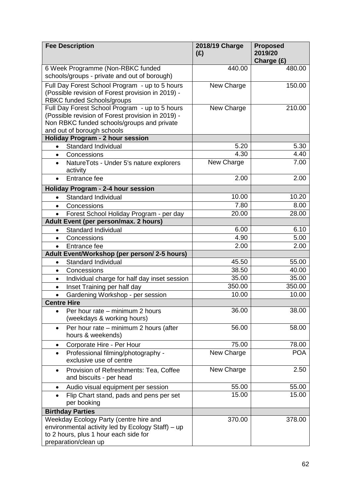| <b>Fee Description</b>                                                                                                                                                          | 2018/19 Charge<br>(E) | <b>Proposed</b><br>2019/20<br>Charge (£) |
|---------------------------------------------------------------------------------------------------------------------------------------------------------------------------------|-----------------------|------------------------------------------|
| 6 Week Programme (Non-RBKC funded<br>schools/groups - private and out of borough)                                                                                               | 440.00                | 480.00                                   |
| Full Day Forest School Program - up to 5 hours<br>(Possible revision of Forest provision in 2019) -<br>RBKC funded Schools/groups                                               | New Charge            | 150.00                                   |
| Full Day Forest School Program - up to 5 hours<br>(Possible revision of Forest provision in 2019) -<br>Non RBKC funded schools/groups and private<br>and out of borough schools | New Charge            | 210.00                                   |
| <b>Holiday Program - 2 hour session</b>                                                                                                                                         |                       |                                          |
| Standard Individual<br>$\bullet$                                                                                                                                                | 5.20                  | 5.30                                     |
| Concessions<br>$\bullet$                                                                                                                                                        | 4.30                  | 4.40                                     |
| NatureTots - Under 5's nature explorers<br>$\bullet$<br>activity                                                                                                                | New Charge            | 7.00                                     |
| Entrance fee                                                                                                                                                                    | 2.00                  | 2.00                                     |
| Holiday Program - 2-4 hour session                                                                                                                                              |                       |                                          |
| Standard Individual<br>$\bullet$                                                                                                                                                | 10.00                 | 10.20                                    |
| Concessions<br>$\bullet$                                                                                                                                                        | 7.80                  | 8.00                                     |
| Forest School Holiday Program - per day<br>$\bullet$                                                                                                                            | 20.00                 | 28.00                                    |
| Adult Event (per person/max. 2 hours)                                                                                                                                           |                       |                                          |
| Standard Individual<br>$\bullet$                                                                                                                                                | 6.00                  | 6.10                                     |
| Concessions<br>$\bullet$                                                                                                                                                        | 4.90                  | 5.00                                     |
| Entrance fee<br>$\bullet$                                                                                                                                                       | 2.00                  | 2.00                                     |
| Adult Event/Workshop (per person/ 2-5 hours)                                                                                                                                    |                       |                                          |
| Standard Individual<br>$\bullet$                                                                                                                                                | 45.50                 | 55.00                                    |
| Concessions<br>$\bullet$                                                                                                                                                        | 38.50                 | 40.00                                    |
| Individual charge for half day inset session<br>$\bullet$                                                                                                                       | 35.00                 | 35.00                                    |
| Inset Training per half day<br>$\bullet$                                                                                                                                        | 350.00                | 350.00                                   |
| Gardening Workshop - per session                                                                                                                                                | 10.00                 | 10.00                                    |
| <b>Centre Hire</b>                                                                                                                                                              |                       |                                          |
| Per hour rate - minimum 2 hours<br>$\bullet$<br>(weekdays & working hours)                                                                                                      | 36.00                 | 38.00                                    |
| Per hour rate – minimum 2 hours (after<br>$\bullet$<br>hours & weekends)                                                                                                        | 56.00                 | 58.00                                    |
| Corporate Hire - Per Hour<br>٠                                                                                                                                                  | 75.00                 | 78.00                                    |
| Professional filming/photography -<br>$\bullet$<br>exclusive use of centre                                                                                                      | New Charge            | <b>POA</b>                               |
| Provision of Refreshments: Tea, Coffee<br>$\bullet$<br>and biscuits - per head                                                                                                  | New Charge            | 2.50                                     |
| Audio visual equipment per session<br>$\bullet$                                                                                                                                 | 55.00                 | 55.00                                    |
| Flip Chart stand, pads and pens per set<br>per booking                                                                                                                          | 15.00                 | 15.00                                    |
| <b>Birthday Parties</b>                                                                                                                                                         |                       |                                          |
| Weekday Ecology Party (centre hire and<br>environmental activity led by Ecology Staff) - up<br>to 2 hours, plus 1 hour each side for<br>preparation/clean up                    | 370.00                | 378.00                                   |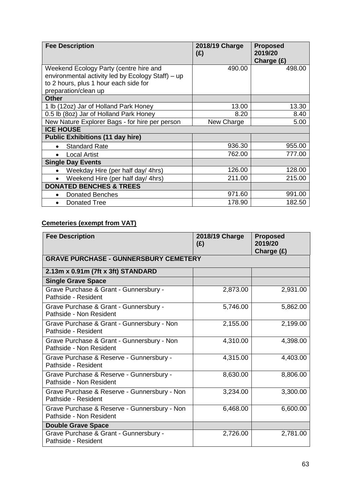| <b>Fee Description</b>                            | 2018/19 Charge<br>(E) | <b>Proposed</b><br>2019/20 |
|---------------------------------------------------|-----------------------|----------------------------|
|                                                   |                       | Charge (£)                 |
| Weekend Ecology Party (centre hire and            | 490.00                | 498.00                     |
| environmental activity led by Ecology Staff) - up |                       |                            |
| to 2 hours, plus 1 hour each side for             |                       |                            |
| preparation/clean up                              |                       |                            |
| <b>Other</b>                                      |                       |                            |
| 1 lb (12oz) Jar of Holland Park Honey             | 13.00                 | 13.30                      |
| 0.5 lb (8oz) Jar of Holland Park Honey            | 8.20                  | 8.40                       |
| New Nature Explorer Bags - for hire per person    | New Charge            | 5.00                       |
| <b>ICE HOUSE</b>                                  |                       |                            |
| <b>Public Exhibitions (11 day hire)</b>           |                       |                            |
| <b>Standard Rate</b>                              | 936.30                | 955.00                     |
| <b>Local Artist</b>                               | 762.00                | 777.00                     |
| <b>Single Day Events</b>                          |                       |                            |
| Weekday Hire (per half day/ 4hrs)                 | 126.00                | 128.00                     |
| Weekend Hire (per half day/ 4hrs)<br>$\bullet$    | 211.00                | 215.00                     |
| <b>DONATED BENCHES &amp; TREES</b>                |                       |                            |
| <b>Donated Benches</b><br>$\bullet$               | 971.60                | 991.00                     |
| <b>Donated Tree</b>                               | 178.90                | 182.50                     |

## **Cemeteries (exempt from VAT)**

| <b>Fee Description</b>                                                  | 2018/19 Charge<br>(E) | <b>Proposed</b><br>2019/20<br>Charge (£) |
|-------------------------------------------------------------------------|-----------------------|------------------------------------------|
| <b>GRAVE PURCHASE - GUNNERSBURY CEMETERY</b>                            |                       |                                          |
| 2.13m x 0.91m (7ft x 3ft) STANDARD                                      |                       |                                          |
| <b>Single Grave Space</b>                                               |                       |                                          |
| Grave Purchase & Grant - Gunnersbury -<br>Pathside - Resident           | 2,873.00              | 2,931.00                                 |
| Grave Purchase & Grant - Gunnersbury -<br>Pathside - Non Resident       | 5,746.00              | 5,862.00                                 |
| Grave Purchase & Grant - Gunnersbury - Non<br>Pathside - Resident       | 2,155.00              | 2,199.00                                 |
| Grave Purchase & Grant - Gunnersbury - Non<br>Pathside - Non Resident   | 4,310.00              | 4,398.00                                 |
| Grave Purchase & Reserve - Gunnersbury -<br>Pathside - Resident         | 4,315.00              | 4,403.00                                 |
| Grave Purchase & Reserve - Gunnersbury -<br>Pathside - Non Resident     | 8,630.00              | 8,806.00                                 |
| Grave Purchase & Reserve - Gunnersbury - Non<br>Pathside - Resident     | 3,234.00              | 3,300.00                                 |
| Grave Purchase & Reserve - Gunnersbury - Non<br>Pathside - Non Resident | 6,468.00              | 6,600.00                                 |
| <b>Double Grave Space</b>                                               |                       |                                          |
| Grave Purchase & Grant - Gunnersbury -<br>Pathside - Resident           | 2,726.00              | 2,781.00                                 |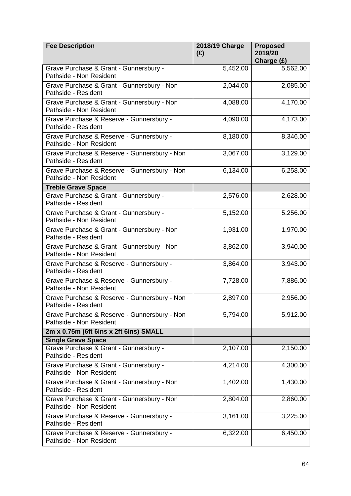| <b>Fee Description</b>                                                  | 2018/19 Charge<br>(E) | <b>Proposed</b><br>2019/20<br>Charge (£) |
|-------------------------------------------------------------------------|-----------------------|------------------------------------------|
| Grave Purchase & Grant - Gunnersbury -<br>Pathside - Non Resident       | 5,452.00              | 5,562.00                                 |
| Grave Purchase & Grant - Gunnersbury - Non<br>Pathside - Resident       | 2,044.00              | 2,085.00                                 |
| Grave Purchase & Grant - Gunnersbury - Non<br>Pathside - Non Resident   | 4,088.00              | 4,170.00                                 |
| Grave Purchase & Reserve - Gunnersbury -<br>Pathside - Resident         | 4,090.00              | 4,173.00                                 |
| Grave Purchase & Reserve - Gunnersbury -<br>Pathside - Non Resident     | 8,180.00              | 8,346.00                                 |
| Grave Purchase & Reserve - Gunnersbury - Non<br>Pathside - Resident     | 3,067.00              | 3,129.00                                 |
| Grave Purchase & Reserve - Gunnersbury - Non<br>Pathside - Non Resident | 6,134.00              | 6,258.00                                 |
| <b>Treble Grave Space</b>                                               |                       |                                          |
| Grave Purchase & Grant - Gunnersbury -<br>Pathside - Resident           | 2,576.00              | 2,628.00                                 |
| Grave Purchase & Grant - Gunnersbury -<br>Pathside - Non Resident       | 5,152.00              | 5,256.00                                 |
| Grave Purchase & Grant - Gunnersbury - Non<br>Pathside - Resident       | 1,931.00              | 1,970.00                                 |
| Grave Purchase & Grant - Gunnersbury - Non<br>Pathside - Non Resident   | 3,862.00              | 3,940.00                                 |
| Grave Purchase & Reserve - Gunnersbury -<br>Pathside - Resident         | 3,864.00              | 3,943.00                                 |
| Grave Purchase & Reserve - Gunnersbury -<br>Pathside - Non Resident     | 7,728.00              | 7,886.00                                 |
| Grave Purchase & Reserve - Gunnersbury - Non<br>Pathside - Resident     | 2,897.00              | 2,956.00                                 |
| Grave Purchase & Reserve - Gunnersbury - Non<br>Pathside - Non Resident | 5,794.00              | 5,912.00                                 |
| 2m x 0.75m (6ft 6ins x 2ft 6ins) SMALL                                  |                       |                                          |
| <b>Single Grave Space</b>                                               |                       |                                          |
| Grave Purchase & Grant - Gunnersbury -<br>Pathside - Resident           | 2,107.00              | 2,150.00                                 |
| Grave Purchase & Grant - Gunnersbury -<br>Pathside - Non Resident       | 4,214.00              | 4,300.00                                 |
| Grave Purchase & Grant - Gunnersbury - Non<br>Pathside - Resident       | 1,402.00              | 1,430.00                                 |
| Grave Purchase & Grant - Gunnersbury - Non<br>Pathside - Non Resident   | 2,804.00              | 2,860.00                                 |
| Grave Purchase & Reserve - Gunnersbury -<br>Pathside - Resident         | 3,161.00              | 3,225.00                                 |
| Grave Purchase & Reserve - Gunnersbury -<br>Pathside - Non Resident     | 6,322.00              | 6,450.00                                 |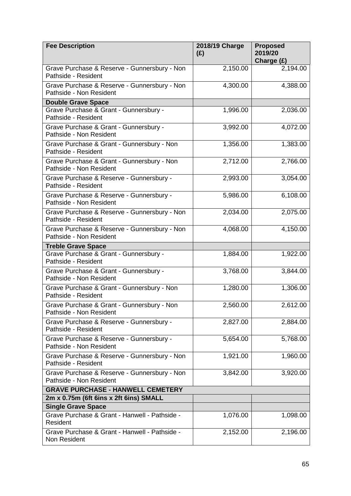| <b>Fee Description</b>                                                  | 2018/19 Charge<br>(E) | <b>Proposed</b><br>2019/20<br>Charge (£) |
|-------------------------------------------------------------------------|-----------------------|------------------------------------------|
| Grave Purchase & Reserve - Gunnersbury - Non<br>Pathside - Resident     | 2,150.00              | 2,194.00                                 |
| Grave Purchase & Reserve - Gunnersbury - Non<br>Pathside - Non Resident | 4,300.00              | 4,388.00                                 |
| <b>Double Grave Space</b>                                               |                       |                                          |
| Grave Purchase & Grant - Gunnersbury -<br>Pathside - Resident           | 1,996.00              | 2,036.00                                 |
| Grave Purchase & Grant - Gunnersbury -<br>Pathside - Non Resident       | 3,992.00              | 4,072.00                                 |
| Grave Purchase & Grant - Gunnersbury - Non<br>Pathside - Resident       | 1,356.00              | 1,383.00                                 |
| Grave Purchase & Grant - Gunnersbury - Non<br>Pathside - Non Resident   | 2,712.00              | 2,766.00                                 |
| Grave Purchase & Reserve - Gunnersbury -<br>Pathside - Resident         | 2,993.00              | 3,054.00                                 |
| Grave Purchase & Reserve - Gunnersbury -<br>Pathside - Non Resident     | 5,986.00              | 6,108.00                                 |
| Grave Purchase & Reserve - Gunnersbury - Non<br>Pathside - Resident     | 2,034.00              | 2,075.00                                 |
| Grave Purchase & Reserve - Gunnersbury - Non<br>Pathside - Non Resident | 4,068.00              | 4,150.00                                 |
| <b>Treble Grave Space</b>                                               |                       |                                          |
| Grave Purchase & Grant - Gunnersbury -<br>Pathside - Resident           | 1,884.00              | 1,922.00                                 |
| Grave Purchase & Grant - Gunnersbury -<br>Pathside - Non Resident       | 3,768.00              | 3,844.00                                 |
| Grave Purchase & Grant - Gunnersbury - Non<br>Pathside - Resident       | 1,280.00              | 1,306.00                                 |
| Grave Purchase & Grant - Gunnersbury - Non<br>Pathside - Non Resident   | 2,560.00              | 2,612.00                                 |
| Grave Purchase & Reserve - Gunnersbury -<br>Pathside - Resident         | 2,827.00              | 2,884.00                                 |
| Grave Purchase & Reserve - Gunnersbury -<br>Pathside - Non Resident     | 5,654.00              | 5,768.00                                 |
| Grave Purchase & Reserve - Gunnersbury - Non<br>Pathside - Resident     | 1,921.00              | 1,960.00                                 |
| Grave Purchase & Reserve - Gunnersbury - Non<br>Pathside - Non Resident | 3,842.00              | 3,920.00                                 |
| <b>GRAVE PURCHASE - HANWELL CEMETERY</b>                                |                       |                                          |
| 2m x 0.75m (6ft 6ins x 2ft 6ins) SMALL                                  |                       |                                          |
| <b>Single Grave Space</b>                                               |                       |                                          |
| Grave Purchase & Grant - Hanwell - Pathside -<br>Resident               | 1,076.00              | 1,098.00                                 |
| Grave Purchase & Grant - Hanwell - Pathside -<br>Non Resident           | 2,152.00              | 2,196.00                                 |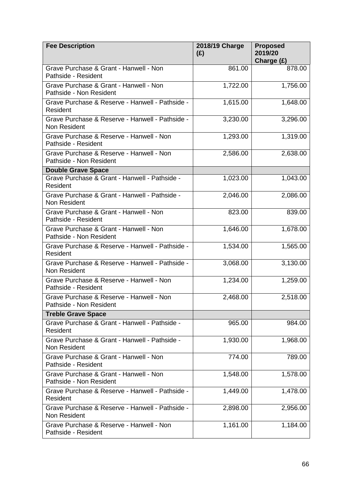| <b>Fee Description</b>                                              | 2018/19 Charge<br>(E) | <b>Proposed</b><br>2019/20<br>Charge (£) |
|---------------------------------------------------------------------|-----------------------|------------------------------------------|
| Grave Purchase & Grant - Hanwell - Non<br>Pathside - Resident       | 861.00                | 878.00                                   |
| Grave Purchase & Grant - Hanwell - Non<br>Pathside - Non Resident   | 1,722.00              | 1,756.00                                 |
| Grave Purchase & Reserve - Hanwell - Pathside -<br>Resident         | 1,615.00              | 1,648.00                                 |
| Grave Purchase & Reserve - Hanwell - Pathside -<br>Non Resident     | 3,230.00              | 3,296.00                                 |
| Grave Purchase & Reserve - Hanwell - Non<br>Pathside - Resident     | 1,293.00              | 1,319.00                                 |
| Grave Purchase & Reserve - Hanwell - Non<br>Pathside - Non Resident | 2,586.00              | 2,638.00                                 |
| <b>Double Grave Space</b>                                           |                       |                                          |
| Grave Purchase & Grant - Hanwell - Pathside -<br>Resident           | 1,023.00              | 1,043.00                                 |
| Grave Purchase & Grant - Hanwell - Pathside -<br>Non Resident       | 2,046.00              | 2,086.00                                 |
| Grave Purchase & Grant - Hanwell - Non<br>Pathside - Resident       | 823.00                | 839.00                                   |
| Grave Purchase & Grant - Hanwell - Non<br>Pathside - Non Resident   | 1,646.00              | 1,678.00                                 |
| Grave Purchase & Reserve - Hanwell - Pathside -<br>Resident         | 1,534.00              | 1,565.00                                 |
| Grave Purchase & Reserve - Hanwell - Pathside -<br>Non Resident     | 3,068.00              | 3,130.00                                 |
| Grave Purchase & Reserve - Hanwell - Non<br>Pathside - Resident     | 1,234.00              | 1,259.00                                 |
| Grave Purchase & Reserve - Hanwell - Non<br>Pathside - Non Resident | 2,468.00              | 2,518.00                                 |
| <b>Treble Grave Space</b>                                           |                       |                                          |
| Grave Purchase & Grant - Hanwell - Pathside -<br>Resident           | 965.00                | 984.00                                   |
| Grave Purchase & Grant - Hanwell - Pathside -<br>Non Resident       | 1,930.00              | 1,968.00                                 |
| Grave Purchase & Grant - Hanwell - Non<br>Pathside - Resident       | 774.00                | 789.00                                   |
| Grave Purchase & Grant - Hanwell - Non<br>Pathside - Non Resident   | 1,548.00              | 1,578.00                                 |
| Grave Purchase & Reserve - Hanwell - Pathside -<br>Resident         | 1,449.00              | 1,478.00                                 |
| Grave Purchase & Reserve - Hanwell - Pathside -<br>Non Resident     | 2,898.00              | 2,956.00                                 |
| Grave Purchase & Reserve - Hanwell - Non<br>Pathside - Resident     | 1,161.00              | 1,184.00                                 |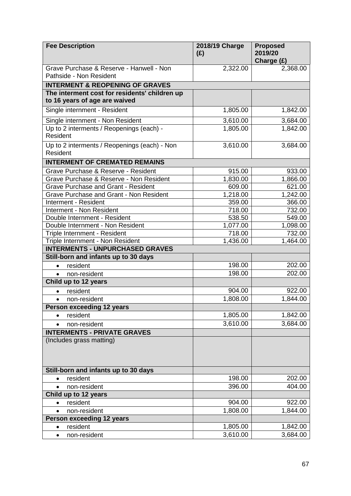| <b>Fee Description</b>                                                         | 2018/19 Charge<br>(E) | <b>Proposed</b><br>2019/20<br>Charge (£) |
|--------------------------------------------------------------------------------|-----------------------|------------------------------------------|
| Grave Purchase & Reserve - Hanwell - Non<br>Pathside - Non Resident            | 2,322.00              | 2,368.00                                 |
| <b>INTERMENT &amp; REOPENING OF GRAVES</b>                                     |                       |                                          |
| The interment cost for residents' children up<br>to 16 years of age are waived |                       |                                          |
| Single internment - Resident                                                   | 1,805.00              | 1,842.00                                 |
| Single internment - Non Resident                                               | 3,610.00              | 3,684.00                                 |
| Up to 2 interments / Reopenings (each) -<br>Resident                           | 1,805.00              | 1,842.00                                 |
| Up to 2 interments / Reopenings (each) - Non<br>Resident                       | 3,610.00              | 3,684.00                                 |
| <b>INTERMENT OF CREMATED REMAINS</b>                                           |                       |                                          |
| Grave Purchase & Reserve - Resident                                            | 915.00                | 933.00                                   |
| Grave Purchase & Reserve - Non Resident                                        | 1,830.00              | 1,866.00                                 |
| <b>Grave Purchase and Grant - Resident</b>                                     | 609.00                | 621.00                                   |
| <b>Grave Purchase and Grant - Non Resident</b>                                 | 1,218.00              | 1,242.00                                 |
| Interment - Resident                                                           | 359.00                | 366.00                                   |
| Interment - Non Resident                                                       | 718.00                | 732.00                                   |
| Double Internment - Resident                                                   | 538.50                | 549.00                                   |
| Double Internment - Non Resident                                               | 1,077.00              | 1,098.00                                 |
| Triple Internment - Resident                                                   | 718.00                | 732.00                                   |
| Triple Internment - Non Resident<br><b>INTERMENTS - UNPURCHASED GRAVES</b>     | 1,436.00              | 1,464.00                                 |
| Still-born and infants up to 30 days                                           |                       |                                          |
| resident<br>$\bullet$                                                          | 198.00                | 202.00                                   |
| non-resident<br>$\bullet$                                                      | 198.00                | 202.00                                   |
| Child up to 12 years                                                           |                       |                                          |
| resident<br>$\bullet$                                                          | 904.00                | 922.00                                   |
| $\bullet$                                                                      | 1,808.00              | 1,844.00                                 |
| non-resident<br><b>Person exceeding 12 years</b>                               |                       |                                          |
| resident<br>$\bullet$                                                          | 1,805.00              | 1,842.00                                 |
| non-resident<br>$\bullet$                                                      | 3,610.00              | 3,684.00                                 |
| <b>INTERMENTS - PRIVATE GRAVES</b>                                             |                       |                                          |
| (Includes grass matting)                                                       |                       |                                          |
| Still-born and infants up to 30 days                                           |                       |                                          |
| resident<br>$\bullet$                                                          | 198.00                | 202.00                                   |
| non-resident<br>$\bullet$                                                      | 396.00                | 404.00                                   |
| Child up to 12 years                                                           |                       |                                          |
| resident<br>$\bullet$                                                          | 904.00                | 922.00                                   |
| non-resident<br>$\bullet$                                                      | 1,808.00              | 1,844.00                                 |
| <b>Person exceeding 12 years</b>                                               |                       |                                          |
| resident<br>$\bullet$                                                          | 1,805.00              | 1,842.00                                 |
| non-resident<br>$\bullet$                                                      | 3,610.00              | 3,684.00                                 |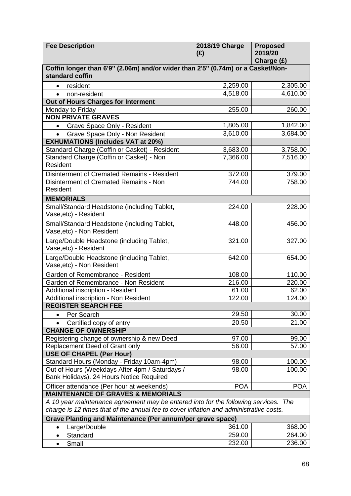| <b>Fee Description</b>                                                                 | 2018/19 Charge<br>(E) | <b>Proposed</b><br>2019/20<br>Charge (£) |
|----------------------------------------------------------------------------------------|-----------------------|------------------------------------------|
| Coffin longer than 6'9" (2.06m) and/or wider than 2'5" (0.74m) or a Casket/Non-        |                       |                                          |
| standard coffin                                                                        |                       |                                          |
| resident<br>$\bullet$                                                                  | 2,259.00              | 2,305.00                                 |
| non-resident<br>$\bullet$                                                              | 4,518.00              | 4,610.00                                 |
| Out of Hours Charges for Interment                                                     |                       |                                          |
| Monday to Friday                                                                       | 255.00                | 260.00                                   |
| <b>NON PRIVATE GRAVES</b>                                                              |                       |                                          |
| Grave Space Only - Resident<br>$\bullet$                                               | 1,805.00              | 1,842.00                                 |
| Grave Space Only - Non Resident<br>$\bullet$                                           | 3,610.00              | 3,684.00                                 |
| <b>EXHUMATIONS (Includes VAT at 20%)</b>                                               |                       |                                          |
| Standard Charge (Coffin or Casket) - Resident                                          | 3,683.00              | 3,758.00                                 |
| Standard Charge (Coffin or Casket) - Non                                               | 7,366.00              | 7,516.00                                 |
| Resident                                                                               |                       |                                          |
| Disinterment of Cremated Remains - Resident                                            | 372.00                | 379.00                                   |
| Disinterment of Cremated Remains - Non                                                 | 744.00                | 758.00                                   |
| Resident                                                                               |                       |                                          |
| <b>MEMORIALS</b>                                                                       |                       |                                          |
| Small/Standard Headstone (including Tablet,                                            | 224.00                | 228.00                                   |
| Vase, etc) - Resident                                                                  |                       |                                          |
| Small/Standard Headstone (including Tablet,                                            | 448.00                | 456.00                                   |
| Vase, etc) - Non Resident                                                              |                       |                                          |
| Large/Double Headstone (including Tablet,                                              | 321.00                | 327.00                                   |
| Vase, etc) - Resident                                                                  |                       |                                          |
| Large/Double Headstone (including Tablet,                                              | 642.00                | 654.00                                   |
| Vase, etc) - Non Resident                                                              |                       |                                          |
| Garden of Remembrance - Resident                                                       | 108.00                | 110.00                                   |
| Garden of Remembrance - Non Resident                                                   | 216.00                | 220.00                                   |
| <b>Additional inscription - Resident</b>                                               | 61.00                 | 62.00                                    |
| Additional inscription - Non Resident                                                  | 122.00                | 124.00                                   |
| <b>REGISTER SEARCH FEE</b>                                                             |                       |                                          |
| Per Search                                                                             | 29.50                 | 30.00                                    |
| Certified copy of entry                                                                | 20.50                 | 21.00                                    |
| <b>CHANGE OF OWNERSHIP</b>                                                             |                       |                                          |
| Registering change of ownership & new Deed                                             | 97.00                 | 99.00                                    |
| Replacement Deed of Grant only                                                         | 56.00                 | 57.00                                    |
| <b>USE OF CHAPEL (Per Hour)</b>                                                        |                       |                                          |
| Standard Hours (Monday - Friday 10am-4pm)                                              | 98.00                 | 100.00                                   |
| Out of Hours (Weekdays After 4pm / Saturdays /                                         | 98.00                 | 100.00                                   |
| Bank Holidays). 24 Hours Notice Required                                               |                       |                                          |
| Officer attendance (Per hour at weekends)                                              | <b>POA</b>            | <b>POA</b>                               |
| <b>MAINTENANCE OF GRAVES &amp; MEMORIALS</b>                                           |                       |                                          |
| A 10 year maintenance agreement may be entered into for the following services. The    |                       |                                          |
| charge is 12 times that of the annual fee to cover inflation and administrative costs. |                       |                                          |
| Grave Planting and Maintenance (Per annum/per grave space)                             |                       |                                          |
| Large/Double<br>$\bullet$                                                              | 361.00                | 368.00                                   |
| Standard<br>$\bullet$                                                                  | 259.00                | 264.00                                   |
| Small<br>$\bullet$                                                                     | 232.00                | 236.00                                   |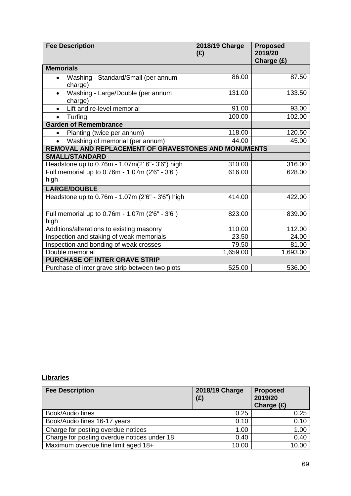| <b>Fee Description</b>                                      | 2018/19 Charge<br>(E) | <b>Proposed</b><br>2019/20<br>Charge (£) |
|-------------------------------------------------------------|-----------------------|------------------------------------------|
| <b>Memorials</b>                                            |                       |                                          |
| Washing - Standard/Small (per annum<br>$\bullet$<br>charge) | 86.00                 | 87.50                                    |
| Washing - Large/Double (per annum<br>charge)                | 131.00                | 133.50                                   |
| Lift and re-level memorial                                  | 91.00                 | 93.00                                    |
| Turfing<br>$\bullet$                                        | 100.00                | 102.00                                   |
| <b>Garden of Remembrance</b>                                |                       |                                          |
| Planting (twice per annum)<br>$\bullet$                     | 118.00                | 120.50                                   |
| Washing of memorial (per annum)<br>$\bullet$                | 44.00                 | 45.00                                    |
| REMOVAL AND REPLACEMENT OF GRAVESTONES AND MONUMENTS        |                       |                                          |
| <b>SMALL/STANDARD</b>                                       |                       |                                          |
| Headstone up to 0.76m - 1.07m(2' 6"- 3'6") high             | 310.00                | 316.00                                   |
| Full memorial up to 0.76m - 1.07m (2'6" - 3'6")<br>high     | 616.00                | 628.00                                   |
| <b>LARGE/DOUBLE</b>                                         |                       |                                          |
| Headstone up to 0.76m - 1.07m (2'6" - 3'6") high            | 414.00                | 422.00                                   |
| Full memorial up to 0.76m - 1.07m (2'6" - 3'6")<br>high     | 823.00                | 839.00                                   |
| Additions/alterations to existing masonry                   | 110.00                | 112.00                                   |
| Inspection and staking of weak memorials                    | 23.50                 | 24.00                                    |
| Inspection and bonding of weak crosses                      | 79.50                 | 81.00                                    |
| Double memorial                                             | 1,659.00              | 1,693.00                                 |
| PURCHASE OF INTER GRAVE STRIP                               |                       |                                          |
| Purchase of inter grave strip between two plots             | 525.00                | 536.00                                   |

## **Libraries**

| <b>Fee Description</b>                      | 2018/19 Charge<br>(E) | <b>Proposed</b><br>2019/20<br>Charge $(E)$ |
|---------------------------------------------|-----------------------|--------------------------------------------|
| Book/Audio fines                            | 0.25                  | 0.25                                       |
| Book/Audio fines 16-17 years                | 0.10                  | 0.10                                       |
| Charge for posting overdue notices          | 1.00                  | 1.00                                       |
| Charge for posting overdue notices under 18 | 0.40                  | 0.40                                       |
| Maximum overdue fine limit aged 18+         | 10.00                 | 10.00                                      |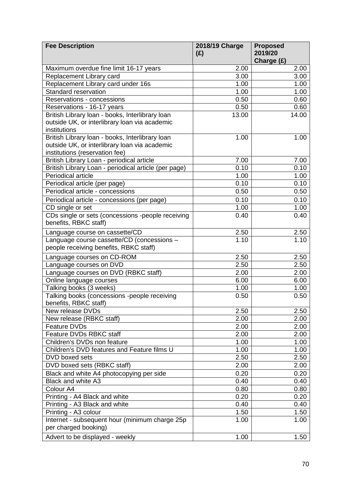| <b>Fee Description</b>                                                          | 2018/19 Charge<br>(E) | <b>Proposed</b><br>2019/20 |
|---------------------------------------------------------------------------------|-----------------------|----------------------------|
|                                                                                 |                       | Charge (£)                 |
| Maximum overdue fine limit 16-17 years                                          | 2.00                  | 2.00                       |
| Replacement Library card                                                        | 3.00                  | 3.00                       |
| Replacement Library card under 16s                                              | 1.00                  | 1.00                       |
| <b>Standard reservation</b>                                                     | 1.00                  | 1.00                       |
| Reservations - concessions                                                      | 0.50                  | 0.60                       |
| Reservations - 16-17 years                                                      | 0.50                  | 0.60                       |
| British Library loan - books, Interlibrary loan                                 | 13.00                 | 14.00                      |
| outside UK, or interlibrary loan via academic                                   |                       |                            |
| institutions                                                                    |                       |                            |
| British Library loan - books, Interlibrary loan                                 | 1.00                  | 1.00                       |
| outside UK, or interlibrary loan via academic<br>institutions (reservation fee) |                       |                            |
| British Library Loan - periodical article                                       | 7.00                  | 7.00                       |
| British Library Loan - periodical article (per page)                            | 0.10                  | 0.10                       |
| Periodical article                                                              | 1.00                  | 1.00                       |
| Periodical article (per page)                                                   | 0.10                  | 0.10                       |
| Periodical article - concessions                                                | 0.50                  | 0.50                       |
|                                                                                 |                       |                            |
| Periodical article - concessions (per page)                                     | 0.10                  | 0.10                       |
| CD single or set                                                                | 1.00                  | 1.00                       |
| CDs single or sets (concessions -people receiving<br>benefits, RBKC staff)      | 0.40                  | 0.40                       |
| Language course on cassette/CD                                                  | 2.50                  | 2.50                       |
| Language course cassette/CD (concessions -                                      | 1.10                  | 1.10                       |
| people receiving benefits, RBKC staff)                                          |                       |                            |
| Language courses on CD-ROM                                                      | 2.50                  | 2.50                       |
| Language courses on DVD                                                         | 2.50                  | 2.50                       |
| Language courses on DVD (RBKC staff)                                            | 2.00                  | 2.00                       |
| Online language courses                                                         | 6.00                  | 6.00                       |
| Talking books (3 weeks)                                                         | 1.00                  | 1.00                       |
| Talking books (concessions -people receiving<br>benefits, RBKC staff)           | 0.50                  | 0.50                       |
| New release DVDs                                                                | 2.50                  | 2.50                       |
| New release (RBKC staff)                                                        | 2.00                  | 2.00                       |
| Feature DVDs                                                                    | 2.00                  | 2.00                       |
| Feature DVDs RBKC staff                                                         | 2.00                  | 2.00                       |
| Children's DVDs non feature                                                     | 1.00                  | 1.00                       |
| Children's DVD features and Feature films U                                     | 1.00                  | 1.00                       |
| DVD boxed sets                                                                  | 2.50                  | 2.50                       |
| DVD boxed sets (RBKC staff)                                                     | 2.00                  | 2.00                       |
| Black and white A4 photocopying per side                                        | 0.20                  | 0.20                       |
| Black and white A3                                                              | 0.40                  | 0.40                       |
| Colour A4                                                                       | 0.80                  | 0.80                       |
| Printing - A4 Black and white                                                   | 0.20                  | 0.20                       |
| Printing - A3 Black and white                                                   | 0.40                  | 0.40                       |
| Printing - A3 colour                                                            | 1.50                  | 1.50                       |
| Internet - subsequent hour (minimum charge 25p<br>per charged booking)          | 1.00                  | 1.00                       |
| Advert to be displayed - weekly                                                 | 1.00                  | 1.50                       |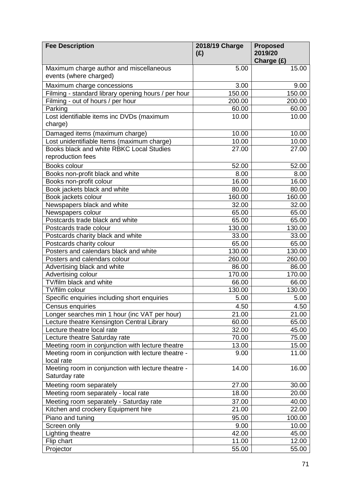| <b>Fee Description</b>                                            | 2018/19 Charge<br>(E) | <b>Proposed</b><br>2019/20 |
|-------------------------------------------------------------------|-----------------------|----------------------------|
|                                                                   |                       | Charge (£)                 |
| Maximum charge author and miscellaneous<br>events (where charged) | 5.00                  | 15.00                      |
| Maximum charge concessions                                        | 3.00                  | 9.00                       |
| Filming - standard library opening hours / per hour               | 150.00                | 150.00                     |
| Filming - out of hours / per hour                                 | 200.00                | 200.00                     |
| Parking                                                           | 60.00                 | 60.00                      |
| Lost identifiable items inc DVDs (maximum                         | 10.00                 | 10.00                      |
| charge)                                                           |                       |                            |
| Damaged items (maximum charge)                                    | 10.00                 | 10.00                      |
| Lost unidentifiable Items (maximum charge)                        | 10.00                 | 10.00                      |
| Books black and white RBKC Local Studies                          | 27.00                 | 27.00                      |
| reproduction fees                                                 |                       |                            |
| Books colour                                                      | 52.00                 | 52.00                      |
| Books non-profit black and white                                  | 8.00                  | 8.00                       |
| Books non-profit colour                                           | 16.00                 | 16.00                      |
| Book jackets black and white                                      | 80.00                 | 80.00                      |
| Book jackets colour                                               | 160.00                | 160.00                     |
| Newspapers black and white                                        | 32.00                 | 32.00                      |
| Newspapers colour                                                 | 65.00                 | 65.00                      |
| Postcards trade black and white                                   | 65.00                 | 65.00                      |
| Postcards trade colour                                            | 130.00                | 130.00                     |
| Postcards charity black and white                                 | 33.00                 | 33.00                      |
| Postcards charity colour                                          | 65.00                 | 65.00                      |
| Posters and calendars black and white                             | 130.00                | 130.00                     |
| Posters and calendars colour                                      | 260.00                | 260.00                     |
| Advertising black and white                                       | 86.00                 | 86.00                      |
| Advertising colour                                                | 170.00                | 170.00                     |
| TV/film black and white                                           | 66.00                 | 66.00                      |
| TV/film colour                                                    | 130.00                | 130.00                     |
| Specific enquiries including short enquiries                      | 5.00                  | 5.00                       |
| Census enquiries                                                  | 4.50                  | 4.50                       |
| Longer searches min 1 hour (inc VAT per hour)                     | 21.00                 | 21.00                      |
| Lecture theatre Kensington Central Library                        | 60.00                 | 65.00                      |
| Lecture theatre local rate                                        | 32.00                 | 45.00                      |
| Lecture theatre Saturday rate                                     | 70.00                 | 75.00                      |
| Meeting room in conjunction with lecture theatre                  | 13.00                 | 15.00                      |
| Meeting room in conjunction with lecture theatre -<br>local rate  | 9.00                  | 11.00                      |
| Meeting room in conjunction with lecture theatre -                | 14.00                 | 16.00                      |
| Saturday rate                                                     |                       |                            |
|                                                                   |                       |                            |
| Meeting room separately                                           | 27.00                 | 30.00                      |
| Meeting room separately - local rate                              | 18.00                 | 20.00                      |
| Meeting room separately - Saturday rate                           | 37.00                 | 40.00                      |
| Kitchen and crockery Equipment hire                               | 21.00                 | 22.00                      |
| Piano and tuning                                                  | 95.00                 | 100.00                     |
| Screen only                                                       | 9.00                  | 10.00                      |
| Lighting theatre                                                  | 42.00                 | 45.00                      |
| Flip chart                                                        | 11.00                 | 12.00                      |
| Projector                                                         | 55.00                 | 55.00                      |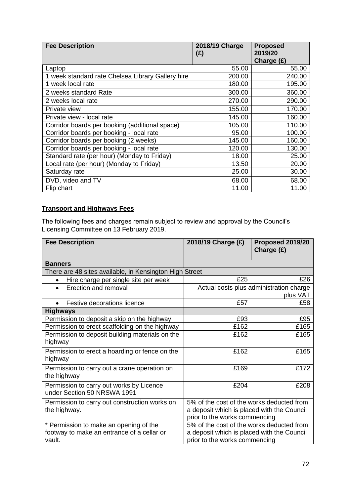| <b>Fee Description</b>                            | 2018/19 Charge<br>(E) | <b>Proposed</b><br>2019/20<br>Charge (£) |
|---------------------------------------------------|-----------------------|------------------------------------------|
| Laptop                                            | 55.00                 | 55.00                                    |
| 1 week standard rate Chelsea Library Gallery hire | 200.00                | 240.00                                   |
| 1 week local rate                                 | 180.00                | 195.00                                   |
| 2 weeks standard Rate                             | 300.00                | 360.00                                   |
| 2 weeks local rate                                | 270.00                | 290.00                                   |
| Private view                                      | 155.00                | 170.00                                   |
| Private view - local rate                         | 145.00                | 160.00                                   |
| Corridor boards per booking (additional space)    | 105.00                | 110.00                                   |
| Corridor boards per booking - local rate          | 95.00                 | 100.00                                   |
| Corridor boards per booking (2 weeks)             | 145.00                | 160.00                                   |
| Corridor boards per booking - local rate          | 120.00                | 130.00                                   |
| Standard rate (per hour) (Monday to Friday)       | 18.00                 | 25.00                                    |
| Local rate (per hour) (Monday to Friday)          | 13.50                 | 20.00                                    |
| Saturday rate                                     | 25.00                 | 30.00                                    |
| DVD, video and TV                                 | 68.00                 | 68.00                                    |
| Flip chart                                        | 11.00                 | 11.00                                    |

## **Transport and Highways Fees**

The following fees and charges remain subject to review and approval by the Council's Licensing Committee on 13 February 2019.

| <b>Fee Description</b>                                                                         | 2018/19 Charge (£)                                                                                                       | Proposed 2019/20<br>Charge (£) |
|------------------------------------------------------------------------------------------------|--------------------------------------------------------------------------------------------------------------------------|--------------------------------|
| <b>Banners</b>                                                                                 |                                                                                                                          |                                |
| There are 48 sites available, in Kensington High Street                                        |                                                                                                                          |                                |
| Hire charge per single site per week<br>$\bullet$                                              | £25                                                                                                                      | £26                            |
| Erection and removal<br>$\bullet$                                                              | Actual costs plus administration charge<br>plus VAT                                                                      |                                |
| Festive decorations licence                                                                    | £57                                                                                                                      | £58                            |
| <b>Highways</b>                                                                                |                                                                                                                          |                                |
| Permission to deposit a skip on the highway                                                    | £93                                                                                                                      | £95                            |
| Permission to erect scaffolding on the highway                                                 | £162                                                                                                                     | £165                           |
| Permission to deposit building materials on the<br>highway                                     | £162                                                                                                                     | £165                           |
| Permission to erect a hoarding or fence on the<br>highway                                      | £162                                                                                                                     | £165                           |
| Permission to carry out a crane operation on<br>the highway                                    | £169                                                                                                                     | £172                           |
| Permission to carry out works by Licence<br>under Section 50 NRSWA 1991                        | £204                                                                                                                     | £208                           |
| Permission to carry out construction works on<br>the highway.                                  | 5% of the cost of the works deducted from<br>a deposit which is placed with the Council<br>prior to the works commencing |                                |
| * Permission to make an opening of the<br>footway to make an entrance of a cellar or<br>vault. | 5% of the cost of the works deducted from<br>a deposit which is placed with the Council<br>prior to the works commencing |                                |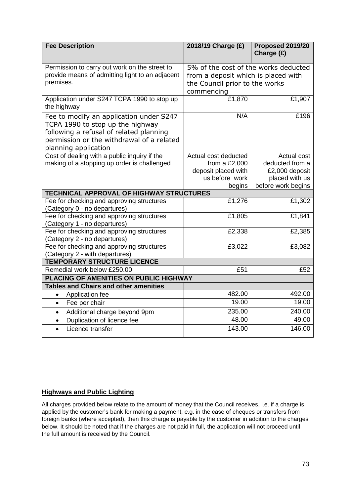| <b>Fee Description</b>                                               | 2018/19 Charge (£)                     | Proposed 2019/20<br>Charge (£) |
|----------------------------------------------------------------------|----------------------------------------|--------------------------------|
| Permission to carry out work on the street to                        | 5% of the cost of the works deducted   |                                |
| provide means of admitting light to an adjacent                      | from a deposit which is placed with    |                                |
| premises.                                                            | the Council prior to the works         |                                |
|                                                                      | commencing                             |                                |
| Application under S247 TCPA 1990 to stop up<br>the highway           | £1,870                                 | £1,907                         |
| Fee to modify an application under S247                              | N/A                                    | £196                           |
| TCPA 1990 to stop up the highway                                     |                                        |                                |
| following a refusal of related planning                              |                                        |                                |
| permission or the withdrawal of a related                            |                                        |                                |
| planning application                                                 |                                        |                                |
| Cost of dealing with a public inquiry if the                         | Actual cost deducted                   | Actual cost<br>deducted from a |
| making of a stopping up order is challenged                          | from a $£2,000$<br>deposit placed with | £2,000 deposit                 |
|                                                                      | us before work                         | placed with us                 |
|                                                                      | begins                                 | before work begins             |
| <b>TECHNICAL APPROVAL OF HIGHWAY STRUCTURES</b>                      |                                        |                                |
| Fee for checking and approving structures                            | £1,276                                 | £1,302                         |
| (Category 0 - no departures)                                         |                                        |                                |
| Fee for checking and approving structures                            | £1,805                                 | £1,841                         |
| (Category 1 - no departures)                                         |                                        |                                |
| Fee for checking and approving structures                            | £2,338                                 | £2,385                         |
| (Category 2 - no departures)                                         |                                        |                                |
| Fee for checking and approving structures                            | £3,022                                 | £3,082                         |
| (Category 2 - with departures)<br><b>TEMPORARY STRUCTURE LICENCE</b> |                                        |                                |
| Remedial work below £250.00                                          | £51                                    | £52                            |
| PLACING OF AMENITIES ON PUBLIC HIGHWAY                               |                                        |                                |
| <b>Tables and Chairs and other amenities</b>                         |                                        |                                |
| Application fee<br>$\bullet$                                         | 482.00                                 | 492.00                         |
| Fee per chair<br>$\bullet$                                           | 19.00                                  | 19.00                          |
| Additional charge beyond 9pm<br>$\bullet$                            | 235.00                                 | 240.00                         |
| Duplication of licence fee<br>$\bullet$                              | 48.00                                  | 49.00                          |
| Licence transfer                                                     | 143.00                                 | 146.00                         |
|                                                                      |                                        |                                |

#### **Highways and Public Lighting**

All charges provided below relate to the amount of money that the Council receives, i.e. if a charge is applied by the customer's bank for making a payment, e.g. in the case of cheques or transfers from foreign banks (where accepted), then this charge is payable by the customer in addition to the charges below. It should be noted that if the charges are not paid in full, the application will not proceed until the full amount is received by the Council.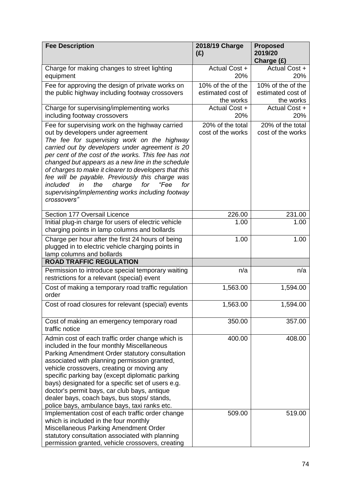| <b>Fee Description</b>                                                                                                                                                                                                                                                                                                                                                                                                                                                                                                                     | 2018/19 Charge<br>(E)                               | <b>Proposed</b><br>2019/20<br>Charge (£)            |
|--------------------------------------------------------------------------------------------------------------------------------------------------------------------------------------------------------------------------------------------------------------------------------------------------------------------------------------------------------------------------------------------------------------------------------------------------------------------------------------------------------------------------------------------|-----------------------------------------------------|-----------------------------------------------------|
| Charge for making changes to street lighting<br>equipment                                                                                                                                                                                                                                                                                                                                                                                                                                                                                  | Actual Cost +<br>20%                                | Actual Cost +<br>20%                                |
| Fee for approving the design of private works on<br>the public highway including footway crossovers                                                                                                                                                                                                                                                                                                                                                                                                                                        | 10% of the of the<br>estimated cost of<br>the works | 10% of the of the<br>estimated cost of<br>the works |
| Charge for supervising/implementing works<br>including footway crossovers                                                                                                                                                                                                                                                                                                                                                                                                                                                                  | Actual Cost +<br>20%                                | Actual Cost +<br>20%                                |
| Fee for supervising work on the highway carried<br>out by developers under agreement<br>The fee for supervising work on the highway<br>carried out by developers under agreement is 20<br>per cent of the cost of the works. This fee has not<br>changed but appears as a new line in the schedule<br>of charges to make it clearer to developers that this<br>fee will be payable. Previously this charge was<br>included<br>the<br>"Fee<br>for<br>in<br>charge<br>for<br>supervising/implementing works including footway<br>crossovers" | 20% of the total<br>cost of the works               | 20% of the total<br>cost of the works               |
| Section 177 Oversail Licence                                                                                                                                                                                                                                                                                                                                                                                                                                                                                                               | 226.00                                              | 231.00                                              |
| Initial plug-in charge for users of electric vehicle<br>charging points in lamp columns and bollards                                                                                                                                                                                                                                                                                                                                                                                                                                       | 1.00                                                | 1.00                                                |
| Charge per hour after the first 24 hours of being<br>plugged in to electric vehicle charging points in<br>lamp columns and bollards                                                                                                                                                                                                                                                                                                                                                                                                        | 1.00                                                | 1.00                                                |
| <b>ROAD TRAFFIC REGULATION</b>                                                                                                                                                                                                                                                                                                                                                                                                                                                                                                             |                                                     |                                                     |
| Permission to introduce special temporary waiting<br>restrictions for a relevant (special) event                                                                                                                                                                                                                                                                                                                                                                                                                                           | n/a                                                 | n/a                                                 |
| Cost of making a temporary road traffic regulation<br>order                                                                                                                                                                                                                                                                                                                                                                                                                                                                                | 1,563.00                                            | 1,594.00                                            |
| Cost of road closures for relevant (special) events                                                                                                                                                                                                                                                                                                                                                                                                                                                                                        | 1,563.00                                            | 1,594.00                                            |
| Cost of making an emergency temporary road<br>traffic notice                                                                                                                                                                                                                                                                                                                                                                                                                                                                               | 350.00                                              | 357.00                                              |
| Admin cost of each traffic order change which is<br>included in the four monthly Miscellaneous<br>Parking Amendment Order statutory consultation<br>associated with planning permission granted,<br>vehicle crossovers, creating or moving any<br>specific parking bay (except diplomatic parking<br>bays) designated for a specific set of users e.g.<br>doctor's permit bays, car club bays, antique<br>dealer bays, coach bays, bus stops/ stands,<br>police bays, ambulance bays, taxi ranks etc.                                      | 400.00                                              | 408.00                                              |
| Implementation cost of each traffic order change<br>which is included in the four monthly<br>Miscellaneous Parking Amendment Order<br>statutory consultation associated with planning<br>permission granted, vehicle crossovers, creating                                                                                                                                                                                                                                                                                                  | 509.00                                              | 519.00                                              |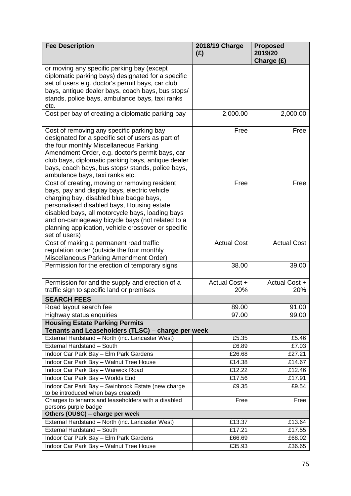| <b>Fee Description</b>                                                                        | 2018/19 Charge<br>(E) | <b>Proposed</b><br>2019/20<br>Charge (£) |
|-----------------------------------------------------------------------------------------------|-----------------------|------------------------------------------|
| or moving any specific parking bay (except                                                    |                       |                                          |
| diplomatic parking bays) designated for a specific                                            |                       |                                          |
| set of users e.g. doctor's permit bays, car club                                              |                       |                                          |
| bays, antique dealer bays, coach bays, bus stops/                                             |                       |                                          |
| stands, police bays, ambulance bays, taxi ranks                                               |                       |                                          |
| etc.                                                                                          |                       |                                          |
| Cost per bay of creating a diplomatic parking bay                                             | 2,000.00              | 2,000.00                                 |
| Cost of removing any specific parking bay                                                     | Free                  | Free                                     |
| designated for a specific set of users as part of                                             |                       |                                          |
| the four monthly Miscellaneous Parking                                                        |                       |                                          |
| Amendment Order, e.g. doctor's permit bays, car                                               |                       |                                          |
| club bays, diplomatic parking bays, antique dealer                                            |                       |                                          |
| bays, coach bays, bus stops/ stands, police bays,                                             |                       |                                          |
| ambulance bays, taxi ranks etc.                                                               |                       |                                          |
| Cost of creating, moving or removing resident<br>bays, pay and display bays, electric vehicle | Free                  | Free                                     |
| charging bay, disabled blue badge bays,                                                       |                       |                                          |
| personalised disabled bays, Housing estate                                                    |                       |                                          |
| disabled bays, all motorcycle bays, loading bays                                              |                       |                                          |
| and on-carriageway bicycle bays (not related to a                                             |                       |                                          |
| planning application, vehicle crossover or specific                                           |                       |                                          |
| set of users)                                                                                 |                       |                                          |
| Cost of making a permanent road traffic                                                       | <b>Actual Cost</b>    | <b>Actual Cost</b>                       |
| regulation order (outside the four monthly                                                    |                       |                                          |
| Miscellaneous Parking Amendment Order)                                                        |                       |                                          |
| Permission for the erection of temporary signs                                                | 38.00                 | 39.00                                    |
| Permission for and the supply and erection of a                                               | Actual Cost +         | Actual Cost +                            |
| traffic sign to specific land or premises                                                     | 20%                   | 20%                                      |
| <b>SEARCH FEES</b>                                                                            |                       |                                          |
| Road layout search fee                                                                        | 89.00                 | 91.00                                    |
| Highway status enquiries                                                                      | 97.00                 | 99.00                                    |
| <b>Housing Estate Parking Permits</b><br>Tenants and Leaseholders (TLSC) – charge per week    |                       |                                          |
| External Hardstand - North (inc. Lancaster West)                                              | £5.35                 | £5.46                                    |
| External Hardstand - South                                                                    | £6.89                 | £7.03                                    |
| Indoor Car Park Bay - Elm Park Gardens                                                        | £26.68                | £27.21                                   |
| Indoor Car Park Bay - Walnut Tree House                                                       | £14.38                | £14.67                                   |
| Indoor Car Park Bay - Warwick Road                                                            | £12.22                | £12.46                                   |
| Indoor Car Park Bay - Worlds End                                                              | £17.56                | £17.91                                   |
| Indoor Car Park Bay - Swinbrook Estate (new charge<br>to be introduced when bays created)     | £9.35                 | £9.54                                    |
| Charges to tenants and leaseholders with a disabled                                           | Free                  | Free                                     |
| persons purple badge                                                                          |                       |                                          |
| Others (OUSC) - charge per week                                                               |                       |                                          |
| External Hardstand - North (inc. Lancaster West)                                              | £13.37                | £13.64                                   |
| External Hardstand - South                                                                    | £17.21                | £17.55                                   |
| Indoor Car Park Bay - Elm Park Gardens                                                        | £66.69                | £68.02                                   |
| Indoor Car Park Bay - Walnut Tree House                                                       | £35.93                | £36.65                                   |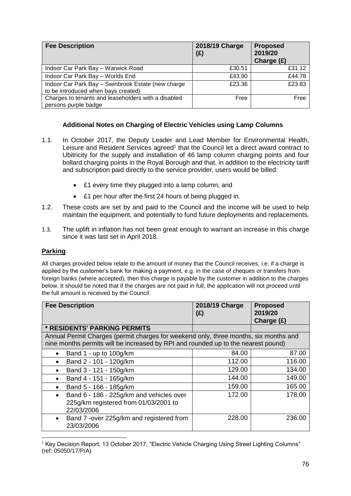| <b>Fee Description</b>                                                                    | 2018/19 Charge<br>(E) | <b>Proposed</b><br>2019/20<br>Charge $(E)$ |
|-------------------------------------------------------------------------------------------|-----------------------|--------------------------------------------|
| Indoor Car Park Bay - Warwick Road                                                        | £30.51                | £31.12                                     |
| Indoor Car Park Bay - Worlds End                                                          | £43.90                | £44.78                                     |
| Indoor Car Park Bay - Swinbrook Estate (new charge<br>to be introduced when bays created) | £23.36                | £23.83                                     |
| Charges to tenants and leaseholders with a disabled<br>persons purple badge               | Free                  | Free                                       |

#### **Additional Notes on Charging of Electric Vehicles using Lamp Columns**

- 1.1. In October 2017, the Deputy Leader and Lead Member for Environmental Health, Leisure and Resident Services agreed<sup>1</sup> that the Council let a direct award contract to Ubitricity for the supply and installation of 46 lamp column charging points and four bollard charging points in the Royal Borough and that, in addition to the electricity tariff and subscription paid directly to the service provider, users would be billed:
	- £1 every time they plugged into a lamp column; and
	- £1 per hour after the first 24 hours of being plugged in.
- 1.2. These costs are set by and paid to the Council and the income will be used to help maintain the equipment, and potentially to fund future deployments and replacements.
- 1.3. The uplift in inflation has not been great enough to warrant an increase in this charge since it was last set in April 2018.

#### **Parking**

All charges provided below relate to the amount of money that the Council receives, i.e. if a charge is applied by the customer's bank for making a payment, e.g. in the case of cheques or transfers from foreign banks (where accepted), then this charge is payable by the customer in addition to the charges below. It should be noted that if the charges are not paid in full, the application will not proceed until the full amount is received by the Council.

| <b>Fee Description</b>                                                                                                                                                    | 2018/19 Charge<br>(E) | <b>Proposed</b><br>2019/20<br>Charge $(E)$ |
|---------------------------------------------------------------------------------------------------------------------------------------------------------------------------|-----------------------|--------------------------------------------|
| * RESIDENTS' PARKING PERMITS                                                                                                                                              |                       |                                            |
| Annual Permit Charges (permit charges for weekend only, three months, six months and<br>nine months permits will be increased by RPI and rounded up to the nearest pound) |                       |                                            |
| Band 1 - up to 100g/km<br>$\bullet$                                                                                                                                       | 84.00                 | 87.00                                      |
| Band 2 - 101 - 120g/km<br>$\bullet$                                                                                                                                       | 112.00                | 116.00                                     |
| Band 3 - 121 - 150g/km<br>$\bullet$                                                                                                                                       | 129.00                | 134.00                                     |
| Band 4 - 151 - 165g/km<br>$\bullet$                                                                                                                                       | 144.00                | 149.00                                     |
| Band 5 - 166 - 185g/km<br>$\bullet$                                                                                                                                       | 159.00                | 165.00                                     |
| Band 6 - 186 - 225g/km and vehicles over<br>$\bullet$<br>225g/km registered from 01/03/2001 to<br>22/03/2006                                                              | 172.00                | 178.00                                     |
| Band 7 -over 225g/km and registered from<br>$\bullet$<br>23/03/2006                                                                                                       | 228.00                | 236.00                                     |

<sup>1</sup> <sup>1</sup> Key Decision Report, 13 October 2017, "Electric Vehicle Charging Using Street Lighting Columns" (ref: 05050/17/P/A)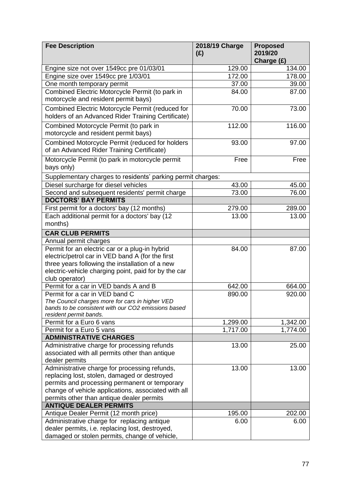| <b>Fee Description</b>                                                                         | 2018/19 Charge<br>(E) | <b>Proposed</b><br>2019/20<br>Charge (£) |
|------------------------------------------------------------------------------------------------|-----------------------|------------------------------------------|
| Engine size not over 1549cc pre 01/03/01                                                       | 129.00                | 134.00                                   |
| Engine size over 1549cc pre 1/03/01                                                            | 172.00                | 178.00                                   |
| One month temporary permit                                                                     | 37.00                 | 39.00                                    |
| Combined Electric Motorcycle Permit (to park in                                                | 84.00                 | 87.00                                    |
| motorcycle and resident permit bays)                                                           |                       |                                          |
| Combined Electric Motorcycle Permit (reduced for                                               | 70.00                 | 73.00                                    |
| holders of an Advanced Rider Training Certificate)                                             |                       |                                          |
| Combined Motorcycle Permit (to park in                                                         | 112.00                | 116.00                                   |
| motorcycle and resident permit bays)                                                           |                       |                                          |
| Combined Motorcycle Permit (reduced for holders                                                | 93.00                 | 97.00                                    |
| of an Advanced Rider Training Certificate)                                                     |                       |                                          |
| Motorcycle Permit (to park in motorcycle permit                                                | Free                  | Free                                     |
| bays only)                                                                                     |                       |                                          |
|                                                                                                |                       |                                          |
| Supplementary charges to residents' parking permit charges:                                    |                       |                                          |
| Diesel surcharge for diesel vehicles                                                           | 43.00                 | 45.00                                    |
| Second and subsequent residents' permit charge<br><b>DOCTORS' BAY PERMITS</b>                  | 73.00                 | 76.00                                    |
|                                                                                                | 279.00                | 289.00                                   |
| First permit for a doctors' bay (12 months)<br>Each additional permit for a doctors' bay (12   | 13.00                 | 13.00                                    |
| months)                                                                                        |                       |                                          |
| <b>CAR CLUB PERMITS</b>                                                                        |                       |                                          |
| Annual permit charges                                                                          |                       |                                          |
| Permit for an electric car or a plug-in hybrid                                                 | 84.00                 | 87.00                                    |
| electric/petrol car in VED band A (for the first                                               |                       |                                          |
| three years following the installation of a new                                                |                       |                                          |
| electric-vehicle charging point, paid for by the car                                           |                       |                                          |
| club operator)                                                                                 |                       |                                          |
| Permit for a car in VED bands A and B                                                          | 642.00                | 664.00                                   |
| Permit for a car in VED band C                                                                 | 890.00                | 920.00                                   |
| The Council charges more for cars in higher VED                                                |                       |                                          |
| bands to be consistent with our CO2 emissions based                                            |                       |                                          |
| resident permit bands.                                                                         |                       |                                          |
| Permit for a Euro 6 vans                                                                       | 1,299.00              | 1,342.00                                 |
| Permit for a Euro 5 vans                                                                       | 1,717.00              | 1,774.00                                 |
| <b>ADMINISTRATIVE CHARGES</b>                                                                  |                       |                                          |
| Administrative charge for processing refunds<br>associated with all permits other than antique | 13.00                 | 25.00                                    |
| dealer permits                                                                                 |                       |                                          |
| Administrative charge for processing refunds,                                                  | 13.00                 | 13.00                                    |
| replacing lost, stolen, damaged or destroyed                                                   |                       |                                          |
| permits and processing permanent or temporary                                                  |                       |                                          |
| change of vehicle applications, associated with all                                            |                       |                                          |
| permits other than antique dealer permits                                                      |                       |                                          |
| <b>ANTIQUE DEALER PERMITS</b>                                                                  |                       |                                          |
| Antique Dealer Permit (12 month price)                                                         | 195.00                | 202.00                                   |
| Administrative charge for replacing antique                                                    | 6.00                  | 6.00                                     |
| dealer permits, i.e. replacing lost, destroyed,                                                |                       |                                          |
| damaged or stolen permits, change of vehicle,                                                  |                       |                                          |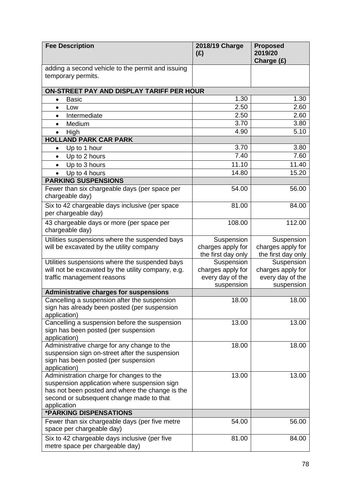| <b>Fee Description</b>                                                           | 2018/19 Charge<br>(E) | <b>Proposed</b><br>2019/20<br>Charge (£) |
|----------------------------------------------------------------------------------|-----------------------|------------------------------------------|
| adding a second vehicle to the permit and issuing<br>temporary permits.          |                       |                                          |
| ON-STREET PAY AND DISPLAY TARIFF PER HOUR                                        |                       |                                          |
| <b>Basic</b><br>$\bullet$                                                        | 1.30                  | 1.30                                     |
| Low<br>$\bullet$                                                                 | 2.50                  | 2.60                                     |
| Intermediate<br>$\bullet$                                                        | 2.50                  | 2.60                                     |
| Medium<br>$\bullet$                                                              | 3.70                  | 3.80                                     |
| High                                                                             | 4.90                  | 5.10                                     |
| <b>HOLLAND PARK CAR PARK</b>                                                     |                       |                                          |
| Up to 1 hour<br>٠                                                                | 3.70                  | 3.80                                     |
| Up to 2 hours<br>$\bullet$                                                       | 7.40                  | 7.60                                     |
| Up to 3 hours<br>$\bullet$                                                       | 11.10                 | 11.40                                    |
| Up to 4 hours                                                                    | 14.80                 | 15.20                                    |
| <b>PARKING SUSPENSIONS</b>                                                       |                       |                                          |
| Fewer than six chargeable days (per space per<br>chargeable day)                 | 54.00                 | 56.00                                    |
| Six to 42 chargeable days inclusive (per space<br>per chargeable day)            | 81.00                 | 84.00                                    |
| 43 chargeable days or more (per space per<br>chargeable day)                     | 108.00                | 112.00                                   |
| Utilities suspensions where the suspended bays                                   | Suspension            | Suspension                               |
| will be excavated by the utility company                                         | charges apply for     | charges apply for                        |
|                                                                                  | the first day only    | the first day only                       |
| Utilities suspensions where the suspended bays                                   | Suspension            | Suspension                               |
| will not be excavated by the utility company, e.g.                               | charges apply for     | charges apply for                        |
| traffic management reasons                                                       | every day of the      | every day of the                         |
| <b>Administrative charges for suspensions</b>                                    | suspension            | suspension                               |
| Cancelling a suspension after the suspension                                     | 18.00                 | 18.00                                    |
| sign has already been posted (per suspension                                     |                       |                                          |
| application)                                                                     |                       |                                          |
| Cancelling a suspension before the suspension                                    | 13.00                 | 13.00                                    |
| sign has been posted (per suspension                                             |                       |                                          |
| application)                                                                     |                       |                                          |
| Administrative charge for any change to the                                      | 18.00                 | 18.00                                    |
| suspension sign on-street after the suspension                                   |                       |                                          |
| sign has been posted (per suspension                                             |                       |                                          |
| application)<br>Administration charge for changes to the                         | 13.00                 | 13.00                                    |
| suspension application where suspension sign                                     |                       |                                          |
| has not been posted and where the change is the                                  |                       |                                          |
| second or subsequent change made to that                                         |                       |                                          |
| application                                                                      |                       |                                          |
| <b><i>*PARKING DISPENSATIONS</i></b>                                             |                       |                                          |
| Fewer than six chargeable days (per five metre                                   | 54.00                 | 56.00                                    |
| space per chargeable day)                                                        |                       |                                          |
| Six to 42 chargeable days inclusive (per five<br>metre space per chargeable day) | 81.00                 | 84.00                                    |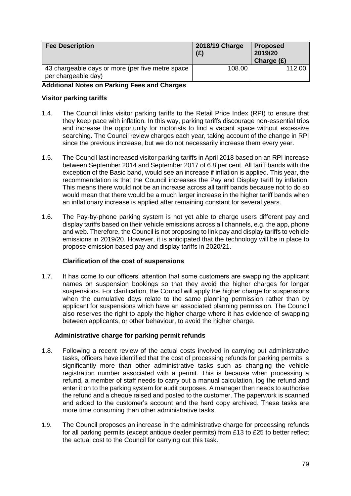| <b>Fee Description</b>                                                   | 2018/19 Charge<br>(E) | <b>Proposed</b><br>2019/20<br>Charge $(E)$ |
|--------------------------------------------------------------------------|-----------------------|--------------------------------------------|
| 43 chargeable days or more (per five metre space)<br>per chargeable day) | 108.00                | 112.00                                     |

#### **Additional Notes on Parking Fees and Charges**

#### **Visitor parking tariffs**

- 1.4. The Council links visitor parking tariffs to the Retail Price Index (RPI) to ensure that they keep pace with inflation. In this way, parking tariffs discourage non-essential trips and increase the opportunity for motorists to find a vacant space without excessive searching. The Council review charges each year, taking account of the change in RPI since the previous increase, but we do not necessarily increase them every year.
- 1.5. The Council last increased visitor parking tariffs in April 2018 based on an RPI increase between September 2014 and September 2017 of 6.8 per cent. All tariff bands with the exception of the Basic band, would see an increase if inflation is applied. This year, the recommendation is that the Council increases the Pay and Display tariff by inflation. This means there would not be an increase across all tariff bands because not to do so would mean that there would be a much larger increase in the higher tariff bands when an inflationary increase is applied after remaining constant for several years.
- 1.6. The Pay-by-phone parking system is not yet able to charge users different pay and display tariffs based on their vehicle emissions across all channels, e.g. the app, phone and web. Therefore, the Council is not proposing to link pay and display tariffs to vehicle emissions in 2019/20. However, it is anticipated that the technology will be in place to propose emission based pay and display tariffs in 2020/21.

#### **Clarification of the cost of suspensions**

1.7. It has come to our officers' attention that some customers are swapping the applicant names on suspension bookings so that they avoid the higher charges for longer suspensions. For clarification, the Council will apply the higher charge for suspensions when the cumulative days relate to the same planning permission rather than by applicant for suspensions which have an associated planning permission. The Council also reserves the right to apply the higher charge where it has evidence of swapping between applicants, or other behaviour, to avoid the higher charge.

#### **Administrative charge for parking permit refunds**

- 1.8. Following a recent review of the actual costs involved in carrying out administrative tasks, officers have identified that the cost of processing refunds for parking permits is significantly more than other administrative tasks such as changing the vehicle registration number associated with a permit. This is because when processing a refund, a member of staff needs to carry out a manual calculation, log the refund and enter it on to the parking system for audit purposes. A manager then needs to authorise the refund and a cheque raised and posted to the customer. The paperwork is scanned and added to the customer's account and the hard copy archived. These tasks are more time consuming than other administrative tasks.
- 1.9. The Council proposes an increase in the administrative charge for processing refunds for all parking permits (except antique dealer permits) from £13 to £25 to better reflect the actual cost to the Council for carrying out this task.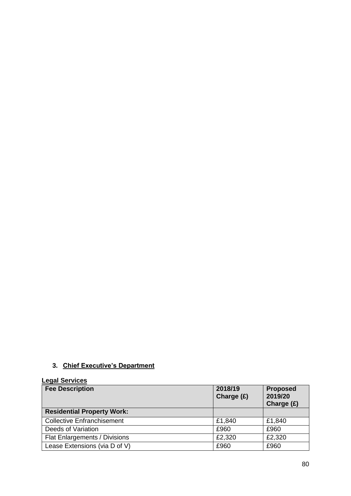## **3. Chief Executive's Department**

#### **Legal Services Fee Description 2018/19 Charge (£) Proposed 2019/20 Charge (£) Residential Property Work:** Collective Enfranchisement 1.21,840 £1,840 Deeds of Variation **E960** £960 Flat Enlargements / Divisions <br>
E2,320 £2,320 Lease Extensions (via D of V) **E960** E960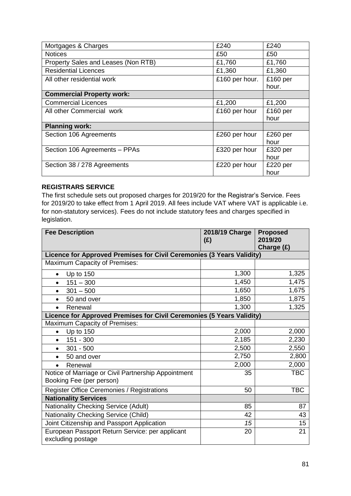| Mortgages & Charges                 | £240           | £240              |
|-------------------------------------|----------------|-------------------|
| <b>Notices</b>                      | £50            | £50               |
| Property Sales and Leases (Non RTB) | £1,760         | £1,760            |
| <b>Residential Licences</b>         | £1,360         | £1,360            |
| All other residential work          | £160 per hour. | £160 per<br>hour. |
| <b>Commercial Property work:</b>    |                |                   |
| <b>Commercial Licences</b>          | £1,200         | £1,200            |
| All other Commercial work           | £160 per hour  | £160 per<br>hour  |
| <b>Planning work:</b>               |                |                   |
| Section 106 Agreements              | £260 per hour  | £260 per<br>hour  |
| Section 106 Agreements - PPAs       | £320 per hour  | £320 per<br>hour  |
| Section 38 / 278 Agreements         | £220 per hour  | £220 per<br>hour  |

#### **REGISTRARS SERVICE**

The first schedule sets out proposed charges for 2019/20 for the Registrar's Service. Fees for 2019/20 to take effect from 1 April 2019. All fees include VAT where VAT is applicable i.e. for non-statutory services). Fees do not include statutory fees and charges specified in legislation.

| <b>Fee Description</b>                                                          | 2018/19 Charge<br>(E) | <b>Proposed</b><br>2019/20 |
|---------------------------------------------------------------------------------|-----------------------|----------------------------|
|                                                                                 |                       | Charge (£)                 |
| Licence for Approved Premises for Civil Ceremonies (3 Years Validity)           |                       |                            |
| <b>Maximum Capacity of Premises:</b>                                            |                       |                            |
| Up to $150$<br>$\bullet$                                                        | 1,300                 | 1,325                      |
| $151 - 300$<br>$\bullet$                                                        | 1,450                 | 1,475                      |
| $301 - 500$<br>$\bullet$                                                        | 1,650                 | 1,675                      |
| 50 and over<br>$\bullet$                                                        | 1,850                 | 1,875                      |
| Renewal<br>$\bullet$                                                            | 1,300                 | 1,325                      |
| Licence for Approved Premises for Civil Ceremonies (5 Years Validity)           |                       |                            |
| Maximum Capacity of Premises:                                                   |                       |                            |
| <b>Up to 150</b><br>$\bullet$                                                   | 2,000                 | 2,000                      |
| 151 - 300<br>$\bullet$                                                          | 2,185                 | 2,230                      |
| $301 - 500$<br>$\bullet$                                                        | 2,500                 | 2,550                      |
| 50 and over<br>$\bullet$                                                        | 2,750                 | 2,800                      |
| Renewal                                                                         | 2,000                 | 2,000                      |
| Notice of Marriage or Civil Partnership Appointment<br>Booking Fee (per person) | 35                    | <b>TBC</b>                 |
| Register Office Ceremonies / Registrations                                      | 50                    | <b>TBC</b>                 |
| <b>Nationality Services</b>                                                     |                       |                            |
| <b>Nationality Checking Service (Adult)</b>                                     | 85                    | 87                         |
| <b>Nationality Checking Service (Child)</b>                                     | 42                    | 43                         |
| Joint Citizenship and Passport Application                                      | 15                    | 15                         |
| European Passport Return Service: per applicant<br>excluding postage            | 20                    | 21                         |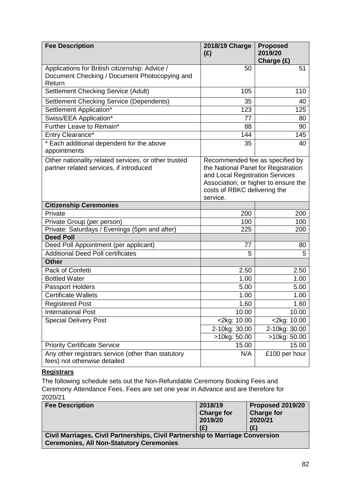| <b>Fee Description</b>                                                                                    | 2018/19 Charge<br>(E)                                                                                                                                                                         | <b>Proposed</b><br>2019/20    |
|-----------------------------------------------------------------------------------------------------------|-----------------------------------------------------------------------------------------------------------------------------------------------------------------------------------------------|-------------------------------|
|                                                                                                           |                                                                                                                                                                                               | Charge (£)                    |
| Applications for British citizenship: Advice /<br>Document Checking / Document Photocopying and<br>Return | 50                                                                                                                                                                                            | 51                            |
| Settlement Checking Service (Adult)                                                                       | 105                                                                                                                                                                                           | 110                           |
| Settlement Checking Service (Dependents)                                                                  | 35                                                                                                                                                                                            | 40                            |
| Settlement Application*                                                                                   | 123                                                                                                                                                                                           | 125                           |
| Swiss/EEA Application*                                                                                    | 77                                                                                                                                                                                            | 80                            |
| Further Leave to Remain*                                                                                  | 88                                                                                                                                                                                            | 90                            |
| Entry Clearance*                                                                                          | 144                                                                                                                                                                                           | 145                           |
| * Each additional dependent for the above<br>appointments                                                 | 35                                                                                                                                                                                            | 40                            |
| Other nationality related services, or other trusted<br>partner related services, if introduced           | Recommended fee as specified by<br>the National Panel for Registration<br>and Local Registration Services<br>Association, or higher to ensure the<br>costs of RBKC delivering the<br>service. |                               |
| <b>Citizenship Ceremonies</b>                                                                             |                                                                                                                                                                                               |                               |
| Private                                                                                                   | 200                                                                                                                                                                                           | 200                           |
| Private Group (per person)                                                                                | 100                                                                                                                                                                                           | 100                           |
| Private: Saturdays / Evenings (5pm and after)                                                             | 225                                                                                                                                                                                           | 200                           |
| <b>Deed Poll</b>                                                                                          |                                                                                                                                                                                               |                               |
| Deed Poll Appointment (per applicant)                                                                     | 77                                                                                                                                                                                            | 80                            |
| <b>Additional Deed Poll certificates</b>                                                                  | 5                                                                                                                                                                                             | 5                             |
| <b>Other</b>                                                                                              |                                                                                                                                                                                               |                               |
| Pack of Confetti                                                                                          | 2.50                                                                                                                                                                                          | 2.50                          |
| <b>Bottled Water</b>                                                                                      | 1.00                                                                                                                                                                                          | 1.00                          |
| Passport Holders<br><b>Certificate Wallets</b>                                                            | 5.00                                                                                                                                                                                          | 5.00                          |
|                                                                                                           | 1.00                                                                                                                                                                                          | 1.00                          |
| <b>Registered Post</b>                                                                                    | 1.60<br>10.00                                                                                                                                                                                 | 1.60<br>10.00                 |
| <b>International Post</b><br><b>Special Delivery Post</b>                                                 | <2kg: 10.00                                                                                                                                                                                   | <2kg: 10.00                   |
|                                                                                                           | 2-10kg: 30.00                                                                                                                                                                                 |                               |
|                                                                                                           | >10kg: 50.00                                                                                                                                                                                  | 2-10kg: 30.00<br>>10kg: 50.00 |
| <b>Priority Certificate Service</b>                                                                       | 15.00                                                                                                                                                                                         | 15.00                         |
| Any other registrars service (other than statutory<br>fees) not otherwise detailed                        | N/A                                                                                                                                                                                           | £100 per hour                 |

#### **Registrars**

The following schedule sets out the Non-Refundable Ceremony Booking Fees and Ceremony Attendance Fees. Fees are set one year in Advance and are therefore for 2020/21

| <b>Fee Description</b>                                                                                                           | 2018/19           | Proposed 2019/20  |  |
|----------------------------------------------------------------------------------------------------------------------------------|-------------------|-------------------|--|
|                                                                                                                                  | <b>Charge for</b> | <b>Charge for</b> |  |
|                                                                                                                                  | 2019/20           | 2020/21           |  |
|                                                                                                                                  | (E)               | (£)               |  |
| Civil Marriages, Civil Partnerships, Civil Partnership to Marriage Conversion<br><b>Ceremonies, All Non-Statutory Ceremonies</b> |                   |                   |  |
|                                                                                                                                  |                   |                   |  |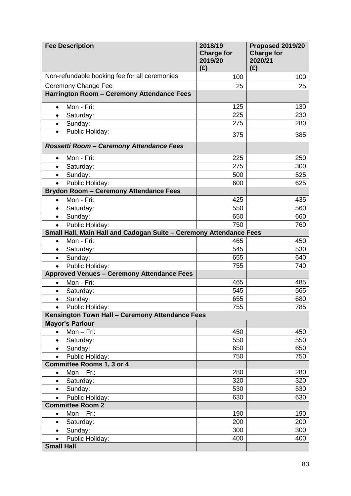| <b>Fee Description</b>                                             | 2018/19<br><b>Charge for</b><br>2019/20<br>(E) | Proposed 2019/20<br><b>Charge for</b><br>2020/21<br>(E) |
|--------------------------------------------------------------------|------------------------------------------------|---------------------------------------------------------|
| Non-refundable booking fee for all ceremonies                      | 100                                            | 100                                                     |
| <b>Ceremony Change Fee</b>                                         | 25                                             | 25                                                      |
| Harrington Room - Ceremony Attendance Fees                         |                                                |                                                         |
| Mon - Fri:<br>$\bullet$                                            | 125                                            | 130                                                     |
| Saturday:<br>$\bullet$                                             | 225                                            | 230                                                     |
| Sunday:<br>$\bullet$                                               | 275                                            | 280                                                     |
| Public Holiday:<br>$\bullet$                                       | 375                                            | 385                                                     |
| Rossetti Room - Ceremony Attendance Fees                           |                                                |                                                         |
| Mon - Fri:<br>$\bullet$                                            | 225                                            | 250                                                     |
| Saturday:<br>$\bullet$                                             | 275                                            | 300                                                     |
| Sunday:<br>$\bullet$                                               | 500                                            | 525                                                     |
| Public Holiday:<br>$\bullet$                                       | 600                                            | 625                                                     |
| <b>Brydon Room - Ceremony Attendance Fees</b>                      |                                                |                                                         |
| Mon - Fri:<br>$\bullet$                                            | 425                                            | 435                                                     |
| Saturday:<br>$\bullet$                                             | 550                                            | 560                                                     |
| Sunday:<br>$\bullet$                                               | 650                                            | 660                                                     |
| Public Holiday:<br>$\bullet$                                       | 750                                            | 760                                                     |
| Small Hall, Main Hall and Cadogan Suite - Ceremony Attendance Fees |                                                |                                                         |
| Mon - Fri:<br>$\bullet$                                            | 465                                            | 450                                                     |
| Saturday:<br>$\bullet$                                             | 545                                            | 530                                                     |
| Sunday:<br>$\bullet$                                               | 655                                            | 640                                                     |
| Public Holiday:<br>$\bullet$                                       | 755                                            | 740                                                     |
| <b>Approved Venues - Ceremony Attendance Fees</b>                  |                                                |                                                         |
| Mon - Fri:<br>$\bullet$                                            | 465                                            | 485                                                     |
| Saturday:<br>$\bullet$                                             | 545                                            | 565                                                     |
| Sunday:<br>$\bullet$                                               | 655                                            | 680                                                     |
| Public Holiday:<br>$\bullet$                                       | 755                                            | 785                                                     |
| Kensington Town Hall - Ceremony Attendance Fees                    |                                                |                                                         |
| <b>Mayor's Parlour</b>                                             |                                                |                                                         |
| Mon-Fri:<br>$\bullet$                                              | 450<br>550                                     | 450<br>550                                              |
| Saturday:<br>$\bullet$                                             | 650                                            | 650                                                     |
| Sunday:<br>$\bullet$<br>Public Holiday:<br>$\bullet$               | 750                                            | 750                                                     |
| <b>Committee Rooms 1, 3 or 4</b>                                   |                                                |                                                         |
| Mon-Fri:<br>$\bullet$                                              | 280                                            | 280                                                     |
| Saturday:<br>$\bullet$                                             | 320                                            | 320                                                     |
| Sunday:<br>$\bullet$                                               | 530                                            | 530                                                     |
| Public Holiday:                                                    | 630                                            | 630                                                     |
| <b>Committee Room 2</b>                                            |                                                |                                                         |
| Mon-Fri:<br>$\bullet$                                              | 190                                            | 190                                                     |
| Saturday:<br>$\bullet$                                             | 200                                            | 200                                                     |
| Sunday:<br>$\bullet$                                               | 300                                            | 300                                                     |
| Public Holiday:<br>$\bullet$                                       | 400                                            | 400                                                     |
| <b>Small Hall</b>                                                  |                                                |                                                         |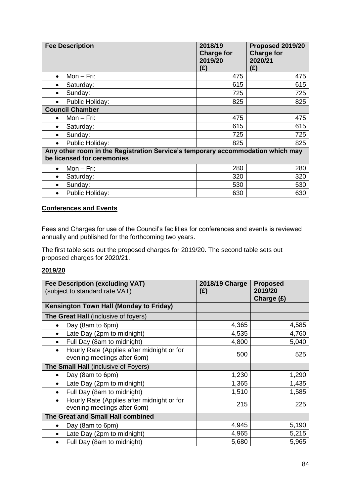| <b>Fee Description</b>                                                                                       | 2018/19<br><b>Charge for</b><br>2019/20<br>(E) | Proposed 2019/20<br><b>Charge for</b><br>2020/21<br>(E) |
|--------------------------------------------------------------------------------------------------------------|------------------------------------------------|---------------------------------------------------------|
| $Mon-Fri:$<br>$\bullet$                                                                                      | 475                                            | 475                                                     |
| Saturday:<br>$\bullet$                                                                                       | 615                                            | 615                                                     |
| Sunday:<br>$\bullet$                                                                                         | 725                                            | 725                                                     |
| Public Holiday:                                                                                              | 825                                            | 825                                                     |
| <b>Council Chamber</b>                                                                                       |                                                |                                                         |
| $Mon - Fri$ :<br>$\bullet$                                                                                   | 475                                            | 475                                                     |
| Saturday:<br>$\bullet$                                                                                       | 615                                            | 615                                                     |
| Sunday:<br>$\bullet$                                                                                         | 725                                            | 725                                                     |
| Public Holiday:<br>$\bullet$                                                                                 | 825                                            | 825                                                     |
| Any other room in the Registration Service's temporary accommodation which may<br>be licensed for ceremonies |                                                |                                                         |
| $Mon - Fri$ :<br>$\bullet$                                                                                   | 280                                            | 280                                                     |
| Saturday:<br>$\bullet$                                                                                       | 320                                            | 320                                                     |
| Sunday:<br>$\bullet$                                                                                         | 530                                            | 530                                                     |
| Public Holiday:<br>$\bullet$                                                                                 | 630                                            | 630                                                     |

#### **Conferences and Events**

Fees and Charges for use of the Council's facilities for conferences and events is reviewed annually and published for the forthcoming two years.

The first table sets out the proposed charges for 2019/20. The second table sets out proposed charges for 2020/21.

#### **2019/20**

| <b>Fee Description (excluding VAT)</b><br>(subject to standard rate VAT)               | 2018/19 Charge<br>(E) | <b>Proposed</b><br>2019/20<br>Charge (£) |
|----------------------------------------------------------------------------------------|-----------------------|------------------------------------------|
| <b>Kensington Town Hall (Monday to Friday)</b>                                         |                       |                                          |
| The Great Hall (inclusive of foyers)                                                   |                       |                                          |
| Day (8am to 6pm)<br>$\bullet$                                                          | 4,365                 | 4,585                                    |
| Late Day (2pm to midnight)<br>$\bullet$                                                | 4,535                 | 4,760                                    |
| Full Day (8am to midnight)<br>$\bullet$                                                | 4,800                 | 5,040                                    |
| Hourly Rate (Applies after midnight or for<br>$\bullet$<br>evening meetings after 6pm) | 500                   | 525                                      |
| The Small Hall (inclusive of Foyers)                                                   |                       |                                          |
| Day (8am to 6pm)                                                                       | 1,230                 | 1,290                                    |
| Late Day (2pm to midnight)<br>$\bullet$                                                | 1,365                 | 1,435                                    |
| Full Day (8am to midnight)<br>٠                                                        | 1,510                 | 1,585                                    |
| Hourly Rate (Applies after midnight or for<br>$\bullet$<br>evening meetings after 6pm) | 215                   | 225                                      |
| The Great and Small Hall combined                                                      |                       |                                          |
| Day (8am to 6pm)<br>$\bullet$                                                          | 4,945                 | 5,190                                    |
| Late Day (2pm to midnight)                                                             | 4,965                 | 5,215                                    |
| Full Day (8am to midnight)<br>$\bullet$                                                | 5,680                 | 5,965                                    |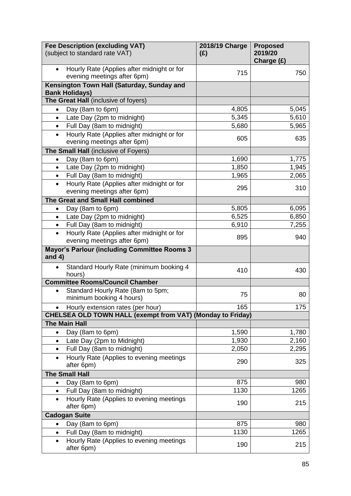|           | <b>Fee Description (excluding VAT)</b><br>(subject to standard rate VAT)  | 2018/19 Charge<br>(E) | <b>Proposed</b><br>2019/20 |
|-----------|---------------------------------------------------------------------------|-----------------------|----------------------------|
|           | Hourly Rate (Applies after midnight or for                                | 715                   | Charge (£)<br>750          |
|           | evening meetings after 6pm)                                               |                       |                            |
|           | Kensington Town Hall (Saturday, Sunday and<br><b>Bank Holidays)</b>       |                       |                            |
|           | The Great Hall (inclusive of foyers)                                      |                       |                            |
| $\bullet$ | Day (8am to 6pm)                                                          | 4,805                 | 5,045                      |
| $\bullet$ | Late Day (2pm to midnight)                                                | 5,345                 | 5,610                      |
| $\bullet$ | Full Day (8am to midnight)                                                | 5,680                 | 5,965                      |
| $\bullet$ | Hourly Rate (Applies after midnight or for                                |                       |                            |
|           | evening meetings after 6pm)                                               | 605                   | 635                        |
|           | The Small Hall (inclusive of Foyers)                                      |                       |                            |
| $\bullet$ | Day (8am to 6pm)                                                          | 1,690                 | 1,775                      |
| $\bullet$ | Late Day (2pm to midnight)                                                | 1,850                 | 1,945                      |
| $\bullet$ | Full Day (8am to midnight)                                                | 1,965                 | 2,065                      |
| $\bullet$ | Hourly Rate (Applies after midnight or for<br>evening meetings after 6pm) | 295                   | 310                        |
|           | The Great and Small Hall combined                                         |                       |                            |
| $\bullet$ | Day (8am to 6pm)                                                          | 5,805                 | 6,095                      |
| $\bullet$ | Late Day (2pm to midnight)                                                | 6,525                 | 6,850                      |
| $\bullet$ | Full Day (8am to midnight)                                                | 6,910                 | 7,255                      |
| $\bullet$ | Hourly Rate (Applies after midnight or for<br>evening meetings after 6pm) | 895                   | 940                        |
| and $4)$  | <b>Mayor's Parlour (including Committee Rooms 3</b>                       |                       |                            |
|           | Standard Hourly Rate (minimum booking 4<br>hours)                         | 410                   | 430                        |
|           | <b>Committee Rooms/Council Chamber</b>                                    |                       |                            |
| $\bullet$ | Standard Hourly Rate (8am to 5pm;<br>minimum booking 4 hours)             | 75                    | 80                         |
|           | Hourly extension rates (per hour)                                         | 165                   | 175                        |
|           | <b>CHELSEA OLD TOWN HALL (exempt from VAT) (Monday to Friday)</b>         |                       |                            |
|           | <b>The Main Hall</b>                                                      |                       |                            |
| $\bullet$ | Day (8am to 6pm)                                                          | 1,590                 | 1,780                      |
| $\bullet$ | Late Day (2pm to Midnight)                                                | 1,930                 | 2,160                      |
| $\bullet$ | Full Day (8am to midnight)                                                | 2,050                 | 2,295                      |
| $\bullet$ | Hourly Rate (Applies to evening meetings                                  |                       |                            |
|           | after 6pm)                                                                | 290                   | 325                        |
|           | <b>The Small Hall</b>                                                     |                       |                            |
| $\bullet$ | Day (8am to 6pm)                                                          | 875                   | 980                        |
| $\bullet$ | Full Day (8am to midnight)                                                | 1130                  | 1265                       |
| $\bullet$ | Hourly Rate (Applies to evening meetings                                  | 190                   | 215                        |
|           | after 6pm)                                                                |                       |                            |
|           | <b>Cadogan Suite</b>                                                      |                       |                            |
| $\bullet$ | Day (8am to 6pm)                                                          | 875                   | 980                        |
| $\bullet$ | Full Day (8am to midnight)                                                | 1130                  | 1265                       |
| $\bullet$ | Hourly Rate (Applies to evening meetings<br>after 6pm)                    | 190                   | 215                        |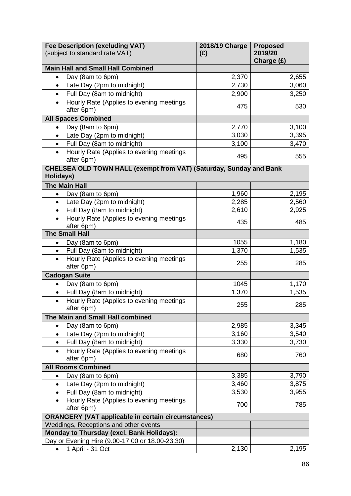|                                           | <b>Fee Description (excluding VAT)</b><br>(subject to standard rate VAT) | 2018/19 Charge<br>(E) | <b>Proposed</b><br>2019/20<br>Charge (£) |
|-------------------------------------------|--------------------------------------------------------------------------|-----------------------|------------------------------------------|
|                                           | <b>Main Hall and Small Hall Combined</b>                                 |                       |                                          |
| $\bullet$                                 | Day (8am to 6pm)                                                         | 2,370                 | 2,655                                    |
| $\bullet$                                 | Late Day (2pm to midnight)                                               | 2,730                 | 3,060                                    |
| $\bullet$                                 | Full Day (8am to midnight)                                               | 2,900                 | 3,250                                    |
|                                           | Hourly Rate (Applies to evening meetings                                 |                       |                                          |
|                                           | after 6pm)                                                               | 475                   | 530                                      |
|                                           | <b>All Spaces Combined</b>                                               |                       |                                          |
| $\bullet$                                 | Day (8am to 6pm)                                                         | 2,770                 | 3,100                                    |
| $\bullet$                                 | Late Day (2pm to midnight)                                               | 3,030                 | 3,395                                    |
| $\bullet$                                 | Full Day (8am to midnight)                                               | 3,100                 | 3,470                                    |
|                                           | Hourly Rate (Applies to evening meetings                                 |                       |                                          |
|                                           | after 6pm)                                                               | 495                   | 555                                      |
| Holidays)                                 | CHELSEA OLD TOWN HALL (exempt from VAT) (Saturday, Sunday and Bank       |                       |                                          |
|                                           | <b>The Main Hall</b>                                                     |                       |                                          |
| $\bullet$                                 | Day (8am to 6pm)                                                         | 1,960                 | 2,195                                    |
| $\bullet$                                 | Late Day (2pm to midnight)                                               | 2,285                 | 2,560                                    |
| $\bullet$                                 | Full Day (8am to midnight)                                               | 2,610                 | 2,925                                    |
| $\bullet$                                 | Hourly Rate (Applies to evening meetings<br>after 6pm)                   | 435                   | 485                                      |
|                                           | <b>The Small Hall</b>                                                    |                       |                                          |
|                                           | Day (8am to 6pm)                                                         | 1055                  | 1,180                                    |
| $\bullet$                                 | Full Day (8am to midnight)                                               | 1,370                 | 1,535                                    |
|                                           | Hourly Rate (Applies to evening meetings<br>after 6pm)                   | 255                   | 285                                      |
| <b>Cadogan Suite</b>                      |                                                                          |                       |                                          |
| $\bullet$                                 | Day (8am to 6pm)                                                         | 1045                  | 1,170                                    |
| $\bullet$                                 | Full Day (8am to midnight)                                               | 1,370                 | 1,535                                    |
| $\bullet$                                 | Hourly Rate (Applies to evening meetings                                 | 255                   | 285                                      |
|                                           | after 6pm)                                                               |                       |                                          |
|                                           | The Main and Small Hall combined                                         |                       |                                          |
| $\bullet$                                 | Day (8am to 6pm)                                                         | 2,985                 | 3,345                                    |
| $\bullet$                                 | Late Day (2pm to midnight)                                               | 3,160                 | 3,540                                    |
| $\bullet$                                 | Full Day (8am to midnight)                                               | 3,330                 | 3,730                                    |
| $\bullet$                                 | Hourly Rate (Applies to evening meetings<br>after 6pm)                   | 680                   | 760                                      |
|                                           | <b>All Rooms Combined</b>                                                |                       |                                          |
| $\bullet$                                 | Day (8am to 6pm)                                                         | 3,385                 | 3,790                                    |
| $\bullet$                                 | Late Day (2pm to midnight)                                               | 3,460                 | 3,875                                    |
| $\bullet$                                 | Full Day (8am to midnight)                                               | 3,530                 | 3,955                                    |
| $\bullet$                                 | Hourly Rate (Applies to evening meetings                                 | 700                   | 785                                      |
|                                           | after 6pm)                                                               |                       |                                          |
|                                           | <b>ORANGERY (VAT applicable in certain circumstances)</b>                |                       |                                          |
|                                           | Weddings, Receptions and other events                                    |                       |                                          |
| Monday to Thursday (excl. Bank Holidays): |                                                                          |                       |                                          |
|                                           | Day or Evening Hire (9.00-17.00 or 18.00-23.30)                          |                       |                                          |
| $\bullet$                                 | 1 April - 31 Oct                                                         | 2,130                 | 2,195                                    |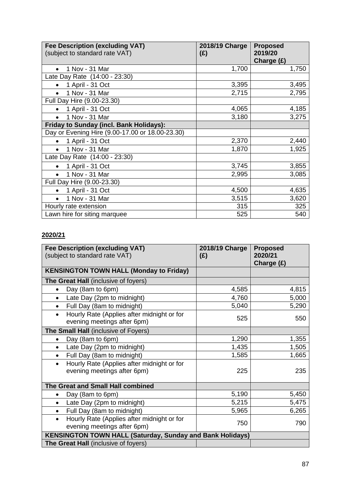| <b>Fee Description (excluding VAT)</b><br>(subject to standard rate VAT) | 2018/19 Charge<br>(E) | <b>Proposed</b><br>2019/20 |
|--------------------------------------------------------------------------|-----------------------|----------------------------|
|                                                                          |                       | Charge $(E)$               |
| 1 Nov - 31 Mar                                                           | 1,700                 | 1,750                      |
| Late Day Rate (14:00 - 23:30)                                            |                       |                            |
| 1 April - 31 Oct<br>$\bullet$                                            | 3,395                 | 3,495                      |
| 1 Nov - 31 Mar                                                           | 2,715                 | 2,795                      |
| Full Day Hire (9.00-23.30)                                               |                       |                            |
| 1 April - 31 Oct                                                         | 4,065                 | 4,185                      |
| 1 Nov - 31 Mar<br>$\bullet$                                              | 3,180                 | 3,275                      |
| <b>Friday to Sunday (incl. Bank Holidays):</b>                           |                       |                            |
| Day or Evening Hire (9.00-17.00 or 18.00-23.30)                          |                       |                            |
| 1 April - 31 Oct<br>$\bullet$                                            | 2,370                 | 2,440                      |
| 1 Nov - 31 Mar                                                           | 1,870                 | 1,925                      |
| Late Day Rate (14:00 - 23:30)                                            |                       |                            |
| 1 April - 31 Oct                                                         | 3,745                 | 3,855                      |
| 1 Nov - 31 Mar<br>$\bullet$                                              | 2,995                 | 3,085                      |
| Full Day Hire (9.00-23.30)                                               |                       |                            |
| 1 April - 31 Oct                                                         | 4,500                 | 4,635                      |
| 1 Nov - 31 Mar<br>$\bullet$                                              | 3,515                 | 3,620                      |
| Hourly rate extension                                                    | 315                   | 325                        |
| Lawn hire for siting marquee                                             | 525                   | 540                        |

#### **2020/21**

| <b>Fee Description (excluding VAT)</b><br>(subject to standard rate VAT)               | 2018/19 Charge<br>(E) | <b>Proposed</b><br>2020/21<br>Charge (£) |
|----------------------------------------------------------------------------------------|-----------------------|------------------------------------------|
| <b>KENSINGTON TOWN HALL (Monday to Friday)</b>                                         |                       |                                          |
| <b>The Great Hall</b> (inclusive of foyers)                                            |                       |                                          |
| Day (8am to 6pm)<br>$\bullet$                                                          | 4,585                 | 4,815                                    |
| Late Day (2pm to midnight)<br>$\bullet$                                                | 4,760                 | 5,000                                    |
| Full Day (8am to midnight)<br>$\bullet$                                                | 5,040                 | 5,290                                    |
| Hourly Rate (Applies after midnight or for<br>$\bullet$<br>evening meetings after 6pm) | 525                   | 550                                      |
| The Small Hall (inclusive of Foyers)                                                   |                       |                                          |
| Day (8am to 6pm)                                                                       | 1,290                 | 1,355                                    |
| Late Day (2pm to midnight)                                                             | 1,435                 | 1,505                                    |
| Full Day (8am to midnight)<br>$\bullet$                                                | 1,585                 | 1,665                                    |
| Hourly Rate (Applies after midnight or for<br>$\bullet$<br>evening meetings after 6pm) | 225                   | 235                                      |
| The Great and Small Hall combined                                                      |                       |                                          |
| Day (8am to 6pm)                                                                       | 5,190                 | 5,450                                    |
| Late Day (2pm to midnight)<br>$\bullet$                                                | 5,215                 | 5,475                                    |
| Full Day (8am to midnight)<br>$\bullet$                                                | 5,965                 | 6,265                                    |
| Hourly Rate (Applies after midnight or for<br>$\bullet$<br>evening meetings after 6pm) | 750                   | 790                                      |
| <b>KENSINGTON TOWN HALL (Saturday, Sunday and Bank Holidays)</b>                       |                       |                                          |
| The Great Hall (inclusive of foyers)                                                   |                       |                                          |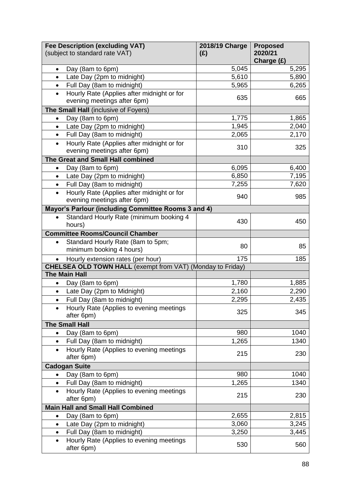|           | <b>Fee Description (excluding VAT)</b><br>(subject to standard rate VAT)  | 2018/19 Charge<br>(E) | <b>Proposed</b><br>2020/21<br>Charge (£) |
|-----------|---------------------------------------------------------------------------|-----------------------|------------------------------------------|
| $\bullet$ | Day (8am to 6pm)                                                          | 5,045                 | 5,295                                    |
| $\bullet$ | Late Day (2pm to midnight)                                                | 5,610                 | 5,890                                    |
| $\bullet$ | Full Day (8am to midnight)                                                | 5,965                 | 6,265                                    |
| $\bullet$ | Hourly Rate (Applies after midnight or for<br>evening meetings after 6pm) | 635                   | 665                                      |
|           | The Small Hall (inclusive of Foyers)                                      |                       |                                          |
| $\bullet$ | Day (8am to 6pm)                                                          | 1,775                 | 1,865                                    |
| $\bullet$ | Late Day (2pm to midnight)                                                | 1,945                 | 2,040                                    |
| $\bullet$ | Full Day (8am to midnight)                                                | 2,065                 | 2,170                                    |
| $\bullet$ | Hourly Rate (Applies after midnight or for                                |                       |                                          |
|           | evening meetings after 6pm)                                               | 310                   | 325                                      |
|           | The Great and Small Hall combined                                         |                       |                                          |
| $\bullet$ | Day (8am to 6pm)                                                          | 6,095                 | 6,400                                    |
| $\bullet$ | Late Day (2pm to midnight)                                                | 6,850                 | 7,195                                    |
| $\bullet$ | Full Day (8am to midnight)                                                | 7,255                 | 7,620                                    |
|           | Hourly Rate (Applies after midnight or for                                |                       |                                          |
|           | evening meetings after 6pm)                                               | 940                   | 985                                      |
|           | Mayor's Parlour (including Committee Rooms 3 and 4)                       |                       |                                          |
|           | Standard Hourly Rate (minimum booking 4<br>hours)                         | 430                   | 450                                      |
|           | <b>Committee Rooms/Council Chamber</b>                                    |                       |                                          |
|           | Standard Hourly Rate (8am to 5pm;                                         |                       |                                          |
|           | minimum booking 4 hours)                                                  | 80                    | 85                                       |
| $\bullet$ | Hourly extension rates (per hour)                                         | 175                   | 185                                      |
|           | <b>CHELSEA OLD TOWN HALL</b> (exempt from VAT) (Monday to Friday)         |                       |                                          |
|           | <b>The Main Hall</b>                                                      |                       |                                          |
| $\bullet$ | Day (8am to 6pm)                                                          | 1,780                 | 1,885                                    |
| $\bullet$ | Late Day (2pm to Midnight)                                                | 2,160                 | 2,290                                    |
| $\bullet$ | Full Day (8am to midnight)                                                | 2,295                 | 2,435                                    |
|           | Hourly Rate (Applies to evening meetings<br>after 6pm)                    | 325                   | 345                                      |
|           | <b>The Small Hall</b>                                                     |                       |                                          |
| ٠         | Day (8am to 6pm)                                                          | 980                   | 1040                                     |
| $\bullet$ | Full Day (8am to midnight)                                                | 1,265                 | 1340                                     |
| $\bullet$ | Hourly Rate (Applies to evening meetings                                  | 215                   | 230                                      |
|           | after 6pm)                                                                |                       |                                          |
|           | <b>Cadogan Suite</b>                                                      |                       |                                          |
| $\bullet$ | Day (8am to 6pm)                                                          | 980                   | 1040                                     |
| $\bullet$ | Full Day (8am to midnight)                                                | 1,265                 | 1340                                     |
| $\bullet$ | Hourly Rate (Applies to evening meetings<br>after 6pm)                    | 215                   | 230                                      |
|           | <b>Main Hall and Small Hall Combined</b>                                  |                       |                                          |
| $\bullet$ | Day (8am to 6pm)                                                          | 2,655                 | 2,815                                    |
| $\bullet$ | Late Day (2pm to midnight)                                                | 3,060                 | 3,245                                    |
| $\bullet$ | Full Day (8am to midnight)                                                | 3,250                 | 3,445                                    |
| $\bullet$ | Hourly Rate (Applies to evening meetings<br>after 6pm)                    | 530                   | 560                                      |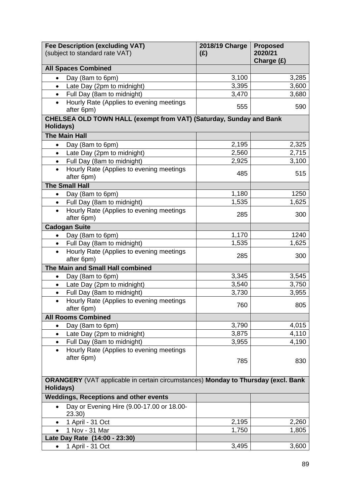|                                                                                                | <b>Fee Description (excluding VAT)</b>                             | 2018/19 Charge | <b>Proposed</b>       |
|------------------------------------------------------------------------------------------------|--------------------------------------------------------------------|----------------|-----------------------|
|                                                                                                | (subject to standard rate VAT)                                     | (E)            | 2020/21<br>Charge (£) |
|                                                                                                | <b>All Spaces Combined</b>                                         |                |                       |
| $\bullet$                                                                                      | Day (8am to 6pm)                                                   | 3,100          | 3,285                 |
| $\bullet$                                                                                      | Late Day (2pm to midnight)                                         | 3,395          | 3,600                 |
| $\bullet$                                                                                      | Full Day (8am to midnight)                                         | 3,470          | 3,680                 |
|                                                                                                | Hourly Rate (Applies to evening meetings                           |                |                       |
|                                                                                                | after 6pm)                                                         | 555            | 590                   |
| Holidays)                                                                                      | CHELSEA OLD TOWN HALL (exempt from VAT) (Saturday, Sunday and Bank |                |                       |
|                                                                                                | <b>The Main Hall</b>                                               |                |                       |
| $\bullet$                                                                                      | Day (8am to 6pm)                                                   | 2,195          | 2,325                 |
| $\bullet$                                                                                      | Late Day (2pm to midnight)                                         | 2,560          | 2,715                 |
| $\bullet$                                                                                      | Full Day (8am to midnight)                                         | 2,925          | 3,100                 |
| $\bullet$                                                                                      | Hourly Rate (Applies to evening meetings                           |                |                       |
|                                                                                                | after 6pm)                                                         | 485            | 515                   |
|                                                                                                | <b>The Small Hall</b>                                              |                |                       |
| $\bullet$                                                                                      | Day (8am to 6pm)                                                   | 1,180          | 1250                  |
| $\bullet$                                                                                      | Full Day (8am to midnight)                                         | 1,535          | 1,625                 |
| $\bullet$                                                                                      | Hourly Rate (Applies to evening meetings                           | 285            | 300                   |
|                                                                                                | after 6pm)                                                         |                |                       |
|                                                                                                | <b>Cadogan Suite</b>                                               |                |                       |
| $\bullet$                                                                                      | Day (8am to 6pm)                                                   | 1,170          | 1240                  |
| $\bullet$                                                                                      | Full Day (8am to midnight)                                         | 1,535          | 1,625                 |
|                                                                                                | Hourly Rate (Applies to evening meetings<br>after 6pm)             | 285            | 300                   |
|                                                                                                | The Main and Small Hall combined                                   |                |                       |
| $\bullet$                                                                                      | Day (8am to 6pm)                                                   | 3,345          | 3,545                 |
| $\bullet$                                                                                      | Late Day (2pm to midnight)                                         | 3,540          | 3,750                 |
| $\bullet$                                                                                      | Full Day (8am to midnight)                                         | 3,730          | 3,955                 |
| $\bullet$                                                                                      | Hourly Rate (Applies to evening meetings<br>after 6pm)             | 760            | 805                   |
|                                                                                                | <b>All Rooms Combined</b>                                          |                |                       |
| $\bullet$                                                                                      | Day (8am to 6pm)                                                   | 3,790          | 4,015                 |
| $\bullet$                                                                                      | Late Day (2pm to midnight)                                         | 3,875          | 4,110                 |
| $\bullet$                                                                                      | Full Day (8am to midnight)                                         | 3,955          | 4,190                 |
| $\bullet$                                                                                      | Hourly Rate (Applies to evening meetings                           |                |                       |
|                                                                                                | after 6pm)                                                         | 785            | 830                   |
|                                                                                                |                                                                    |                |                       |
| ORANGERY (VAT applicable in certain circumstances) Monday to Thursday (excl. Bank<br>Holidays) |                                                                    |                |                       |
|                                                                                                | <b>Weddings, Receptions and other events</b>                       |                |                       |
| $\bullet$                                                                                      | Day or Evening Hire (9.00-17.00 or 18.00-                          |                |                       |
|                                                                                                | 23.30                                                              |                |                       |
| $\bullet$                                                                                      | 1 April - 31 Oct                                                   | 2,195          | 2,260                 |
|                                                                                                | 1 Nov - 31 Mar                                                     | 1,750          | 1,805                 |
|                                                                                                | Late Day Rate (14:00 - 23:30)                                      |                |                       |
| $\bullet$                                                                                      | 1 April - 31 Oct                                                   | 3,495          | 3,600                 |